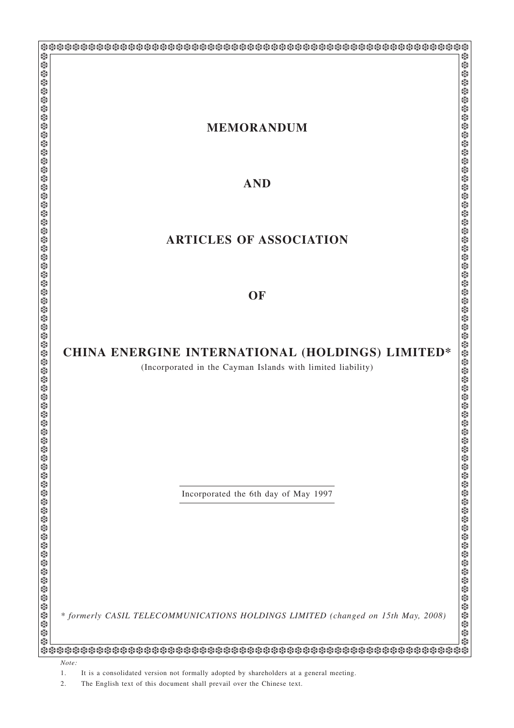| <b>MEMORANDUM</b>                                                                                                                                                                                                                                                                                                                                                                                                                                                                                                              |
|--------------------------------------------------------------------------------------------------------------------------------------------------------------------------------------------------------------------------------------------------------------------------------------------------------------------------------------------------------------------------------------------------------------------------------------------------------------------------------------------------------------------------------|
|                                                                                                                                                                                                                                                                                                                                                                                                                                                                                                                                |
|                                                                                                                                                                                                                                                                                                                                                                                                                                                                                                                                |
|                                                                                                                                                                                                                                                                                                                                                                                                                                                                                                                                |
|                                                                                                                                                                                                                                                                                                                                                                                                                                                                                                                                |
| <b>AND</b>                                                                                                                                                                                                                                                                                                                                                                                                                                                                                                                     |
|                                                                                                                                                                                                                                                                                                                                                                                                                                                                                                                                |
|                                                                                                                                                                                                                                                                                                                                                                                                                                                                                                                                |
|                                                                                                                                                                                                                                                                                                                                                                                                                                                                                                                                |
|                                                                                                                                                                                                                                                                                                                                                                                                                                                                                                                                |
| <b>ARTICLES OF ASSOCIATION</b>                                                                                                                                                                                                                                                                                                                                                                                                                                                                                                 |
|                                                                                                                                                                                                                                                                                                                                                                                                                                                                                                                                |
|                                                                                                                                                                                                                                                                                                                                                                                                                                                                                                                                |
|                                                                                                                                                                                                                                                                                                                                                                                                                                                                                                                                |
| OF                                                                                                                                                                                                                                                                                                                                                                                                                                                                                                                             |
|                                                                                                                                                                                                                                                                                                                                                                                                                                                                                                                                |
|                                                                                                                                                                                                                                                                                                                                                                                                                                                                                                                                |
|                                                                                                                                                                                                                                                                                                                                                                                                                                                                                                                                |
|                                                                                                                                                                                                                                                                                                                                                                                                                                                                                                                                |
| CHINA ENERGINE INTERNATIONAL (HOLDINGS) LIMITED*                                                                                                                                                                                                                                                                                                                                                                                                                                                                               |
|                                                                                                                                                                                                                                                                                                                                                                                                                                                                                                                                |
| (Incorporated in the Cayman Islands with limited liability)                                                                                                                                                                                                                                                                                                                                                                                                                                                                    |
|                                                                                                                                                                                                                                                                                                                                                                                                                                                                                                                                |
|                                                                                                                                                                                                                                                                                                                                                                                                                                                                                                                                |
|                                                                                                                                                                                                                                                                                                                                                                                                                                                                                                                                |
|                                                                                                                                                                                                                                                                                                                                                                                                                                                                                                                                |
|                                                                                                                                                                                                                                                                                                                                                                                                                                                                                                                                |
|                                                                                                                                                                                                                                                                                                                                                                                                                                                                                                                                |
|                                                                                                                                                                                                                                                                                                                                                                                                                                                                                                                                |
|                                                                                                                                                                                                                                                                                                                                                                                                                                                                                                                                |
|                                                                                                                                                                                                                                                                                                                                                                                                                                                                                                                                |
|                                                                                                                                                                                                                                                                                                                                                                                                                                                                                                                                |
|                                                                                                                                                                                                                                                                                                                                                                                                                                                                                                                                |
|                                                                                                                                                                                                                                                                                                                                                                                                                                                                                                                                |
|                                                                                                                                                                                                                                                                                                                                                                                                                                                                                                                                |
|                                                                                                                                                                                                                                                                                                                                                                                                                                                                                                                                |
|                                                                                                                                                                                                                                                                                                                                                                                                                                                                                                                                |
|                                                                                                                                                                                                                                                                                                                                                                                                                                                                                                                                |
|                                                                                                                                                                                                                                                                                                                                                                                                                                                                                                                                |
|                                                                                                                                                                                                                                                                                                                                                                                                                                                                                                                                |
|                                                                                                                                                                                                                                                                                                                                                                                                                                                                                                                                |
|                                                                                                                                                                                                                                                                                                                                                                                                                                                                                                                                |
|                                                                                                                                                                                                                                                                                                                                                                                                                                                                                                                                |
| $\footnote{Theorporated the 6th day of May 1997} \footnote{Incorporated the 6th day of May 1997} \footnote{Incorporated the 6th day of May 1997} \footnote{Incorporated the 6th day of May 1997} \footnote{Incorporated the 6th day of May 1997} \footnote{Incorporated the 6th day of May 1997} \footnote{Incorporated the 6th day of May 1997} \footnote{Incorporated the 6th day of May 1997} \footnote{Incorporated the 6th day of May 1997} \footnote{Incorporated the 6th day of May 1997} \footnote{Incorporated the 6$ |

2. The English text of this document shall prevail over the Chinese text.

<sup>1.</sup> It is a consolidated version not formally adopted by shareholders at a general meeting.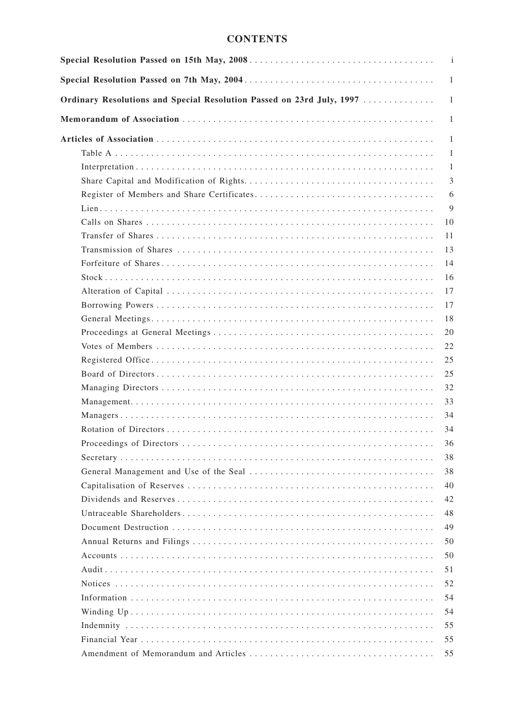# **CONTENTS**

|                                                                       | $\mathbf{i}$ |
|-----------------------------------------------------------------------|--------------|
|                                                                       | -1           |
| Ordinary Resolutions and Special Resolution Passed on 23rd July, 1997 | 1            |
|                                                                       | 1            |
|                                                                       | -1           |
|                                                                       | 1            |
|                                                                       | 1            |
|                                                                       | 3            |
|                                                                       | 6            |
|                                                                       | 9            |
|                                                                       | 10           |
|                                                                       | 11           |
|                                                                       | 13           |
|                                                                       | 14           |
|                                                                       | 16           |
|                                                                       | 17           |
|                                                                       | 17           |
|                                                                       | 18           |
|                                                                       | 20           |
|                                                                       | 22           |
|                                                                       | 25           |
|                                                                       | 25           |
|                                                                       | 32           |
|                                                                       | 33           |
|                                                                       | 34           |
|                                                                       | 34           |
|                                                                       | 36           |
|                                                                       | 38           |
|                                                                       | 38           |
|                                                                       | 40           |
|                                                                       | 42           |
|                                                                       | 48           |
|                                                                       | 49           |
|                                                                       | 50           |
|                                                                       | 50           |
|                                                                       | 51           |
|                                                                       | 52           |
|                                                                       | 54           |
|                                                                       | 54           |
|                                                                       | 55           |
|                                                                       | 55           |
|                                                                       | 55           |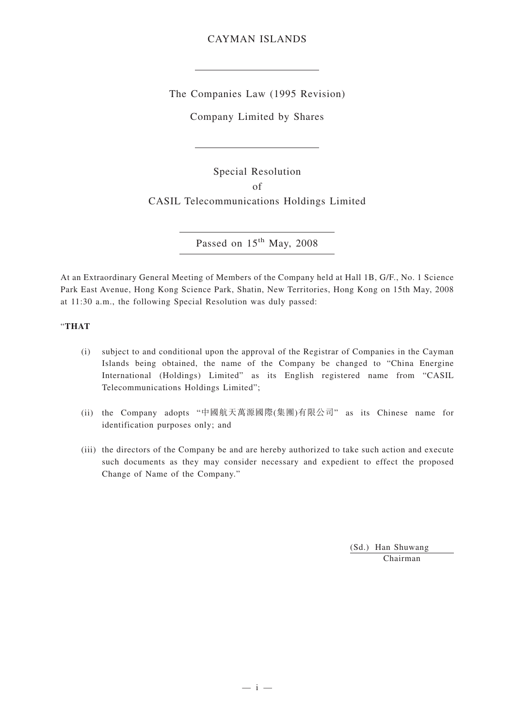## CAYMAN ISLANDS

The Companies Law (1995 Revision)

Company Limited by Shares

Special Resolution of CASIL Telecommunications Holdings Limited

Passed on 15<sup>th</sup> May, 2008

At an Extraordinary General Meeting of Members of the Company held at Hall 1B, G/F., No. 1 Science Park East Avenue, Hong Kong Science Park, Shatin, New Territories, Hong Kong on 15th May, 2008 at 11:30 a.m., the following Special Resolution was duly passed:

## "**THAT**

- (i) subject to and conditional upon the approval of the Registrar of Companies in the Cayman Islands being obtained, the name of the Company be changed to "China Energine International (Holdings) Limited" as its English registered name from "CASIL Telecommunications Holdings Limited";
- (ii) the Company adopts "中國航天萬源國際(集團)有限公司" as its Chinese name for identification purposes only; and
- (iii) the directors of the Company be and are hereby authorized to take such action and execute such documents as they may consider necessary and expedient to effect the proposed Change of Name of the Company."

(Sd.) Han Shuwang Chairman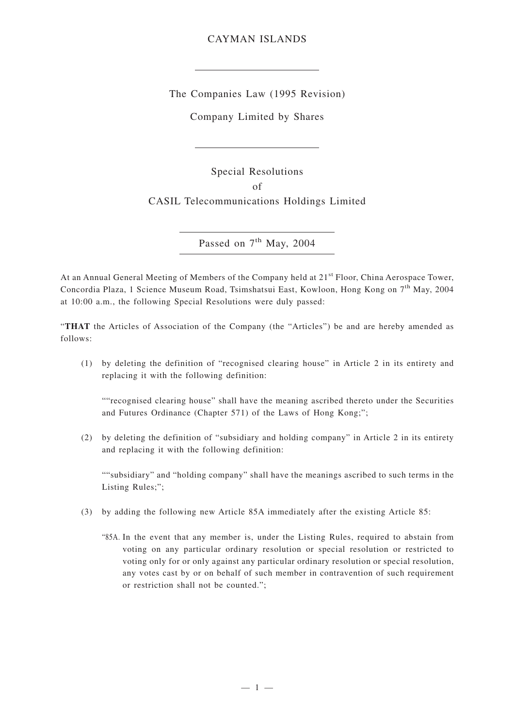## CAYMAN ISLANDS

The Companies Law (1995 Revision)

Company Limited by Shares

Special Resolutions of CASIL Telecommunications Holdings Limited

Passed on 7<sup>th</sup> May, 2004

At an Annual General Meeting of Members of the Company held at 21<sup>st</sup> Floor, China Aerospace Tower, Concordia Plaza, 1 Science Museum Road, Tsimshatsui East, Kowloon, Hong Kong on 7th May, 2004 at 10:00 a.m., the following Special Resolutions were duly passed:

"**THAT** the Articles of Association of the Company (the "Articles") be and are hereby amended as follows:

(1) by deleting the definition of "recognised clearing house" in Article 2 in its entirety and replacing it with the following definition:

""recognised clearing house" shall have the meaning ascribed thereto under the Securities and Futures Ordinance (Chapter 571) of the Laws of Hong Kong;";

(2) by deleting the definition of "subsidiary and holding company" in Article 2 in its entirety and replacing it with the following definition:

""subsidiary" and "holding company" shall have the meanings ascribed to such terms in the Listing Rules;";

- (3) by adding the following new Article 85A immediately after the existing Article 85:
	- "85A. In the event that any member is, under the Listing Rules, required to abstain from voting on any particular ordinary resolution or special resolution or restricted to voting only for or only against any particular ordinary resolution or special resolution, any votes cast by or on behalf of such member in contravention of such requirement or restriction shall not be counted.";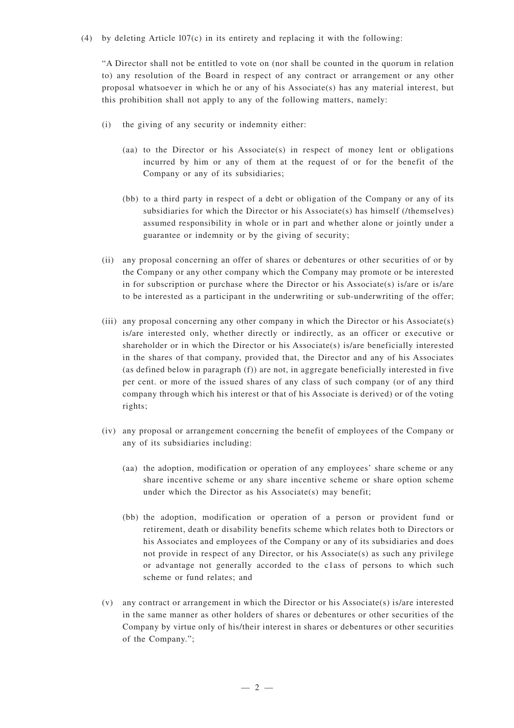### (4) by deleting Article  $107(c)$  in its entirety and replacing it with the following:

"A Director shall not be entitled to vote on (nor shall be counted in the quorum in relation to) any resolution of the Board in respect of any contract or arrangement or any other proposal whatsoever in which he or any of his Associate(s) has any material interest, but this prohibition shall not apply to any of the following matters, namely:

- (i) the giving of any security or indemnity either:
	- (aa) to the Director or his Associate(s) in respect of money lent or obligations incurred by him or any of them at the request of or for the benefit of the Company or any of its subsidiaries;
	- (bb) to a third party in respect of a debt or obligation of the Company or any of its subsidiaries for which the Director or his Associate(s) has himself (/themselves) assumed responsibility in whole or in part and whether alone or jointly under a guarantee or indemnity or by the giving of security;
- (ii) any proposal concerning an offer of shares or debentures or other securities of or by the Company or any other company which the Company may promote or be interested in for subscription or purchase where the Director or his Associate(s) is/are or is/are to be interested as a participant in the underwriting or sub-underwriting of the offer;
- (iii) any proposal concerning any other company in which the Director or his Associate(s) is/are interested only, whether directly or indirectly, as an officer or executive or shareholder or in which the Director or his Associate(s) is/are beneficially interested in the shares of that company, provided that, the Director and any of his Associates (as defined below in paragraph (f)) are not, in aggregate beneficially interested in five per cent. or more of the issued shares of any class of such company (or of any third company through which his interest or that of his Associate is derived) or of the voting rights;
- (iv) any proposal or arrangement concerning the benefit of employees of the Company or any of its subsidiaries including:
	- (aa) the adoption, modification or operation of any employees' share scheme or any share incentive scheme or any share incentive scheme or share option scheme under which the Director as his Associate(s) may benefit;
	- (bb) the adoption, modification or operation of a person or provident fund or retirement, death or disability benefits scheme which relates both to Directors or his Associates and employees of the Company or any of its subsidiaries and does not provide in respect of any Director, or his Associate(s) as such any privilege or advantage not generally accorded to the c1ass of persons to which such scheme or fund relates; and
- (v) any contract or arrangement in which the Director or his Associate(s) is/are interested in the same manner as other holders of shares or debentures or other securities of the Company by virtue only of his/their interest in shares or debentures or other securities of the Company.";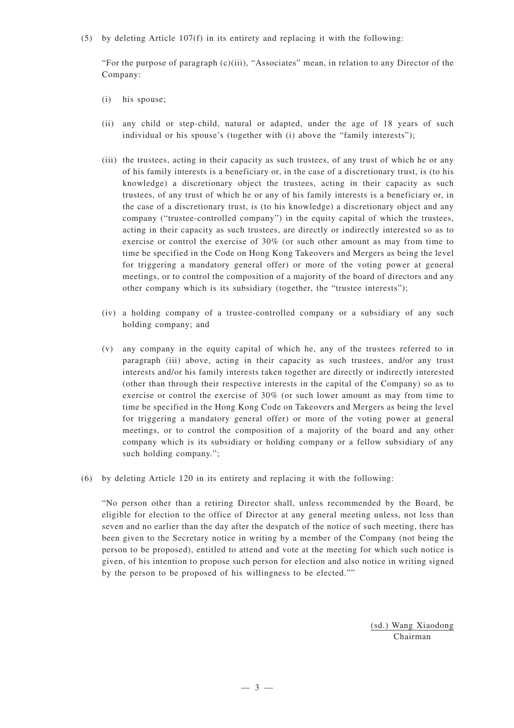### (5) by deleting Article 107(f) in its entirety and replacing it with the following:

"For the purpose of paragraph  $(c)(iii)$ , "Associates" mean, in relation to any Director of the Company:

- (i) his spouse;
- (ii) any child or step-child, natural or adapted, under the age of 18 years of such individual or his spouse's (together with (i) above the "family interests");
- (iii) the trustees, acting in their capacity as such trustees, of any trust of which he or any of his family interests is a beneficiary or, in the case of a discretionary trust, is (to his knowledge) a discretionary object the trustees, acting in their capacity as such trustees, of any trust of which he or any of his family interests is a beneficiary or, in the case of a discretionary trust, is (to his knowledge) a discretionary object and any company ("trustee-controlled company") in the equity capital of which the trustees, acting in their capacity as such trustees, are directly or indirectly interested so as to exercise or control the exercise of 30% (or such other amount as may from time to time be specified in the Code on Hong Kong Takeovers and Mergers as being the level for triggering a mandatory general offer) or more of the voting power at general meetings, or to control the composition of a majority of the board of directors and any other company which is its subsidiary (together, the "trustee interests");
- (iv) a holding company of a trustee-controlled company or a subsidiary of any such holding company; and
- (v) any company in the equity capital of which he, any of the trustees referred to in paragraph (iii) above, acting in their capacity as such trustees, and/or any trust interests and/or his family interests taken together are directly or indirectly interested (other than through their respective interests in the capital of the Company) so as to exercise or control the exercise of 30% (or such lower amount as may from time to time be specified in the Hong Kong Code on Takeovers and Mergers as being the level for triggering a mandatory general offer) or more of the voting power at general meetings, or to control the composition of a majority of the board and any other company which is its subsidiary or holding company or a fellow subsidiary of any such holding company.";
- (6) by deleting Article 120 in its entirety and replacing it with the following:

"No person other than a retiring Director shall, unless recommended by the Board, be eligible for election to the office of Director at any general meeting unless, not less than seven and no earlier than the day after the despatch of the notice of such meeting, there has been given to the Secretary notice in writing by a member of the Company (not being the person to be proposed), entitled to attend and vote at the meeting for which such notice is given, of his intention to propose such person for election and also notice in writing signed by the person to be proposed of his willingness to be elected.""

> (sd.) Wang Xiaodong Chairman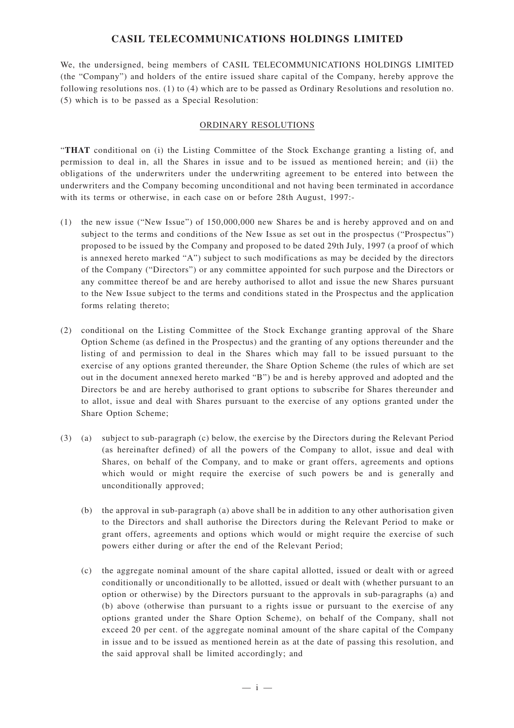## **CASIL TELECOMMUNICATIONS HOLDINGS LIMITED**

We, the undersigned, being members of CASIL TELECOMMUNICATIONS HOLDINGS LIMITED (the "Company") and holders of the entire issued share capital of the Company, hereby approve the following resolutions nos. (1) to (4) which are to be passed as Ordinary Resolutions and resolution no. (5) which is to be passed as a Special Resolution:

## ORDINARY RESOLUTIONS

"**THAT** conditional on (i) the Listing Committee of the Stock Exchange granting a listing of, and permission to deal in, all the Shares in issue and to be issued as mentioned herein; and (ii) the obligations of the underwriters under the underwriting agreement to be entered into between the underwriters and the Company becoming unconditional and not having been terminated in accordance with its terms or otherwise, in each case on or before 28th August, 1997:-

- (1) the new issue ("New Issue") of 150,000,000 new Shares be and is hereby approved and on and subject to the terms and conditions of the New Issue as set out in the prospectus ("Prospectus") proposed to be issued by the Company and proposed to be dated 29th July, 1997 (a proof of which is annexed hereto marked "A") subject to such modifications as may be decided by the directors of the Company ("Directors") or any committee appointed for such purpose and the Directors or any committee thereof be and are hereby authorised to allot and issue the new Shares pursuant to the New Issue subject to the terms and conditions stated in the Prospectus and the application forms relating thereto;
- (2) conditional on the Listing Committee of the Stock Exchange granting approval of the Share Option Scheme (as defined in the Prospectus) and the granting of any options thereunder and the listing of and permission to deal in the Shares which may fall to be issued pursuant to the exercise of any options granted thereunder, the Share Option Scheme (the rules of which are set out in the document annexed hereto marked "B") be and is hereby approved and adopted and the Directors be and are hereby authorised to grant options to subscribe for Shares thereunder and to allot, issue and deal with Shares pursuant to the exercise of any options granted under the Share Option Scheme;
- (3) (a) subject to sub-paragraph (c) below, the exercise by the Directors during the Relevant Period (as hereinafter defined) of all the powers of the Company to allot, issue and deal with Shares, on behalf of the Company, and to make or grant offers, agreements and options which would or might require the exercise of such powers be and is generally and unconditionally approved;
	- (b) the approval in sub-paragraph (a) above shall be in addition to any other authorisation given to the Directors and shall authorise the Directors during the Relevant Period to make or grant offers, agreements and options which would or might require the exercise of such powers either during or after the end of the Relevant Period;
	- (c) the aggregate nominal amount of the share capital allotted, issued or dealt with or agreed conditionally or unconditionally to be allotted, issued or dealt with (whether pursuant to an option or otherwise) by the Directors pursuant to the approvals in sub-paragraphs (a) and (b) above (otherwise than pursuant to a rights issue or pursuant to the exercise of any options granted under the Share Option Scheme), on behalf of the Company, shall not exceed 20 per cent. of the aggregate nominal amount of the share capital of the Company in issue and to be issued as mentioned herein as at the date of passing this resolution, and the said approval shall be limited accordingly; and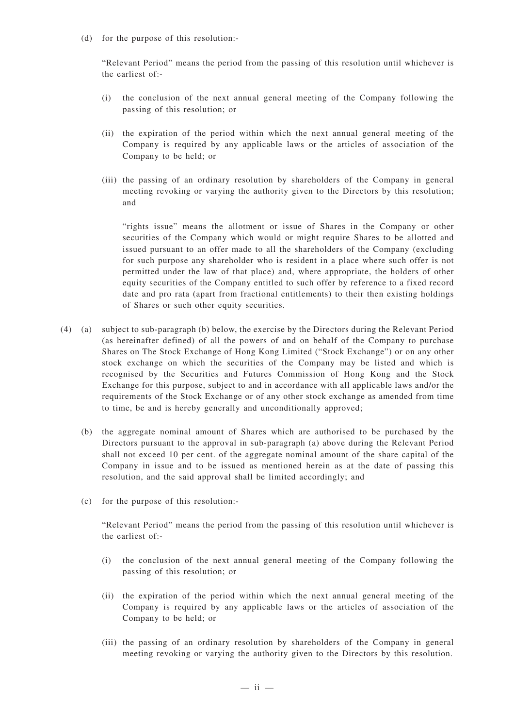(d) for the purpose of this resolution:-

"Relevant Period" means the period from the passing of this resolution until whichever is the earliest of:-

- (i) the conclusion of the next annual general meeting of the Company following the passing of this resolution; or
- (ii) the expiration of the period within which the next annual general meeting of the Company is required by any applicable laws or the articles of association of the Company to be held; or
- (iii) the passing of an ordinary resolution by shareholders of the Company in general meeting revoking or varying the authority given to the Directors by this resolution; and

"rights issue" means the allotment or issue of Shares in the Company or other securities of the Company which would or might require Shares to be allotted and issued pursuant to an offer made to all the shareholders of the Company (excluding for such purpose any shareholder who is resident in a place where such offer is not permitted under the law of that place) and, where appropriate, the holders of other equity securities of the Company entitled to such offer by reference to a fixed record date and pro rata (apart from fractional entitlements) to their then existing holdings of Shares or such other equity securities.

- (4) (a) subject to sub-paragraph (b) below, the exercise by the Directors during the Relevant Period (as hereinafter defined) of all the powers of and on behalf of the Company to purchase Shares on The Stock Exchange of Hong Kong Limited ("Stock Exchange") or on any other stock exchange on which the securities of the Company may be listed and which is recognised by the Securities and Futures Commission of Hong Kong and the Stock Exchange for this purpose, subject to and in accordance with all applicable laws and/or the requirements of the Stock Exchange or of any other stock exchange as amended from time to time, be and is hereby generally and unconditionally approved;
	- (b) the aggregate nominal amount of Shares which are authorised to be purchased by the Directors pursuant to the approval in sub-paragraph (a) above during the Relevant Period shall not exceed 10 per cent. of the aggregate nominal amount of the share capital of the Company in issue and to be issued as mentioned herein as at the date of passing this resolution, and the said approval shall be limited accordingly; and
	- (c) for the purpose of this resolution:-

"Relevant Period" means the period from the passing of this resolution until whichever is the earliest of:-

- (i) the conclusion of the next annual general meeting of the Company following the passing of this resolution; or
- (ii) the expiration of the period within which the next annual general meeting of the Company is required by any applicable laws or the articles of association of the Company to be held; or
- (iii) the passing of an ordinary resolution by shareholders of the Company in general meeting revoking or varying the authority given to the Directors by this resolution.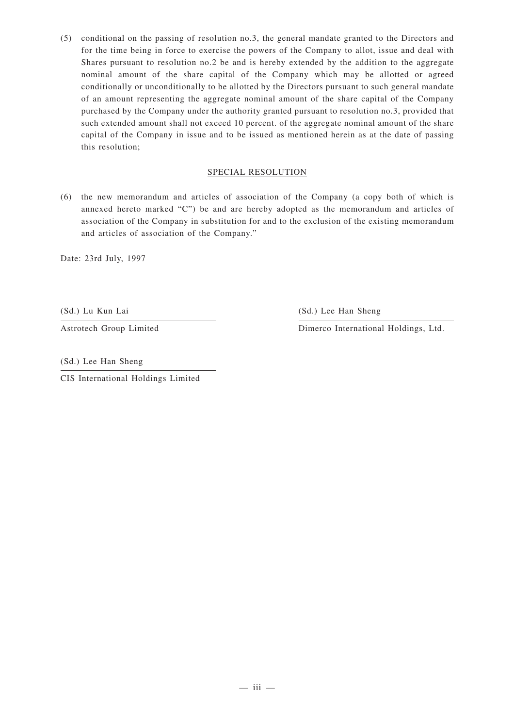(5) conditional on the passing of resolution no.3, the general mandate granted to the Directors and for the time being in force to exercise the powers of the Company to allot, issue and deal with Shares pursuant to resolution no.2 be and is hereby extended by the addition to the aggregate nominal amount of the share capital of the Company which may be allotted or agreed conditionally or unconditionally to be allotted by the Directors pursuant to such general mandate of an amount representing the aggregate nominal amount of the share capital of the Company purchased by the Company under the authority granted pursuant to resolution no.3, provided that such extended amount shall not exceed 10 percent. of the aggregate nominal amount of the share capital of the Company in issue and to be issued as mentioned herein as at the date of passing this resolution;

## SPECIAL RESOLUTION

(6) the new memorandum and articles of association of the Company (a copy both of which is annexed hereto marked "C") be and are hereby adopted as the memorandum and articles of association of the Company in substitution for and to the exclusion of the existing memorandum and articles of association of the Company."

Date: 23rd July, 1997

(Sd.) Lu Kun Lai

Astrotech Group Limited

(Sd.) Lee Han Sheng

Dimerco International Holdings, Ltd.

(Sd.) Lee Han Sheng

CIS International Holdings Limited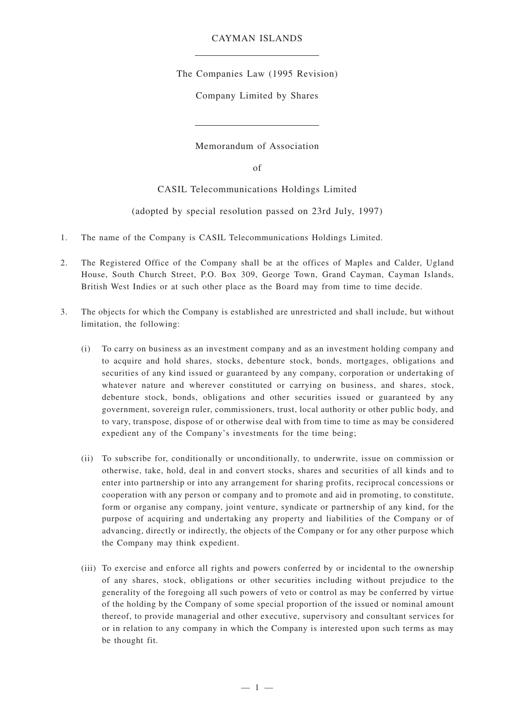## CAYMAN ISLANDS

The Companies Law (1995 Revision)

Company Limited by Shares

Memorandum of Association

of

CASIL Telecommunications Holdings Limited

(adopted by special resolution passed on 23rd July, 1997)

- 1. The name of the Company is CASIL Telecommunications Holdings Limited.
- 2. The Registered Office of the Company shall be at the offices of Maples and Calder, Ugland House, South Church Street, P.O. Box 309, George Town, Grand Cayman, Cayman Islands, British West Indies or at such other place as the Board may from time to time decide.
- 3. The objects for which the Company is established are unrestricted and shall include, but without limitation, the following:
	- (i) To carry on business as an investment company and as an investment holding company and to acquire and hold shares, stocks, debenture stock, bonds, mortgages, obligations and securities of any kind issued or guaranteed by any company, corporation or undertaking of whatever nature and wherever constituted or carrying on business, and shares, stock, debenture stock, bonds, obligations and other securities issued or guaranteed by any government, sovereign ruler, commissioners, trust, local authority or other public body, and to vary, transpose, dispose of or otherwise deal with from time to time as may be considered expedient any of the Company's investments for the time being;
	- (ii) To subscribe for, conditionally or unconditionally, to underwrite, issue on commission or otherwise, take, hold, deal in and convert stocks, shares and securities of all kinds and to enter into partnership or into any arrangement for sharing profits, reciprocal concessions or cooperation with any person or company and to promote and aid in promoting, to constitute, form or organise any company, joint venture, syndicate or partnership of any kind, for the purpose of acquiring and undertaking any property and liabilities of the Company or of advancing, directly or indirectly, the objects of the Company or for any other purpose which the Company may think expedient.
	- (iii) To exercise and enforce all rights and powers conferred by or incidental to the ownership of any shares, stock, obligations or other securities including without prejudice to the generality of the foregoing all such powers of veto or control as may be conferred by virtue of the holding by the Company of some special proportion of the issued or nominal amount thereof, to provide managerial and other executive, supervisory and consultant services for or in relation to any company in which the Company is interested upon such terms as may be thought fit.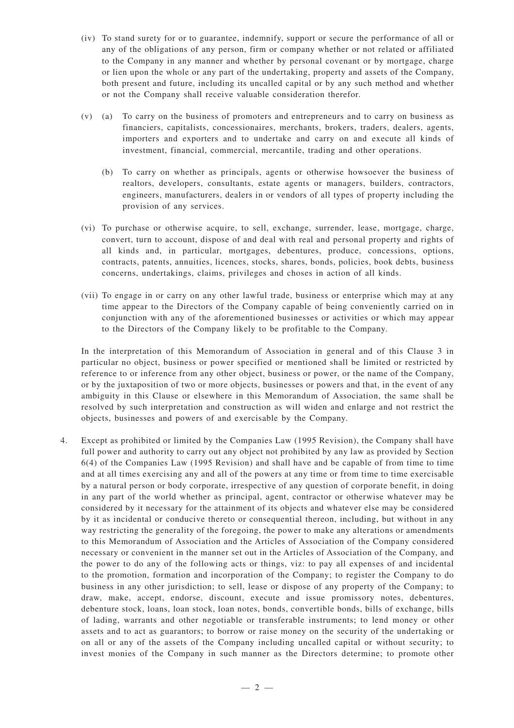- (iv) To stand surety for or to guarantee, indemnify, support or secure the performance of all or any of the obligations of any person, firm or company whether or not related or affiliated to the Company in any manner and whether by personal covenant or by mortgage, charge or lien upon the whole or any part of the undertaking, property and assets of the Company, both present and future, including its uncalled capital or by any such method and whether or not the Company shall receive valuable consideration therefor.
- (v) (a) To carry on the business of promoters and entrepreneurs and to carry on business as financiers, capitalists, concessionaires, merchants, brokers, traders, dealers, agents, importers and exporters and to undertake and carry on and execute all kinds of investment, financial, commercial, mercantile, trading and other operations.
	- (b) To carry on whether as principals, agents or otherwise howsoever the business of realtors, developers, consultants, estate agents or managers, builders, contractors, engineers, manufacturers, dealers in or vendors of all types of property including the provision of any services.
- (vi) To purchase or otherwise acquire, to sell, exchange, surrender, lease, mortgage, charge, convert, turn to account, dispose of and deal with real and personal property and rights of all kinds and, in particular, mortgages, debentures, produce, concessions, options, contracts, patents, annuities, licences, stocks, shares, bonds, policies, book debts, business concerns, undertakings, claims, privileges and choses in action of all kinds.
- (vii) To engage in or carry on any other lawful trade, business or enterprise which may at any time appear to the Directors of the Company capable of being conveniently carried on in conjunction with any of the aforementioned businesses or activities or which may appear to the Directors of the Company likely to be profitable to the Company.

In the interpretation of this Memorandum of Association in general and of this Clause 3 in particular no object, business or power specified or mentioned shall be limited or restricted by reference to or inference from any other object, business or power, or the name of the Company, or by the juxtaposition of two or more objects, businesses or powers and that, in the event of any ambiguity in this Clause or elsewhere in this Memorandum of Association, the same shall be resolved by such interpretation and construction as will widen and enlarge and not restrict the objects, businesses and powers of and exercisable by the Company.

4. Except as prohibited or limited by the Companies Law (1995 Revision), the Company shall have full power and authority to carry out any object not prohibited by any law as provided by Section 6(4) of the Companies Law (1995 Revision) and shall have and be capable of from time to time and at all times exercising any and all of the powers at any time or from time to time exercisable by a natural person or body corporate, irrespective of any question of corporate benefit, in doing in any part of the world whether as principal, agent, contractor or otherwise whatever may be considered by it necessary for the attainment of its objects and whatever else may be considered by it as incidental or conducive thereto or consequential thereon, including, but without in any way restricting the generality of the foregoing, the power to make any alterations or amendments to this Memorandum of Association and the Articles of Association of the Company considered necessary or convenient in the manner set out in the Articles of Association of the Company, and the power to do any of the following acts or things, viz: to pay all expenses of and incidental to the promotion, formation and incorporation of the Company; to register the Company to do business in any other jurisdiction; to sell, lease or dispose of any property of the Company; to draw, make, accept, endorse, discount, execute and issue promissory notes, debentures, debenture stock, loans, loan stock, loan notes, bonds, convertible bonds, bills of exchange, bills of lading, warrants and other negotiable or transferable instruments; to lend money or other assets and to act as guarantors; to borrow or raise money on the security of the undertaking or on all or any of the assets of the Company including uncalled capital or without security; to invest monies of the Company in such manner as the Directors determine; to promote other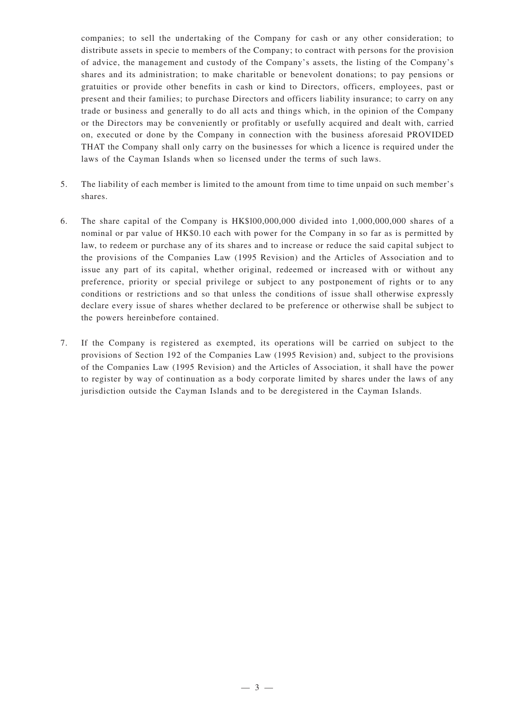companies; to sell the undertaking of the Company for cash or any other consideration; to distribute assets in specie to members of the Company; to contract with persons for the provision of advice, the management and custody of the Company's assets, the listing of the Company's shares and its administration; to make charitable or benevolent donations; to pay pensions or gratuities or provide other benefits in cash or kind to Directors, officers, employees, past or present and their families; to purchase Directors and officers liability insurance; to carry on any trade or business and generally to do all acts and things which, in the opinion of the Company or the Directors may be conveniently or profitably or usefully acquired and dealt with, carried on, executed or done by the Company in connection with the business aforesaid PROVIDED THAT the Company shall only carry on the businesses for which a licence is required under the laws of the Cayman Islands when so licensed under the terms of such laws.

- 5. The liability of each member is limited to the amount from time to time unpaid on such member's shares.
- 6. The share capital of the Company is HK\$l00,000,000 divided into 1,000,000,000 shares of a nominal or par value of HK\$0.10 each with power for the Company in so far as is permitted by law, to redeem or purchase any of its shares and to increase or reduce the said capital subject to the provisions of the Companies Law (1995 Revision) and the Articles of Association and to issue any part of its capital, whether original, redeemed or increased with or without any preference, priority or special privilege or subject to any postponement of rights or to any conditions or restrictions and so that unless the conditions of issue shall otherwise expressly declare every issue of shares whether declared to be preference or otherwise shall be subject to the powers hereinbefore contained.
- 7. If the Company is registered as exempted, its operations will be carried on subject to the provisions of Section 192 of the Companies Law (1995 Revision) and, subject to the provisions of the Companies Law (1995 Revision) and the Articles of Association, it shall have the power to register by way of continuation as a body corporate limited by shares under the laws of any jurisdiction outside the Cayman Islands and to be deregistered in the Cayman Islands.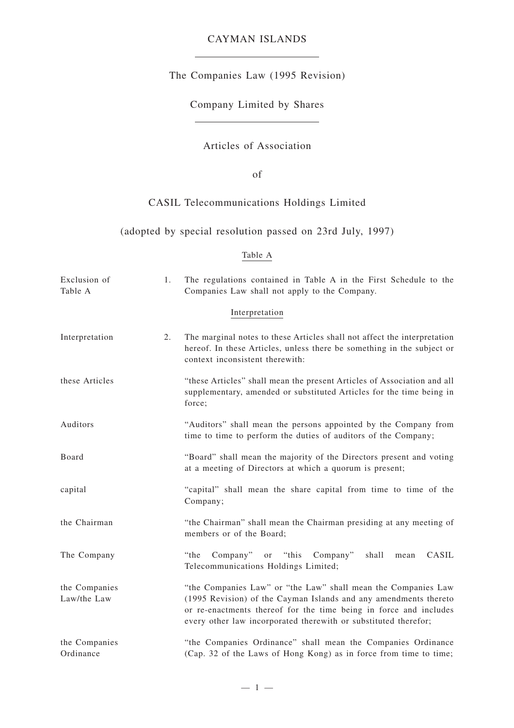# CAYMAN ISLANDS

The Companies Law (1995 Revision)

Company Limited by Shares

# Articles of Association

of

# CASIL Telecommunications Holdings Limited

## (adopted by special resolution passed on 23rd July, 1997)

## Table A

| Exclusion of<br>Table A      | 1. | The regulations contained in Table A in the First Schedule to the<br>Companies Law shall not apply to the Company.                                                                                                                                                        |
|------------------------------|----|---------------------------------------------------------------------------------------------------------------------------------------------------------------------------------------------------------------------------------------------------------------------------|
|                              |    | Interpretation                                                                                                                                                                                                                                                            |
| Interpretation               | 2. | The marginal notes to these Articles shall not affect the interpretation<br>hereof. In these Articles, unless there be something in the subject or<br>context inconsistent therewith:                                                                                     |
| these Articles               |    | "these Articles" shall mean the present Articles of Association and all<br>supplementary, amended or substituted Articles for the time being in<br>force;                                                                                                                 |
| Auditors                     |    | "Auditors" shall mean the persons appointed by the Company from<br>time to time to perform the duties of auditors of the Company;                                                                                                                                         |
| Board                        |    | "Board" shall mean the majority of the Directors present and voting<br>at a meeting of Directors at which a quorum is present;                                                                                                                                            |
| capital                      |    | "capital" shall mean the share capital from time to time of the<br>Company;                                                                                                                                                                                               |
| the Chairman                 |    | "the Chairman" shall mean the Chairman presiding at any meeting of<br>members or of the Board;                                                                                                                                                                            |
| The Company                  |    | "the<br>Company"<br>$Company$ "<br>CASIL<br>or "this<br>shall<br>mean<br>Telecommunications Holdings Limited;                                                                                                                                                             |
| the Companies<br>Law/the Law |    | "the Companies Law" or "the Law" shall mean the Companies Law<br>(1995 Revision) of the Cayman Islands and any amendments thereto<br>or re-enactments thereof for the time being in force and includes<br>every other law incorporated therewith or substituted therefor; |
| the Companies<br>Ordinance   |    | "the Companies Ordinance" shall mean the Companies Ordinance<br>(Cap. 32 of the Laws of Hong Kong) as in force from time to time;                                                                                                                                         |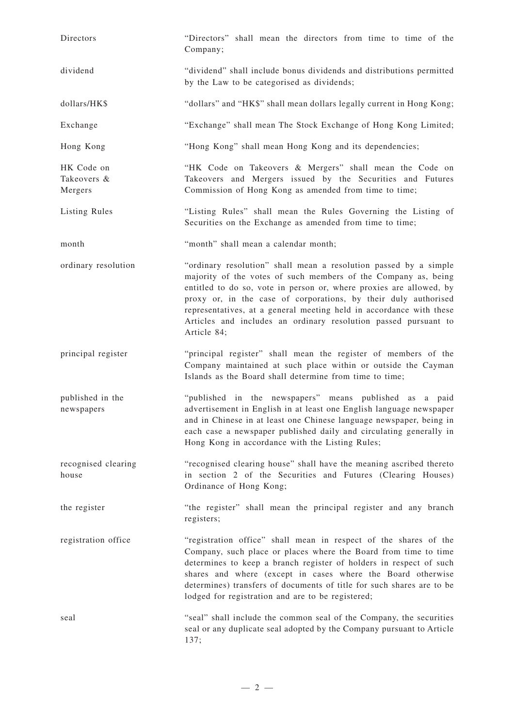| Directors                            | "Directors" shall mean the directors from time to time of the<br>Company;                                                                                                                                                                                                                                                                                                                                                             |  |  |  |
|--------------------------------------|---------------------------------------------------------------------------------------------------------------------------------------------------------------------------------------------------------------------------------------------------------------------------------------------------------------------------------------------------------------------------------------------------------------------------------------|--|--|--|
| dividend                             | "dividend" shall include bonus dividends and distributions permitted<br>by the Law to be categorised as dividends;                                                                                                                                                                                                                                                                                                                    |  |  |  |
| dollars/HK\$                         | "dollars" and "HK\$" shall mean dollars legally current in Hong Kong;                                                                                                                                                                                                                                                                                                                                                                 |  |  |  |
| Exchange                             | "Exchange" shall mean The Stock Exchange of Hong Kong Limited;                                                                                                                                                                                                                                                                                                                                                                        |  |  |  |
| Hong Kong                            | "Hong Kong" shall mean Hong Kong and its dependencies;                                                                                                                                                                                                                                                                                                                                                                                |  |  |  |
| HK Code on<br>Takeovers &<br>Mergers | "HK Code on Takeovers & Mergers" shall mean the Code on<br>Takeovers and Mergers issued by the Securities and Futures<br>Commission of Hong Kong as amended from time to time;                                                                                                                                                                                                                                                        |  |  |  |
| Listing Rules                        | "Listing Rules" shall mean the Rules Governing the Listing of<br>Securities on the Exchange as amended from time to time;                                                                                                                                                                                                                                                                                                             |  |  |  |
| month                                | "month" shall mean a calendar month;                                                                                                                                                                                                                                                                                                                                                                                                  |  |  |  |
| ordinary resolution                  | "ordinary resolution" shall mean a resolution passed by a simple<br>majority of the votes of such members of the Company as, being<br>entitled to do so, vote in person or, where proxies are allowed, by<br>proxy or, in the case of corporations, by their duly authorised<br>representatives, at a general meeting held in accordance with these<br>Articles and includes an ordinary resolution passed pursuant to<br>Article 84; |  |  |  |
| principal register                   | "principal register" shall mean the register of members of the<br>Company maintained at such place within or outside the Cayman<br>Islands as the Board shall determine from time to time;                                                                                                                                                                                                                                            |  |  |  |
| published in the<br>newspapers       | "published in the newspapers" means published as a paid<br>advertisement in English in at least one English language newspaper<br>and in Chinese in at least one Chinese language newspaper, being in<br>each case a newspaper published daily and circulating generally in<br>Hong Kong in accordance with the Listing Rules;                                                                                                        |  |  |  |
| recognised clearing<br>house         | "recognised clearing house" shall have the meaning ascribed thereto<br>in section 2 of the Securities and Futures (Clearing Houses)<br>Ordinance of Hong Kong;                                                                                                                                                                                                                                                                        |  |  |  |
| the register                         | "the register" shall mean the principal register and any branch<br>registers;                                                                                                                                                                                                                                                                                                                                                         |  |  |  |
| registration office                  | "registration office" shall mean in respect of the shares of the<br>Company, such place or places where the Board from time to time<br>determines to keep a branch register of holders in respect of such<br>shares and where (except in cases where the Board otherwise<br>determines) transfers of documents of title for such shares are to be<br>lodged for registration and are to be registered;                                |  |  |  |
| seal                                 | "seal" shall include the common seal of the Company, the securities<br>seal or any duplicate seal adopted by the Company pursuant to Article<br>137;                                                                                                                                                                                                                                                                                  |  |  |  |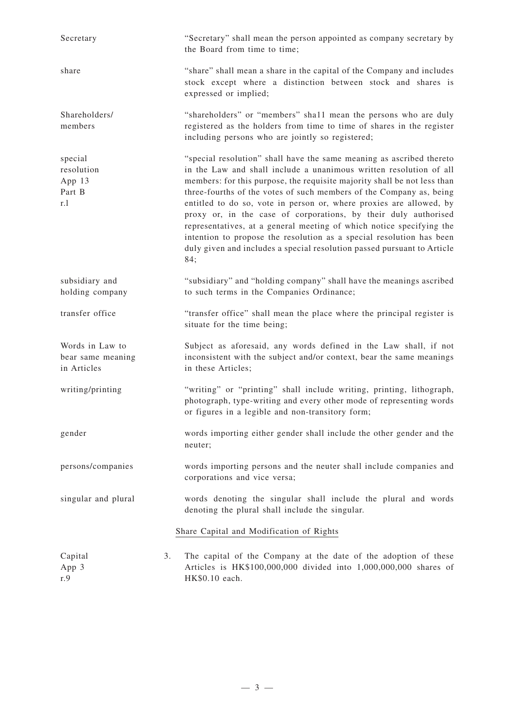| Secretary                                           | "Secretary" shall mean the person appointed as company secretary by<br>the Board from time to time;                                                                                                                                                                                                                                                                                                                                                                                                                                                                                                                                                                       |
|-----------------------------------------------------|---------------------------------------------------------------------------------------------------------------------------------------------------------------------------------------------------------------------------------------------------------------------------------------------------------------------------------------------------------------------------------------------------------------------------------------------------------------------------------------------------------------------------------------------------------------------------------------------------------------------------------------------------------------------------|
| share                                               | "share" shall mean a share in the capital of the Company and includes<br>stock except where a distinction between stock and shares is<br>expressed or implied;                                                                                                                                                                                                                                                                                                                                                                                                                                                                                                            |
| Shareholders/<br>members                            | "shareholders" or "members" shall mean the persons who are duly<br>registered as the holders from time to time of shares in the register<br>including persons who are jointly so registered;                                                                                                                                                                                                                                                                                                                                                                                                                                                                              |
| special<br>resolution<br>App 13<br>Part B<br>r.1    | "special resolution" shall have the same meaning as ascribed thereto<br>in the Law and shall include a unanimous written resolution of all<br>members: for this purpose, the requisite majority shall be not less than<br>three-fourths of the votes of such members of the Company as, being<br>entitled to do so, vote in person or, where proxies are allowed, by<br>proxy or, in the case of corporations, by their duly authorised<br>representatives, at a general meeting of which notice specifying the<br>intention to propose the resolution as a special resolution has been<br>duly given and includes a special resolution passed pursuant to Article<br>84; |
| subsidiary and<br>holding company                   | "subsidiary" and "holding company" shall have the meanings ascribed<br>to such terms in the Companies Ordinance;                                                                                                                                                                                                                                                                                                                                                                                                                                                                                                                                                          |
| transfer office                                     | "transfer office" shall mean the place where the principal register is<br>situate for the time being;                                                                                                                                                                                                                                                                                                                                                                                                                                                                                                                                                                     |
| Words in Law to<br>bear same meaning<br>in Articles | Subject as aforesaid, any words defined in the Law shall, if not<br>inconsistent with the subject and/or context, bear the same meanings<br>in these Articles;                                                                                                                                                                                                                                                                                                                                                                                                                                                                                                            |
| writing/printing                                    | "writing" or "printing" shall include writing, printing, lithograph,<br>photograph, type-writing and every other mode of representing words<br>or figures in a legible and non-transitory form;                                                                                                                                                                                                                                                                                                                                                                                                                                                                           |
| gender                                              | words importing either gender shall include the other gender and the<br>neuter;                                                                                                                                                                                                                                                                                                                                                                                                                                                                                                                                                                                           |
| persons/companies                                   | words importing persons and the neuter shall include companies and<br>corporations and vice versa;                                                                                                                                                                                                                                                                                                                                                                                                                                                                                                                                                                        |
| singular and plural                                 | words denoting the singular shall include the plural and words<br>denoting the plural shall include the singular.                                                                                                                                                                                                                                                                                                                                                                                                                                                                                                                                                         |
|                                                     | Share Capital and Modification of Rights                                                                                                                                                                                                                                                                                                                                                                                                                                                                                                                                                                                                                                  |
| 3.<br>Capital<br>App 3<br>r.9                       | The capital of the Company at the date of the adoption of these<br>Articles is HK\$100,000,000 divided into 1,000,000,000 shares of<br>HK\$0.10 each.                                                                                                                                                                                                                                                                                                                                                                                                                                                                                                                     |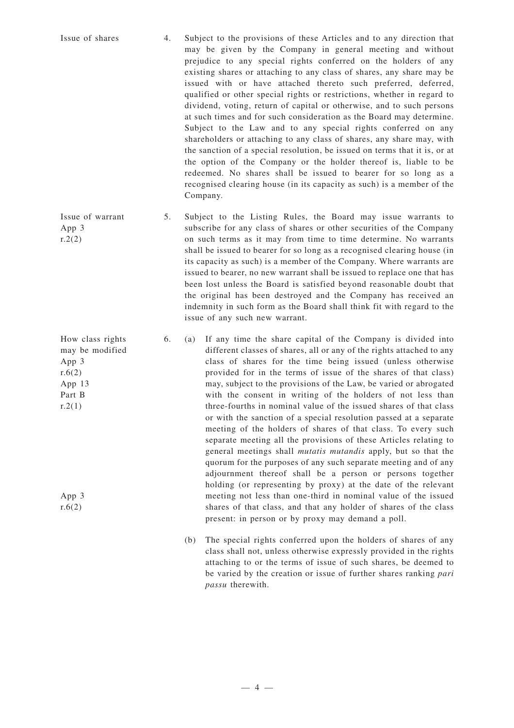Issue of shares 4. Subject to the provisions of these Articles and to any direction that may be given by the Company in general meeting and without prejudice to any special rights conferred on the holders of any existing shares or attaching to any class of shares, any share may be issued with or have attached thereto such preferred, deferred, qualified or other special rights or restrictions, whether in regard to dividend, voting, return of capital or otherwise, and to such persons at such times and for such consideration as the Board may determine. Subject to the Law and to any special rights conferred on any shareholders or attaching to any class of shares, any share may, with the sanction of a special resolution, be issued on terms that it is, or at the option of the Company or the holder thereof is, liable to be redeemed. No shares shall be issued to bearer for so long as a recognised clearing house (in its capacity as such) is a member of the Company.

Issue of warrant App 3  $r.2(2)$ 5. Subject to the Listing Rules, the Board may issue warrants to subscribe for any class of shares or other securities of the Company on such terms as it may from time to time determine. No warrants shall be issued to bearer for so long as a recognised clearing house (in its capacity as such) is a member of the Company. Where warrants are issued to bearer, no new warrant shall be issued to replace one that has been lost unless the Board is satisfied beyond reasonable doubt that the original has been destroyed and the Company has received an indemnity in such form as the Board shall think fit with regard to the issue of any such new warrant.

- 6. (a) If any time the share capital of the Company is divided into different classes of shares, all or any of the rights attached to any class of shares for the time being issued (unless otherwise provided for in the terms of issue of the shares of that class) may, subject to the provisions of the Law, be varied or abrogated with the consent in writing of the holders of not less than three-fourths in nominal value of the issued shares of that class or with the sanction of a special resolution passed at a separate meeting of the holders of shares of that class. To every such separate meeting all the provisions of these Articles relating to general meetings shall *mutatis mutandis* apply, but so that the quorum for the purposes of any such separate meeting and of any adjournment thereof shall be a person or persons together holding (or representing by proxy) at the date of the relevant meeting not less than one-third in nominal value of the issued shares of that class, and that any holder of shares of the class present: in person or by proxy may demand a poll.
	- (b) The special rights conferred upon the holders of shares of any class shall not, unless otherwise expressly provided in the rights attaching to or the terms of issue of such shares, be deemed to be varied by the creation or issue of further shares ranking *pari passu* therewith.

How class rights may be modified App 3  $r.6(2)$ App 13 Part B  $r.2(1)$ 

App 3  $r.6(2)$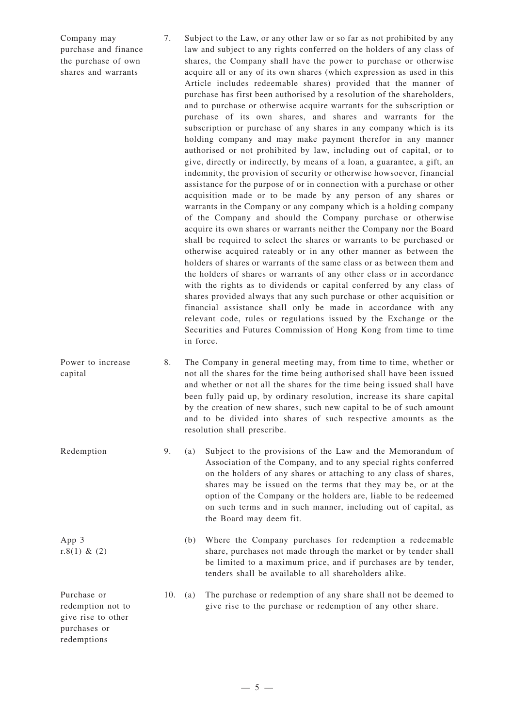Company may purchase and finance the purchase of own shares and warrants

7. Subject to the Law, or any other law or so far as not prohibited by any law and subject to any rights conferred on the holders of any class of shares, the Company shall have the power to purchase or otherwise acquire all or any of its own shares (which expression as used in this Article includes redeemable shares) provided that the manner of purchase has first been authorised by a resolution of the shareholders, and to purchase or otherwise acquire warrants for the subscription or purchase of its own shares, and shares and warrants for the subscription or purchase of any shares in any company which is its holding company and may make payment therefor in any manner authorised or not prohibited by law, including out of capital, or to give, directly or indirectly, by means of a loan, a guarantee, a gift, an indemnity, the provision of security or otherwise howsoever, financial assistance for the purpose of or in connection with a purchase or other acquisition made or to be made by any person of any shares or warrants in the Company or any company which is a holding company of the Company and should the Company purchase or otherwise acquire its own shares or warrants neither the Company nor the Board shall be required to select the shares or warrants to be purchased or otherwise acquired rateably or in any other manner as between the holders of shares or warrants of the same class or as between them and the holders of shares or warrants of any other class or in accordance with the rights as to dividends or capital conferred by any class of shares provided always that any such purchase or other acquisition or financial assistance shall only be made in accordance with any relevant code, rules or regulations issued by the Exchange or the Securities and Futures Commission of Hong Kong from time to time in force.

Power to increase capital 8. The Company in general meeting may, from time to time, whether or not all the shares for the time being authorised shall have been issued and whether or not all the shares for the time being issued shall have been fully paid up, by ordinary resolution, increase its share capital by the creation of new shares, such new capital to be of such amount and to be divided into shares of such respective amounts as the resolution shall prescribe.

- Redemption 9. (a) Subject to the provisions of the Law and the Memorandum of Association of the Company, and to any special rights conferred on the holders of any shares or attaching to any class of shares, shares may be issued on the terms that they may be, or at the option of the Company or the holders are, liable to be redeemed on such terms and in such manner, including out of capital, as the Board may deem fit.
	- (b) Where the Company purchases for redemption a redeemable share, purchases not made through the market or by tender shall be limited to a maximum price, and if purchases are by tender, tenders shall be available to all shareholders alike.
	- 10. (a) The purchase or redemption of any share shall not be deemed to give rise to the purchase or redemption of any other share.

Purchase or redemption not to give rise to other purchases or redemptions

App 3 r.8(1) & (2)

 $-5-$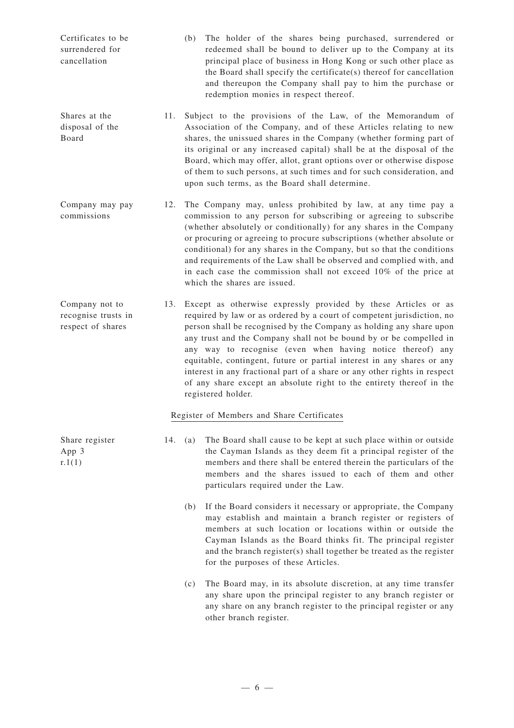| Certificates to be | (b) The holder of the shares being purchased, surrendered or        |  |
|--------------------|---------------------------------------------------------------------|--|
| surrendered for    | redeemed shall be bound to deliver up to the Company at its         |  |
| cancellation       | principal place of business in Hong Kong or such other place as     |  |
|                    | the Board shall specify the certificate(s) thereof for cancellation |  |
|                    | and thereupon the Company shall pay to him the purchase or          |  |
|                    | redemption monies in respect thereof.                               |  |
|                    |                                                                     |  |
| Shares at the      | 11 Subject to the provisions of the Law of the Memorandum of        |  |

- Shares at the disposal of the Board 11. Subject to the provisions of the Law, of the Memorandum of Association of the Company, and of these Articles relating to new shares, the unissued shares in the Company (whether forming part of its original or any increased capital) shall be at the disposal of the Board, which may offer, allot, grant options over or otherwise dispose of them to such persons, at such times and for such consideration, and upon such terms, as the Board shall determine.
- Company may pay commissions 12. The Company may, unless prohibited by law, at any time pay a commission to any person for subscribing or agreeing to subscribe (whether absolutely or conditionally) for any shares in the Company or procuring or agreeing to procure subscriptions (whether absolute or conditional) for any shares in the Company, but so that the conditions and requirements of the Law shall be observed and complied with, and in each case the commission shall not exceed 10% of the price at which the shares are issued.
- Company not to recognise trusts in respect of shares 13. Except as otherwise expressly provided by these Articles or as required by law or as ordered by a court of competent jurisdiction, no person shall be recognised by the Company as holding any share upon any trust and the Company shall not be bound by or be compelled in any way to recognise (even when having notice thereof) any equitable, contingent, future or partial interest in any shares or any interest in any fractional part of a share or any other rights in respect of any share except an absolute right to the entirety thereof in the registered holder.

## Register of Members and Share Certificates

- 14. (a) The Board shall cause to be kept at such place within or outside the Cayman Islands as they deem fit a principal register of the members and there shall be entered therein the particulars of the members and the shares issued to each of them and other particulars required under the Law.
	- (b) If the Board considers it necessary or appropriate, the Company may establish and maintain a branch register or registers of members at such location or locations within or outside the Cayman Islands as the Board thinks fit. The principal register and the branch register(s) shall together be treated as the register for the purposes of these Articles.
	- (c) The Board may, in its absolute discretion, at any time transfer any share upon the principal register to any branch register or any share on any branch register to the principal register or any other branch register.

Share register App 3  $r.1(1)$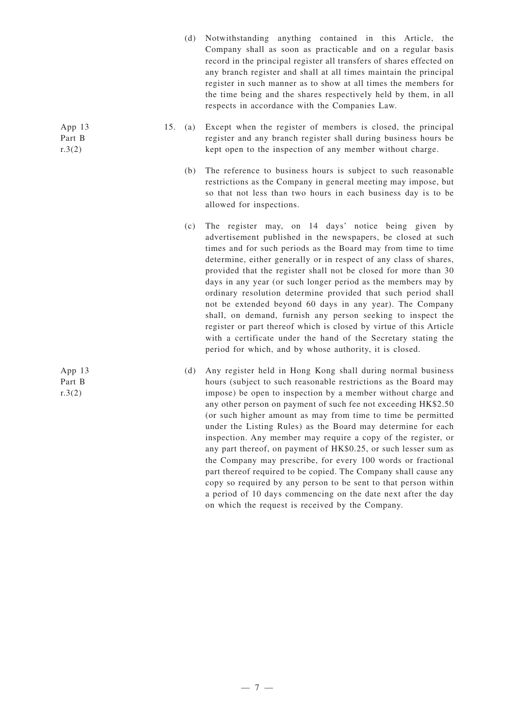- (d) Notwithstanding anything contained in this Article, the Company shall as soon as practicable and on a regular basis record in the principal register all transfers of shares effected on any branch register and shall at all times maintain the principal register in such manner as to show at all times the members for the time being and the shares respectively held by them, in all respects in accordance with the Companies Law.
- 15. (a) Except when the register of members is closed, the principal register and any branch register shall during business hours be kept open to the inspection of any member without charge.
	- (b) The reference to business hours is subject to such reasonable restrictions as the Company in general meeting may impose, but so that not less than two hours in each business day is to be allowed for inspections.
	- (c) The register may, on 14 days' notice being given by advertisement published in the newspapers, be closed at such times and for such periods as the Board may from time to time determine, either generally or in respect of any class of shares, provided that the register shall not be closed for more than 30 days in any year (or such longer period as the members may by ordinary resolution determine provided that such period shall not be extended beyond 60 days in any year). The Company shall, on demand, furnish any person seeking to inspect the register or part thereof which is closed by virtue of this Article with a certificate under the hand of the Secretary stating the period for which, and by whose authority, it is closed.
	- (d) Any register held in Hong Kong shall during normal business hours (subject to such reasonable restrictions as the Board may impose) be open to inspection by a member without charge and any other person on payment of such fee not exceeding HK\$2.50 (or such higher amount as may from time to time be permitted under the Listing Rules) as the Board may determine for each inspection. Any member may require a copy of the register, or any part thereof, on payment of HK\$0.25, or such lesser sum as the Company may prescribe, for every 100 words or fractional part thereof required to be copied. The Company shall cause any copy so required by any person to be sent to that person within a period of 10 days commencing on the date next after the day on which the request is received by the Company.

App 13 Part B  $r.3(2)$ 

App 13 Part B  $r.3(2)$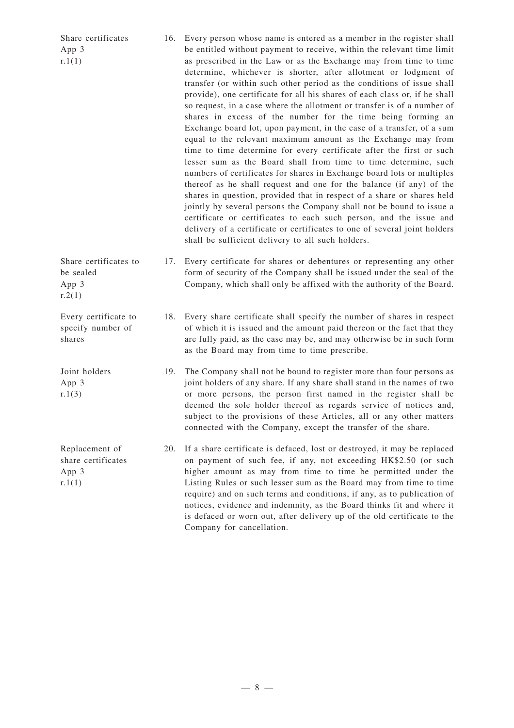| Share certificates<br>App 3<br>r.1(1)                   |     | 16. Every person whose name is entered as a member in the register shall<br>be entitled without payment to receive, within the relevant time limit<br>as prescribed in the Law or as the Exchange may from time to time<br>determine, whichever is shorter, after allotment or lodgment of<br>transfer (or within such other period as the conditions of issue shall<br>provide), one certificate for all his shares of each class or, if he shall<br>so request, in a case where the allotment or transfer is of a number of<br>shares in excess of the number for the time being forming an<br>Exchange board lot, upon payment, in the case of a transfer, of a sum<br>equal to the relevant maximum amount as the Exchange may from<br>time to time determine for every certificate after the first or such<br>lesser sum as the Board shall from time to time determine, such<br>numbers of certificates for shares in Exchange board lots or multiples<br>thereof as he shall request and one for the balance (if any) of the<br>shares in question, provided that in respect of a share or shares held<br>jointly by several persons the Company shall not be bound to issue a<br>certificate or certificates to each such person, and the issue and<br>delivery of a certificate or certificates to one of several joint holders<br>shall be sufficient delivery to all such holders. |
|---------------------------------------------------------|-----|-----------------------------------------------------------------------------------------------------------------------------------------------------------------------------------------------------------------------------------------------------------------------------------------------------------------------------------------------------------------------------------------------------------------------------------------------------------------------------------------------------------------------------------------------------------------------------------------------------------------------------------------------------------------------------------------------------------------------------------------------------------------------------------------------------------------------------------------------------------------------------------------------------------------------------------------------------------------------------------------------------------------------------------------------------------------------------------------------------------------------------------------------------------------------------------------------------------------------------------------------------------------------------------------------------------------------------------------------------------------------------------------------|
| Share certificates to<br>be sealed<br>App 3<br>r.2(1)   | 17. | Every certificate for shares or debentures or representing any other<br>form of security of the Company shall be issued under the seal of the<br>Company, which shall only be affixed with the authority of the Board.                                                                                                                                                                                                                                                                                                                                                                                                                                                                                                                                                                                                                                                                                                                                                                                                                                                                                                                                                                                                                                                                                                                                                                        |
| Every certificate to<br>specify number of<br>shares     |     | 18. Every share certificate shall specify the number of shares in respect<br>of which it is issued and the amount paid thereon or the fact that they<br>are fully paid, as the case may be, and may otherwise be in such form<br>as the Board may from time to time prescribe.                                                                                                                                                                                                                                                                                                                                                                                                                                                                                                                                                                                                                                                                                                                                                                                                                                                                                                                                                                                                                                                                                                                |
| Joint holders<br>App 3<br>r.1(3)                        | 19. | The Company shall not be bound to register more than four persons as<br>joint holders of any share. If any share shall stand in the names of two<br>or more persons, the person first named in the register shall be<br>deemed the sole holder thereof as regards service of notices and,<br>subject to the provisions of these Articles, all or any other matters<br>connected with the Company, except the transfer of the share.                                                                                                                                                                                                                                                                                                                                                                                                                                                                                                                                                                                                                                                                                                                                                                                                                                                                                                                                                           |
| Replacement of<br>share certificates<br>App 3<br>r.1(1) | 20. | If a share certificate is defaced, lost or destroyed, it may be replaced<br>on payment of such fee, if any, not exceeding HK\$2.50 (or such<br>higher amount as may from time to time be permitted under the<br>Listing Rules or such lesser sum as the Board may from time to time<br>require) and on such terms and conditions, if any, as to publication of<br>notices, evidence and indemnity, as the Board thinks fit and where it<br>is defaced or worn out, after delivery up of the old certificate to the<br>Company for cancellation.                                                                                                                                                                                                                                                                                                                                                                                                                                                                                                                                                                                                                                                                                                                                                                                                                                               |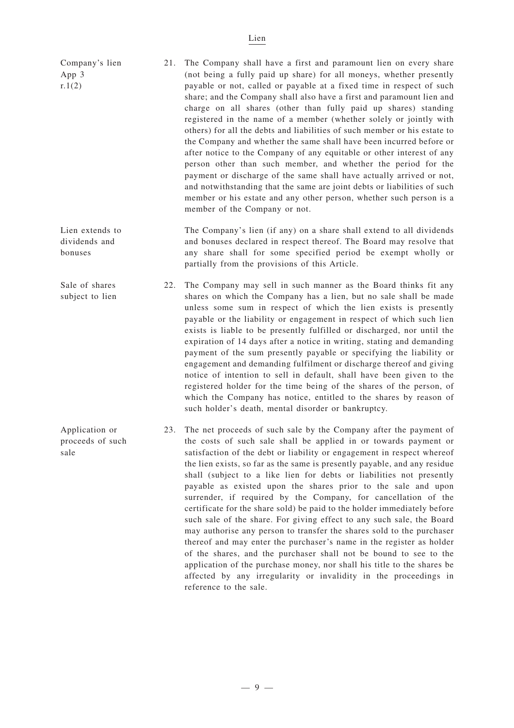## Lien

| Company's lien<br>App 3<br>r.1(2)           | 21. | The Company shall have a first and paramount lien on every share<br>(not being a fully paid up share) for all moneys, whether presently<br>payable or not, called or payable at a fixed time in respect of such<br>share; and the Company shall also have a first and paramount lien and<br>charge on all shares (other than fully paid up shares) standing<br>registered in the name of a member (whether solely or jointly with<br>others) for all the debts and liabilities of such member or his estate to<br>the Company and whether the same shall have been incurred before or<br>after notice to the Company of any equitable or other interest of any<br>person other than such member, and whether the period for the<br>payment or discharge of the same shall have actually arrived or not,<br>and notwithstanding that the same are joint debts or liabilities of such<br>member or his estate and any other person, whether such person is a<br>member of the Company or not.                                                                 |
|---------------------------------------------|-----|-------------------------------------------------------------------------------------------------------------------------------------------------------------------------------------------------------------------------------------------------------------------------------------------------------------------------------------------------------------------------------------------------------------------------------------------------------------------------------------------------------------------------------------------------------------------------------------------------------------------------------------------------------------------------------------------------------------------------------------------------------------------------------------------------------------------------------------------------------------------------------------------------------------------------------------------------------------------------------------------------------------------------------------------------------------|
| Lien extends to<br>dividends and<br>bonuses |     | The Company's lien (if any) on a share shall extend to all dividends<br>and bonuses declared in respect thereof. The Board may resolve that<br>any share shall for some specified period be exempt wholly or<br>partially from the provisions of this Article.                                                                                                                                                                                                                                                                                                                                                                                                                                                                                                                                                                                                                                                                                                                                                                                              |
| Sale of shares<br>subject to lien           | 22. | The Company may sell in such manner as the Board thinks fit any<br>shares on which the Company has a lien, but no sale shall be made<br>unless some sum in respect of which the lien exists is presently<br>payable or the liability or engagement in respect of which such lien<br>exists is liable to be presently fulfilled or discharged, nor until the<br>expiration of 14 days after a notice in writing, stating and demanding<br>payment of the sum presently payable or specifying the liability or<br>engagement and demanding fulfilment or discharge thereof and giving<br>notice of intention to sell in default, shall have been given to the<br>registered holder for the time being of the shares of the person, of<br>which the Company has notice, entitled to the shares by reason of<br>such holder's death, mental disorder or bankruptcy.                                                                                                                                                                                             |
| Application or<br>proceeds of such<br>sale  | 23. | The net proceeds of such sale by the Company after the payment of<br>the costs of such sale shall be applied in or towards payment or<br>satisfaction of the debt or liability or engagement in respect whereof<br>the lien exists, so far as the same is presently payable, and any residue<br>shall (subject to a like lien for debts or liabilities not presently<br>payable as existed upon the shares prior to the sale and upon<br>surrender, if required by the Company, for cancellation of the<br>certificate for the share sold) be paid to the holder immediately before<br>such sale of the share. For giving effect to any such sale, the Board<br>may authorise any person to transfer the shares sold to the purchaser<br>thereof and may enter the purchaser's name in the register as holder<br>of the shares, and the purchaser shall not be bound to see to the<br>application of the purchase money, nor shall his title to the shares be<br>affected by any irregularity or invalidity in the proceedings in<br>reference to the sale. |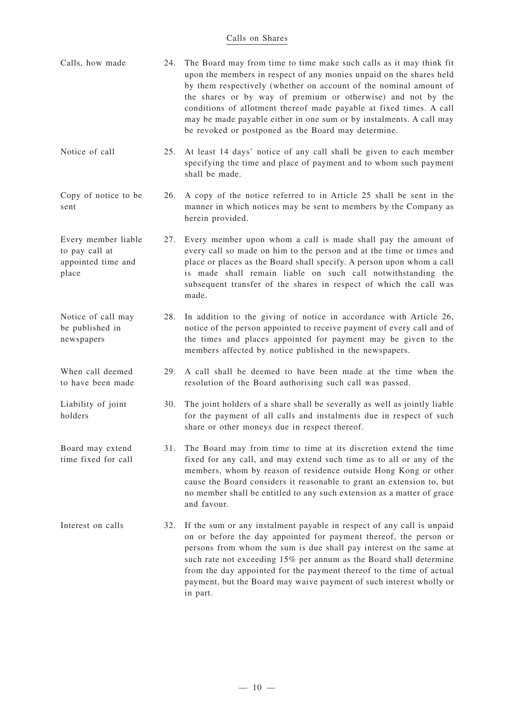## Calls on Shares

| Calls, how made                                                      | 24. | The Board may from time to time make such calls as it may think fit<br>upon the members in respect of any monies unpaid on the shares held<br>by them respectively (whether on account of the nominal amount of<br>the shares or by way of premium or otherwise) and not by the<br>conditions of allotment thereof made payable at fixed times. A call<br>may be made payable either in one sum or by instalments. A call may<br>be revoked or postponed as the Board may determine. |
|----------------------------------------------------------------------|-----|--------------------------------------------------------------------------------------------------------------------------------------------------------------------------------------------------------------------------------------------------------------------------------------------------------------------------------------------------------------------------------------------------------------------------------------------------------------------------------------|
| Notice of call                                                       | 25. | At least 14 days' notice of any call shall be given to each member<br>specifying the time and place of payment and to whom such payment<br>shall be made.                                                                                                                                                                                                                                                                                                                            |
| Copy of notice to be<br>sent                                         | 26. | A copy of the notice referred to in Article 25 shall be sent in the<br>manner in which notices may be sent to members by the Company as<br>herein provided.                                                                                                                                                                                                                                                                                                                          |
| Every member liable<br>to pay call at<br>appointed time and<br>place | 27. | Every member upon whom a call is made shall pay the amount of<br>every call so made on him to the person and at the time or times and<br>place or places as the Board shall specify. A person upon whom a call<br>is made shall remain liable on such call notwithstanding the<br>subsequent transfer of the shares in respect of which the call was<br>made.                                                                                                                        |
| Notice of call may<br>be published in<br>newspapers                  | 28. | In addition to the giving of notice in accordance with Article 26,<br>notice of the person appointed to receive payment of every call and of<br>the times and places appointed for payment may be given to the<br>members affected by notice published in the newspapers.                                                                                                                                                                                                            |
| When call deemed<br>to have been made                                | 29. | A call shall be deemed to have been made at the time when the<br>resolution of the Board authorising such call was passed.                                                                                                                                                                                                                                                                                                                                                           |
| Liability of joint<br>holders                                        | 30. | The joint holders of a share shall be severally as well as jointly liable<br>for the payment of all calls and instalments due in respect of such<br>share or other moneys due in respect thereof.                                                                                                                                                                                                                                                                                    |
| Board may extend<br>time fixed for call                              | 31. | The Board may from time to time at its discretion extend the time<br>fixed for any call, and may extend such time as to all or any of the<br>members, whom by reason of residence outside Hong Kong or other<br>cause the Board considers it reasonable to grant an extension to, but<br>no member shall be entitled to any such extension as a matter of grace<br>and favour.                                                                                                       |
| Interest on calls                                                    | 32. | If the sum or any instalment payable in respect of any call is unpaid<br>on or before the day appointed for payment thereof, the person or<br>persons from whom the sum is due shall pay interest on the same at<br>such rate not exceeding 15% per annum as the Board shall determine<br>from the day appointed for the payment thereof to the time of actual<br>payment, but the Board may waive payment of such interest wholly or<br>in part.                                    |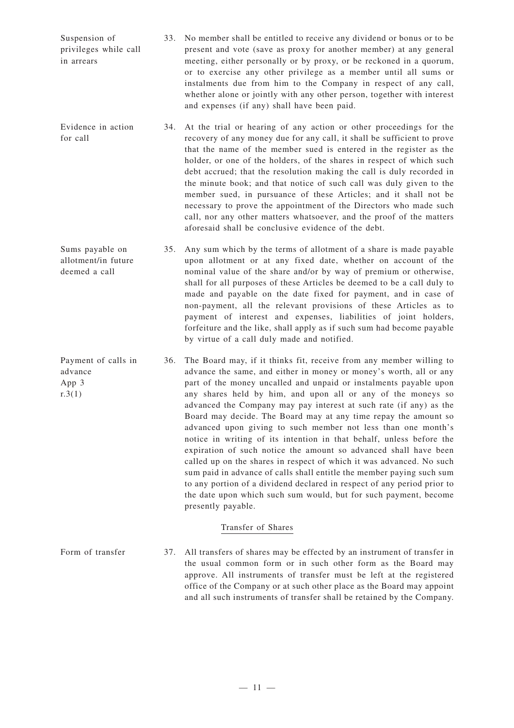| Suspension of         | 33. No member shall be entitled to receive any dividend or bonus or to be |
|-----------------------|---------------------------------------------------------------------------|
| privileges while call | present and vote (save as proxy for another member) at any general        |
| in arrears            | meeting, either personally or by proxy, or be reckoned in a quorum,       |
|                       | or to exercise any other privilege as a member until all sums or          |
|                       | instalments due from him to the Company in respect of any call,           |
|                       | whether alone or jointly with any other person, together with interest    |
|                       | and expenses (if any) shall have been paid.                               |

- Evidence in action for call 34. At the trial or hearing of any action or other proceedings for the recovery of any money due for any call, it shall be sufficient to prove that the name of the member sued is entered in the register as the holder, or one of the holders, of the shares in respect of which such debt accrued; that the resolution making the call is duly recorded in the minute book; and that notice of such call was duly given to the member sued, in pursuance of these Articles; and it shall not be necessary to prove the appointment of the Directors who made such call, nor any other matters whatsoever, and the proof of the matters aforesaid shall be conclusive evidence of the debt.
- Sums payable on allotment/in future deemed a call 35. Any sum which by the terms of allotment of a share is made payable upon allotment or at any fixed date, whether on account of the nominal value of the share and/or by way of premium or otherwise, shall for all purposes of these Articles be deemed to be a call duly to made and payable on the date fixed for payment, and in case of non-payment, all the relevant provisions of these Articles as to payment of interest and expenses, liabilities of joint holders, forfeiture and the like, shall apply as if such sum had become payable by virtue of a call duly made and notified.
- Payment of calls in advance App 3 r.3(1) 36. The Board may, if it thinks fit, receive from any member willing to advance the same, and either in money or money's worth, all or any part of the money uncalled and unpaid or instalments payable upon any shares held by him, and upon all or any of the moneys so advanced the Company may pay interest at such rate (if any) as the Board may decide. The Board may at any time repay the amount so advanced upon giving to such member not less than one month's notice in writing of its intention in that behalf, unless before the expiration of such notice the amount so advanced shall have been called up on the shares in respect of which it was advanced. No such sum paid in advance of calls shall entitle the member paying such sum to any portion of a dividend declared in respect of any period prior to the date upon which such sum would, but for such payment, become presently payable.

## Transfer of Shares

Form of transfer 37. All transfers of shares may be effected by an instrument of transfer in the usual common form or in such other form as the Board may approve. All instruments of transfer must be left at the registered office of the Company or at such other place as the Board may appoint and all such instruments of transfer shall be retained by the Company.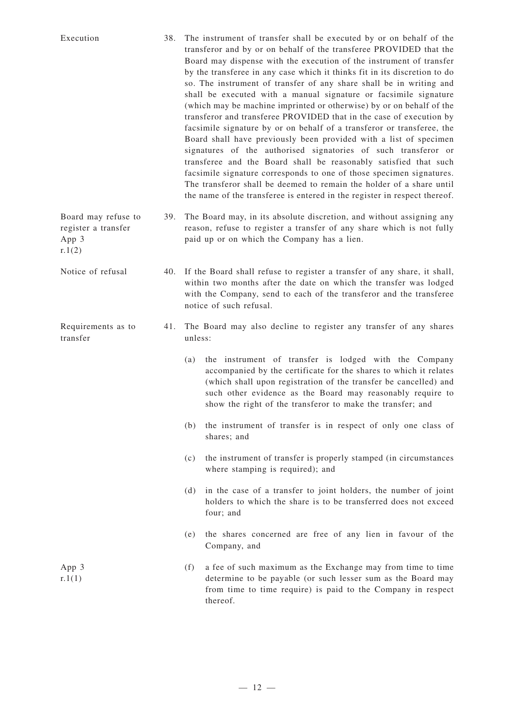| Execution                                                     | 38. | The instrument of transfer shall be executed by or on behalf of the<br>transferor and by or on behalf of the transferee PROVIDED that the<br>Board may dispense with the execution of the instrument of transfer<br>by the transferee in any case which it thinks fit in its discretion to do<br>so. The instrument of transfer of any share shall be in writing and<br>shall be executed with a manual signature or facsimile signature<br>(which may be machine imprinted or otherwise) by or on behalf of the<br>transferor and transferee PROVIDED that in the case of execution by<br>facsimile signature by or on behalf of a transferor or transferee, the<br>Board shall have previously been provided with a list of specimen<br>signatures of the authorised signatories of such transferor or<br>transferee and the Board shall be reasonably satisfied that such<br>facsimile signature corresponds to one of those specimen signatures.<br>The transferor shall be deemed to remain the holder of a share until<br>the name of the transferee is entered in the register in respect thereof. |                                                                                                                                                                                                                                                                                                                            |
|---------------------------------------------------------------|-----|-----------------------------------------------------------------------------------------------------------------------------------------------------------------------------------------------------------------------------------------------------------------------------------------------------------------------------------------------------------------------------------------------------------------------------------------------------------------------------------------------------------------------------------------------------------------------------------------------------------------------------------------------------------------------------------------------------------------------------------------------------------------------------------------------------------------------------------------------------------------------------------------------------------------------------------------------------------------------------------------------------------------------------------------------------------------------------------------------------------|----------------------------------------------------------------------------------------------------------------------------------------------------------------------------------------------------------------------------------------------------------------------------------------------------------------------------|
| Board may refuse to<br>register a transfer<br>App 3<br>r.1(2) | 39. |                                                                                                                                                                                                                                                                                                                                                                                                                                                                                                                                                                                                                                                                                                                                                                                                                                                                                                                                                                                                                                                                                                           | The Board may, in its absolute discretion, and without assigning any<br>reason, refuse to register a transfer of any share which is not fully<br>paid up or on which the Company has a lien.                                                                                                                               |
| Notice of refusal                                             | 40. |                                                                                                                                                                                                                                                                                                                                                                                                                                                                                                                                                                                                                                                                                                                                                                                                                                                                                                                                                                                                                                                                                                           | If the Board shall refuse to register a transfer of any share, it shall,<br>within two months after the date on which the transfer was lodged<br>with the Company, send to each of the transferor and the transferee<br>notice of such refusal.                                                                            |
| Requirements as to<br>transfer                                | 41. | unless:                                                                                                                                                                                                                                                                                                                                                                                                                                                                                                                                                                                                                                                                                                                                                                                                                                                                                                                                                                                                                                                                                                   | The Board may also decline to register any transfer of any shares                                                                                                                                                                                                                                                          |
|                                                               |     | (a)                                                                                                                                                                                                                                                                                                                                                                                                                                                                                                                                                                                                                                                                                                                                                                                                                                                                                                                                                                                                                                                                                                       | the instrument of transfer is lodged with the Company<br>accompanied by the certificate for the shares to which it relates<br>(which shall upon registration of the transfer be cancelled) and<br>such other evidence as the Board may reasonably require to<br>show the right of the transferor to make the transfer; and |
|                                                               |     | (b)                                                                                                                                                                                                                                                                                                                                                                                                                                                                                                                                                                                                                                                                                                                                                                                                                                                                                                                                                                                                                                                                                                       | the instrument of transfer is in respect of only one class of<br>shares; and                                                                                                                                                                                                                                               |
|                                                               |     | (c)                                                                                                                                                                                                                                                                                                                                                                                                                                                                                                                                                                                                                                                                                                                                                                                                                                                                                                                                                                                                                                                                                                       | the instrument of transfer is properly stamped (in circumstances<br>where stamping is required); and                                                                                                                                                                                                                       |
|                                                               |     | (d)                                                                                                                                                                                                                                                                                                                                                                                                                                                                                                                                                                                                                                                                                                                                                                                                                                                                                                                                                                                                                                                                                                       | in the case of a transfer to joint holders, the number of joint<br>holders to which the share is to be transferred does not exceed<br>four; and                                                                                                                                                                            |
|                                                               |     | (e)                                                                                                                                                                                                                                                                                                                                                                                                                                                                                                                                                                                                                                                                                                                                                                                                                                                                                                                                                                                                                                                                                                       | the shares concerned are free of any lien in favour of the<br>Company, and                                                                                                                                                                                                                                                 |
| App 3<br>r.1(1)                                               |     | (f)                                                                                                                                                                                                                                                                                                                                                                                                                                                                                                                                                                                                                                                                                                                                                                                                                                                                                                                                                                                                                                                                                                       | a fee of such maximum as the Exchange may from time to time<br>determine to be payable (or such lesser sum as the Board may<br>from time to time require) is paid to the Company in respect<br>thereof.                                                                                                                    |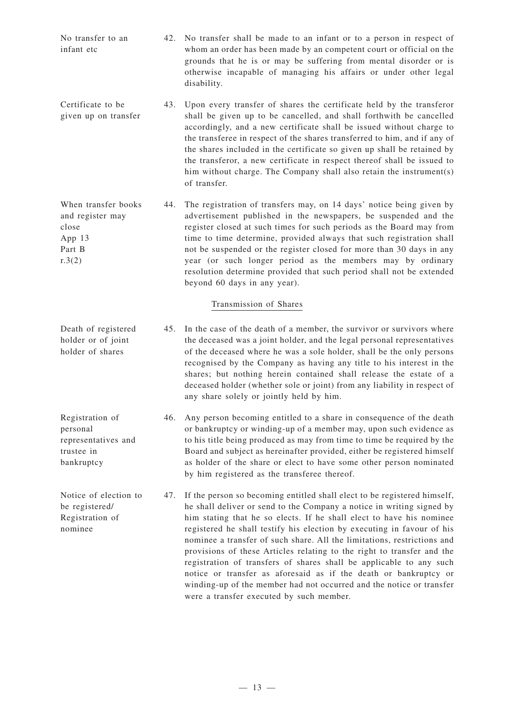No transfer to an infant etc 42. No transfer shall be made to an infant or to a person in respect of whom an order has been made by an competent court or official on the grounds that he is or may be suffering from mental disorder or is otherwise incapable of managing his affairs or under other legal disability.

- Certificate to be given up on transfer 43. Upon every transfer of shares the certificate held by the transferor shall be given up to be cancelled, and shall forthwith be cancelled accordingly, and a new certificate shall be issued without charge to the transferee in respect of the shares transferred to him, and if any of the shares included in the certificate so given up shall be retained by the transferor, a new certificate in respect thereof shall be issued to him without charge. The Company shall also retain the instrument(s) of transfer.
- When transfer books and register may close App 13 Part B  $r.3(2)$ 44. The registration of transfers may, on 14 days' notice being given by advertisement published in the newspapers, be suspended and the register closed at such times for such periods as the Board may from time to time determine, provided always that such registration shall not be suspended or the register closed for more than 30 days in any year (or such longer period as the members may by ordinary resolution determine provided that such period shall not be extended beyond 60 days in any year).

## Transmission of Shares

- Death of registered holder or of joint holder of shares 45. In the case of the death of a member, the survivor or survivors where the deceased was a joint holder, and the legal personal representatives of the deceased where he was a sole holder, shall be the only persons recognised by the Company as having any title to his interest in the shares; but nothing herein contained shall release the estate of a deceased holder (whether sole or joint) from any liability in respect of any share solely or jointly held by him.
- Registration of personal representatives and trustee in bankruptcy 46. Any person becoming entitled to a share in consequence of the death or bankruptcy or winding-up of a member may, upon such evidence as to his title being produced as may from time to time be required by the Board and subject as hereinafter provided, either be registered himself as holder of the share or elect to have some other person nominated by him registered as the transferee thereof.
- Notice of election to be registered/ Registration of nominee 47. If the person so becoming entitled shall elect to be registered himself, he shall deliver or send to the Company a notice in writing signed by him stating that he so elects. If he shall elect to have his nominee registered he shall testify his election by executing in favour of his nominee a transfer of such share. All the limitations, restrictions and provisions of these Articles relating to the right to transfer and the registration of transfers of shares shall be applicable to any such notice or transfer as aforesaid as if the death or bankruptcy or winding-up of the member had not occurred and the notice or transfer were a transfer executed by such member.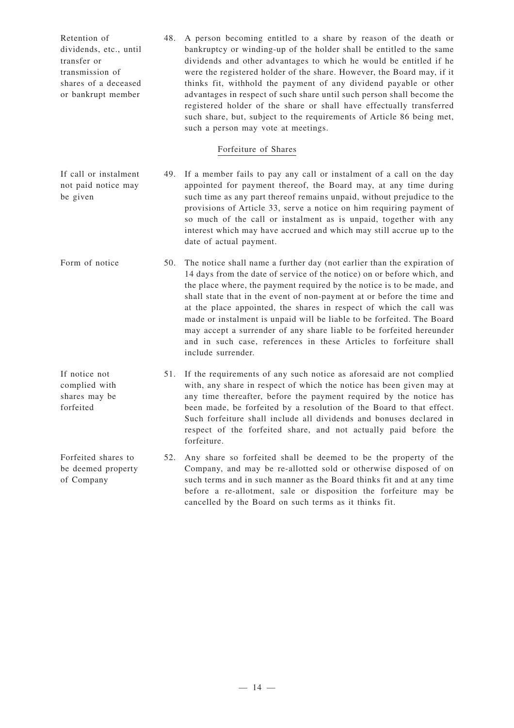| Retention of           | 48. A person becoming entitled to a share by reason of the death or    |
|------------------------|------------------------------------------------------------------------|
| dividends, etc., until | bankruptcy or winding-up of the holder shall be entitled to the same   |
| transfer or            | dividends and other advantages to which he would be entitled if he     |
| transmission of        | were the registered holder of the share. However, the Board may, if it |
| shares of a deceased   | thinks fit, withhold the payment of any dividend payable or other      |
| or bankrupt member     | advantages in respect of such share until such person shall become the |
|                        | registered holder of the share or shall have effectually transferred   |
|                        | such share, but, subject to the requirements of Article 86 being met,  |
|                        | such a person may vote at meetings.                                    |

### Forfeiture of Shares

- If call or instalment not paid notice may be given 49. If a member fails to pay any call or instalment of a call on the day appointed for payment thereof, the Board may, at any time during such time as any part thereof remains unpaid, without prejudice to the provisions of Article 33, serve a notice on him requiring payment of so much of the call or instalment as is unpaid, together with any interest which may have accrued and which may still accrue up to the date of actual payment.
- Form of notice 50. The notice shall name a further day (not earlier than the expiration of 14 days from the date of service of the notice) on or before which, and the place where, the payment required by the notice is to be made, and shall state that in the event of non-payment at or before the time and at the place appointed, the shares in respect of which the call was made or instalment is unpaid will be liable to be forfeited. The Board may accept a surrender of any share liable to be forfeited hereunder and in such case, references in these Articles to forfeiture shall include surrender.
- If notice not complied with shares may be forfeited 51. If the requirements of any such notice as aforesaid are not complied with, any share in respect of which the notice has been given may at any time thereafter, before the payment required by the notice has been made, be forfeited by a resolution of the Board to that effect. Such forfeiture shall include all dividends and bonuses declared in respect of the forfeited share, and not actually paid before the forfeiture.
- Forfeited shares to be deemed property of Company 52. Any share so forfeited shall be deemed to be the property of the Company, and may be re-allotted sold or otherwise disposed of on such terms and in such manner as the Board thinks fit and at any time before a re-allotment, sale or disposition the forfeiture may be cancelled by the Board on such terms as it thinks fit.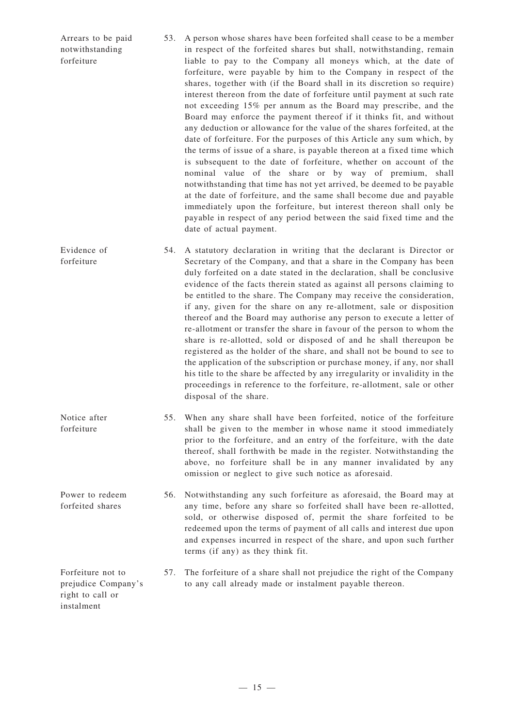| Arrears to be paid<br>notwithstanding<br>forfeiture                        | 53. | A person whose shares have been forfeited shall cease to be a member<br>in respect of the forfeited shares but shall, notwithstanding, remain<br>liable to pay to the Company all moneys which, at the date of<br>forfeiture, were payable by him to the Company in respect of the<br>shares, together with (if the Board shall in its discretion so require)<br>interest thereon from the date of forfeiture until payment at such rate<br>not exceeding 15% per annum as the Board may prescribe, and the<br>Board may enforce the payment thereof if it thinks fit, and without<br>any deduction or allowance for the value of the shares forfeited, at the<br>date of forfeiture. For the purposes of this Article any sum which, by<br>the terms of issue of a share, is payable thereon at a fixed time which<br>is subsequent to the date of forfeiture, whether on account of the<br>nominal value of the share or by way of premium, shall<br>notwithstanding that time has not yet arrived, be deemed to be payable<br>at the date of forfeiture, and the same shall become due and payable<br>immediately upon the forfeiture, but interest thereon shall only be<br>payable in respect of any period between the said fixed time and the<br>date of actual payment. |
|----------------------------------------------------------------------------|-----|---------------------------------------------------------------------------------------------------------------------------------------------------------------------------------------------------------------------------------------------------------------------------------------------------------------------------------------------------------------------------------------------------------------------------------------------------------------------------------------------------------------------------------------------------------------------------------------------------------------------------------------------------------------------------------------------------------------------------------------------------------------------------------------------------------------------------------------------------------------------------------------------------------------------------------------------------------------------------------------------------------------------------------------------------------------------------------------------------------------------------------------------------------------------------------------------------------------------------------------------------------------------------------|
| Evidence of<br>forfeiture                                                  | 54. | A statutory declaration in writing that the declarant is Director or<br>Secretary of the Company, and that a share in the Company has been<br>duly forfeited on a date stated in the declaration, shall be conclusive<br>evidence of the facts therein stated as against all persons claiming to<br>be entitled to the share. The Company may receive the consideration,<br>if any, given for the share on any re-allotment, sale or disposition<br>thereof and the Board may authorise any person to execute a letter of<br>re-allotment or transfer the share in favour of the person to whom the<br>share is re-allotted, sold or disposed of and he shall thereupon be<br>registered as the holder of the share, and shall not be bound to see to<br>the application of the subscription or purchase money, if any, nor shall<br>his title to the share be affected by any irregularity or invalidity in the<br>proceedings in reference to the forfeiture, re-allotment, sale or other<br>disposal of the share.                                                                                                                                                                                                                                                           |
| Notice after<br>forfeiture                                                 |     | 55. When any share shall have been forfeited, notice of the forfeiture<br>shall be given to the member in whose name it stood immediately<br>prior to the forfeiture, and an entry of the forfeiture, with the date<br>thereof, shall forthwith be made in the register. Notwithstanding the<br>above, no forfeiture shall be in any manner invalidated by any<br>omission or neglect to give such notice as aforesaid.                                                                                                                                                                                                                                                                                                                                                                                                                                                                                                                                                                                                                                                                                                                                                                                                                                                         |
| Power to redeem<br>forfeited shares                                        | 56. | Notwithstanding any such forfeiture as aforesaid, the Board may at<br>any time, before any share so forfeited shall have been re-allotted,<br>sold, or otherwise disposed of, permit the share forfeited to be<br>redeemed upon the terms of payment of all calls and interest due upon<br>and expenses incurred in respect of the share, and upon such further<br>terms (if any) as they think fit.                                                                                                                                                                                                                                                                                                                                                                                                                                                                                                                                                                                                                                                                                                                                                                                                                                                                            |
| Forfeiture not to<br>prejudice Company's<br>right to call or<br>instalment | 57. | The forfeiture of a share shall not prejudice the right of the Company<br>to any call already made or instalment payable thereon.                                                                                                                                                                                                                                                                                                                                                                                                                                                                                                                                                                                                                                                                                                                                                                                                                                                                                                                                                                                                                                                                                                                                               |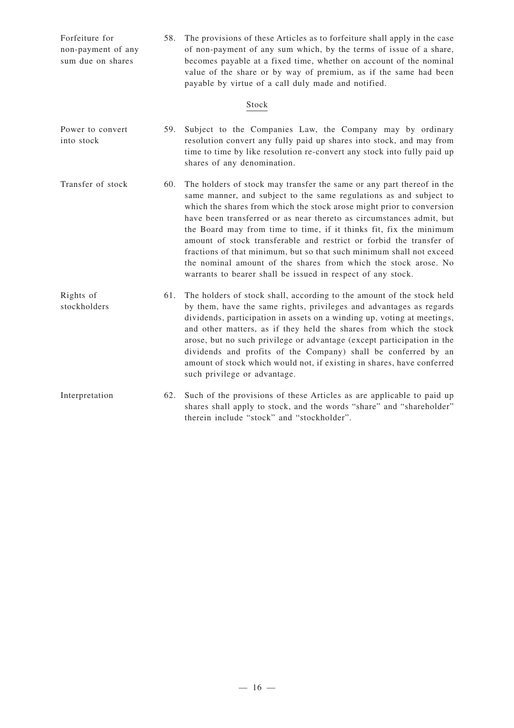| Forfeiture for<br>non-payment of any<br>sum due on shares | 58. | The provisions of these Articles as to forfeiture shall apply in the case<br>of non-payment of any sum which, by the terms of issue of a share,<br>becomes payable at a fixed time, whether on account of the nominal<br>value of the share or by way of premium, as if the same had been<br>payable by virtue of a call duly made and notified.                                                                                                                                                                                                                                                                                                    |
|-----------------------------------------------------------|-----|-----------------------------------------------------------------------------------------------------------------------------------------------------------------------------------------------------------------------------------------------------------------------------------------------------------------------------------------------------------------------------------------------------------------------------------------------------------------------------------------------------------------------------------------------------------------------------------------------------------------------------------------------------|
|                                                           |     | Stock                                                                                                                                                                                                                                                                                                                                                                                                                                                                                                                                                                                                                                               |
| Power to convert<br>into stock                            | 59. | Subject to the Companies Law, the Company may by ordinary<br>resolution convert any fully paid up shares into stock, and may from<br>time to time by like resolution re-convert any stock into fully paid up<br>shares of any denomination.                                                                                                                                                                                                                                                                                                                                                                                                         |
| Transfer of stock                                         | 60. | The holders of stock may transfer the same or any part thereof in the<br>same manner, and subject to the same regulations as and subject to<br>which the shares from which the stock arose might prior to conversion<br>have been transferred or as near thereto as circumstances admit, but<br>the Board may from time to time, if it thinks fit, fix the minimum<br>amount of stock transferable and restrict or forbid the transfer of<br>fractions of that minimum, but so that such minimum shall not exceed<br>the nominal amount of the shares from which the stock arose. No<br>warrants to bearer shall be issued in respect of any stock. |
| Rights of<br>stockholders                                 | 61. | The holders of stock shall, according to the amount of the stock held<br>by them, have the same rights, privileges and advantages as regards<br>dividends, participation in assets on a winding up, voting at meetings,<br>and other matters, as if they held the shares from which the stock<br>arose, but no such privilege or advantage (except participation in the<br>dividends and profits of the Company) shall be conferred by an<br>amount of stock which would not, if existing in shares, have conferred<br>such privilege or advantage.                                                                                                 |
| Interpretation                                            | 62. | Such of the provisions of these Articles as are applicable to paid up<br>shares shall apply to stock, and the words "share" and "shareholder"<br>therein include "stock" and "stockholder".                                                                                                                                                                                                                                                                                                                                                                                                                                                         |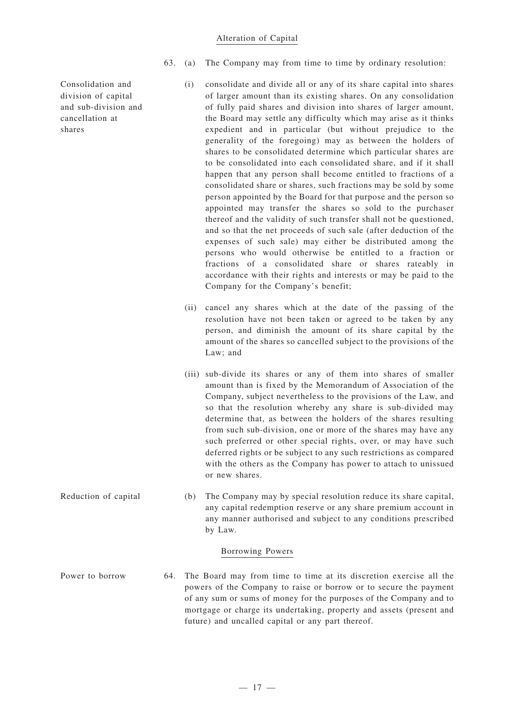#### Alteration of Capital

63. (a) The Company may from time to time by ordinary resolution:

- (i) consolidate and divide all or any of its share capital into shares of larger amount than its existing shares. On any consolidation of fully paid shares and division into shares of larger amount, the Board may settle any difficulty which may arise as it thinks expedient and in particular (but without prejudice to the generality of the foregoing) may as between the holders of shares to be consolidated determine which particular shares are to be consolidated into each consolidated share, and if it shall happen that any person shall become entitled to fractions of a consolidated share or shares, such fractions may be sold by some person appointed by the Board for that purpose and the person so appointed may transfer the shares so sold to the purchaser thereof and the validity of such transfer shall not be questioned, and so that the net proceeds of such sale (after deduction of the expenses of such sale) may either be distributed among the persons who would otherwise be entitled to a fraction or fractions of a consolidated share or shares rateably in accordance with their rights and interests or may be paid to the Company for the Company's benefit;
- (ii) cancel any shares which at the date of the passing of the resolution have not been taken or agreed to be taken by any person, and diminish the amount of its share capital by the amount of the shares so cancelled subject to the provisions of the Law; and
- (iii) sub-divide its shares or any of them into shares of smaller amount than is fixed by the Memorandum of Association of the Company, subject nevertheless to the provisions of the Law, and so that the resolution whereby any share is sub-divided may determine that, as between the holders of the shares resulting from such sub-division, one or more of the shares may have any such preferred or other special rights, over, or may have such deferred rights or be subject to any such restrictions as compared with the others as the Company has power to attach to unissued or new shares.
- Reduction of capital (b) The Company may by special resolution reduce its share capital, any capital redemption reserve or any share premium account in any manner authorised and subject to any conditions prescribed by Law.

#### Borrowing Powers

Power to borrow 64. The Board may from time to time at its discretion exercise all the powers of the Company to raise or borrow or to secure the payment of any sum or sums of money for the purposes of the Company and to mortgage or charge its undertaking, property and assets (present and future) and uncalled capital or any part thereof.

Consolidation and division of capital and sub-division and cancellation at shares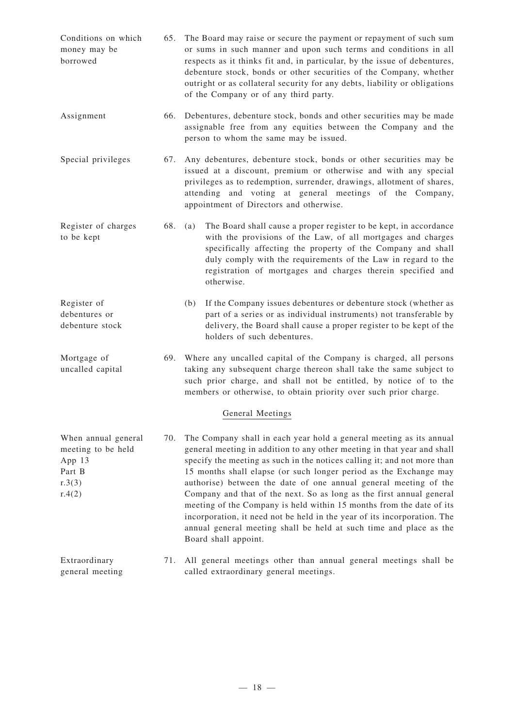| Conditions on which<br>money may be<br>borrowed                                   |     | 65. The Board may raise or secure the payment or repayment of such sum<br>or sums in such manner and upon such terms and conditions in all<br>respects as it thinks fit and, in particular, by the issue of debentures,<br>debenture stock, bonds or other securities of the Company, whether<br>outright or as collateral security for any debts, liability or obligations<br>of the Company or of any third party.                                                                                                                                                                                                                                                                          |  |
|-----------------------------------------------------------------------------------|-----|-----------------------------------------------------------------------------------------------------------------------------------------------------------------------------------------------------------------------------------------------------------------------------------------------------------------------------------------------------------------------------------------------------------------------------------------------------------------------------------------------------------------------------------------------------------------------------------------------------------------------------------------------------------------------------------------------|--|
| Assignment                                                                        | 66. | Debentures, debenture stock, bonds and other securities may be made<br>assignable free from any equities between the Company and the<br>person to whom the same may be issued.                                                                                                                                                                                                                                                                                                                                                                                                                                                                                                                |  |
| Special privileges                                                                | 67. | Any debentures, debenture stock, bonds or other securities may be<br>issued at a discount, premium or otherwise and with any special<br>privileges as to redemption, surrender, drawings, allotment of shares,<br>attending and voting at general meetings of the Company,<br>appointment of Directors and otherwise.                                                                                                                                                                                                                                                                                                                                                                         |  |
| Register of charges<br>to be kept                                                 | 68. | The Board shall cause a proper register to be kept, in accordance<br>(a)<br>with the provisions of the Law, of all mortgages and charges<br>specifically affecting the property of the Company and shall<br>duly comply with the requirements of the Law in regard to the<br>registration of mortgages and charges therein specified and<br>otherwise.                                                                                                                                                                                                                                                                                                                                        |  |
| Register of<br>debentures or<br>debenture stock                                   |     | If the Company issues debentures or debenture stock (whether as<br>(b)<br>part of a series or as individual instruments) not transferable by<br>delivery, the Board shall cause a proper register to be kept of the<br>holders of such debentures.                                                                                                                                                                                                                                                                                                                                                                                                                                            |  |
| Mortgage of<br>uncalled capital                                                   | 69. | Where any uncalled capital of the Company is charged, all persons<br>taking any subsequent charge thereon shall take the same subject to<br>such prior charge, and shall not be entitled, by notice of to the<br>members or otherwise, to obtain priority over such prior charge.                                                                                                                                                                                                                                                                                                                                                                                                             |  |
|                                                                                   |     | General Meetings                                                                                                                                                                                                                                                                                                                                                                                                                                                                                                                                                                                                                                                                              |  |
| When annual general<br>meeting to be held<br>App 13<br>Part B<br>r.3(3)<br>r.4(2) | 70. | The Company shall in each year hold a general meeting as its annual<br>general meeting in addition to any other meeting in that year and shall<br>specify the meeting as such in the notices calling it; and not more than<br>15 months shall elapse (or such longer period as the Exchange may<br>authorise) between the date of one annual general meeting of the<br>Company and that of the next. So as long as the first annual general<br>meeting of the Company is held within 15 months from the date of its<br>incorporation, it need not be held in the year of its incorporation. The<br>annual general meeting shall be held at such time and place as the<br>Board shall appoint. |  |
| Extraordinary<br>general meeting                                                  | 71. | All general meetings other than annual general meetings shall be<br>called extraordinary general meetings.                                                                                                                                                                                                                                                                                                                                                                                                                                                                                                                                                                                    |  |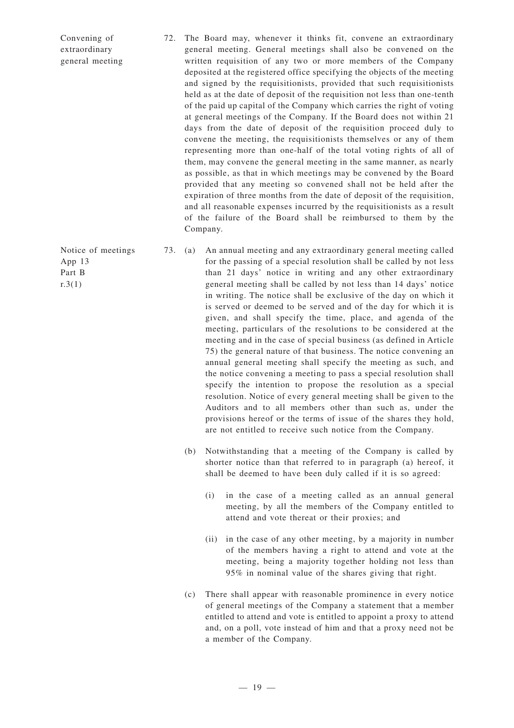- 72. The Board may, whenever it thinks fit, convene an extraordinary general meeting. General meetings shall also be convened on the written requisition of any two or more members of the Company deposited at the registered office specifying the objects of the meeting and signed by the requisitionists, provided that such requisitionists held as at the date of deposit of the requisition not less than one-tenth of the paid up capital of the Company which carries the right of voting at general meetings of the Company. If the Board does not within 21 days from the date of deposit of the requisition proceed duly to convene the meeting, the requisitionists themselves or any of them representing more than one-half of the total voting rights of all of them, may convene the general meeting in the same manner, as nearly as possible, as that in which meetings may be convened by the Board provided that any meeting so convened shall not be held after the expiration of three months from the date of deposit of the requisition, and all reasonable expenses incurred by the requisitionists as a result of the failure of the Board shall be reimbursed to them by the Company.
- 73. (a) An annual meeting and any extraordinary general meeting called for the passing of a special resolution shall be called by not less than 21 days' notice in writing and any other extraordinary general meeting shall be called by not less than 14 days' notice in writing. The notice shall be exclusive of the day on which it is served or deemed to be served and of the day for which it is given, and shall specify the time, place, and agenda of the meeting, particulars of the resolutions to be considered at the meeting and in the case of special business (as defined in Article 75) the general nature of that business. The notice convening an annual general meeting shall specify the meeting as such, and the notice convening a meeting to pass a special resolution shall specify the intention to propose the resolution as a special resolution. Notice of every general meeting shall be given to the Auditors and to all members other than such as, under the provisions hereof or the terms of issue of the shares they hold, are not entitled to receive such notice from the Company.
	- (b) Notwithstanding that a meeting of the Company is called by shorter notice than that referred to in paragraph (a) hereof, it shall be deemed to have been duly called if it is so agreed:
		- (i) in the case of a meeting called as an annual general meeting, by all the members of the Company entitled to attend and vote thereat or their proxies; and
		- (ii) in the case of any other meeting, by a majority in number of the members having a right to attend and vote at the meeting, being a majority together holding not less than 95% in nominal value of the shares giving that right.
	- (c) There shall appear with reasonable prominence in every notice of general meetings of the Company a statement that a member entitled to attend and vote is entitled to appoint a proxy to attend and, on a poll, vote instead of him and that a proxy need not be a member of the Company.

Notice of meetings App 13 Part B  $r.3(1)$ 

Convening of extraordinary general meeting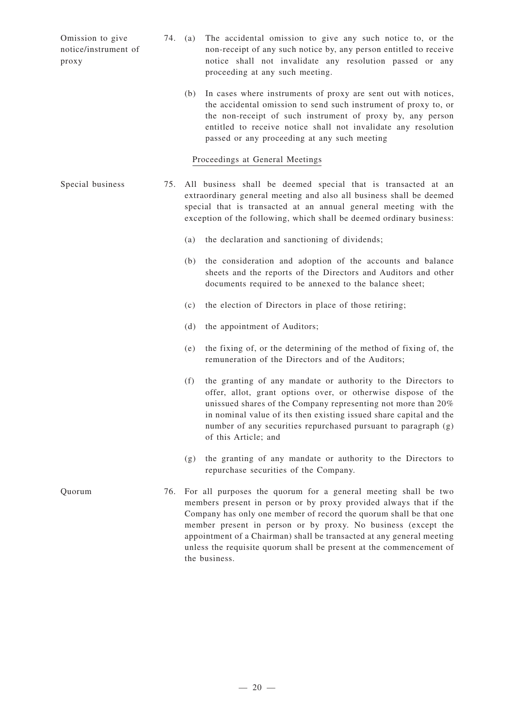Omission to give notice/instrument of proxy 74. (a) The accidental omission to give any such notice to, or the non-receipt of any such notice by, any person entitled to receive notice shall not invalidate any resolution passed or any proceeding at any such meeting. (b) In cases where instruments of proxy are sent out with notices, the accidental omission to send such instrument of proxy to, or the non-receipt of such instrument of proxy by, any person entitled to receive notice shall not invalidate any resolution passed or any proceeding at any such meeting Proceedings at General Meetings Special business 75. All business shall be deemed special that is transacted at an extraordinary general meeting and also all business shall be deemed special that is transacted at an annual general meeting with the exception of the following, which shall be deemed ordinary business: (a) the declaration and sanctioning of dividends; (b) the consideration and adoption of the accounts and balance sheets and the reports of the Directors and Auditors and other documents required to be annexed to the balance sheet; (c) the election of Directors in place of those retiring; (d) the appointment of Auditors; (e) the fixing of, or the determining of the method of fixing of, the remuneration of the Directors and of the Auditors; (f) the granting of any mandate or authority to the Directors to offer, allot, grant options over, or otherwise dispose of the unissued shares of the Company representing not more than 20% in nominal value of its then existing issued share capital and the number of any securities repurchased pursuant to paragraph (g) of this Article; and (g) the granting of any mandate or authority to the Directors to repurchase securities of the Company. Quorum 76. For all purposes the quorum for a general meeting shall be two members present in person or by proxy provided always that if the Company has only one member of record the quorum shall be that one member present in person or by proxy. No business (except the appointment of a Chairman) shall be transacted at any general meeting

the business.

unless the requisite quorum shall be present at the commencement of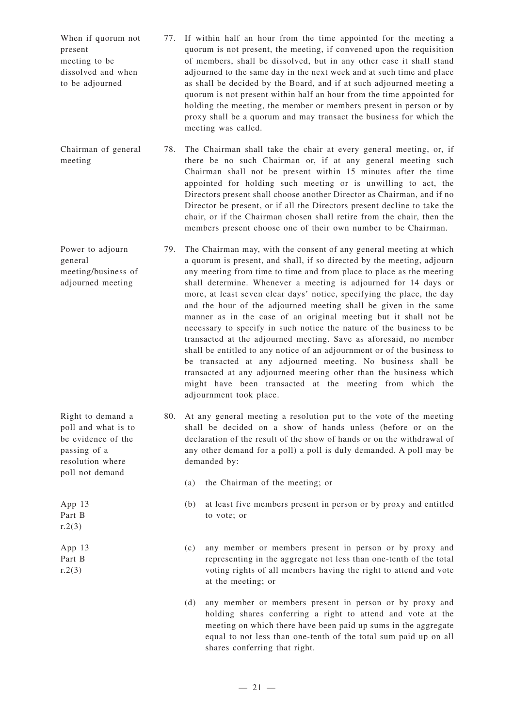- When if quorum not present meeting to be dissolved and when to be adjourned 77. If within half an hour from the time appointed for the meeting a quorum is not present, the meeting, if convened upon the requisition of members, shall be dissolved, but in any other case it shall stand adjourned to the same day in the next week and at such time and place as shall be decided by the Board, and if at such adjourned meeting a quorum is not present within half an hour from the time appointed for holding the meeting, the member or members present in person or by proxy shall be a quorum and may transact the business for which the meeting was called.
- Chairman of general meeting 78. The Chairman shall take the chair at every general meeting, or, if there be no such Chairman or, if at any general meeting such Chairman shall not be present within 15 minutes after the time appointed for holding such meeting or is unwilling to act, the Directors present shall choose another Director as Chairman, and if no Director be present, or if all the Directors present decline to take the chair, or if the Chairman chosen shall retire from the chair, then the members present choose one of their own number to be Chairman.
- Power to adjourn general meeting/business of adjourned meeting 79. The Chairman may, with the consent of any general meeting at which a quorum is present, and shall, if so directed by the meeting, adjourn any meeting from time to time and from place to place as the meeting shall determine. Whenever a meeting is adjourned for 14 days or more, at least seven clear days' notice, specifying the place, the day and the hour of the adjourned meeting shall be given in the same manner as in the case of an original meeting but it shall not be necessary to specify in such notice the nature of the business to be transacted at the adjourned meeting. Save as aforesaid, no member shall be entitled to any notice of an adjournment or of the business to be transacted at any adjourned meeting. No business shall be transacted at any adjourned meeting other than the business which might have been transacted at the meeting from which the adjournment took place.

80. At any general meeting a resolution put to the vote of the meeting shall be decided on a show of hands unless (before or on the declaration of the result of the show of hands or on the withdrawal of any other demand for a poll) a poll is duly demanded. A poll may be demanded by:

- (a) the Chairman of the meeting; or
- (b) at least five members present in person or by proxy and entitled to vote; or
- (c) any member or members present in person or by proxy and representing in the aggregate not less than one-tenth of the total voting rights of all members having the right to attend and vote at the meeting; or
- (d) any member or members present in person or by proxy and holding shares conferring a right to attend and vote at the meeting on which there have been paid up sums in the aggregate equal to not less than one-tenth of the total sum paid up on all shares conferring that right.

poll not demand App 13 Part B  $r.2(3)$ App 13 Part B  $r.2(3)$ 

Right to demand a poll and what is to be evidence of the passing of a resolution where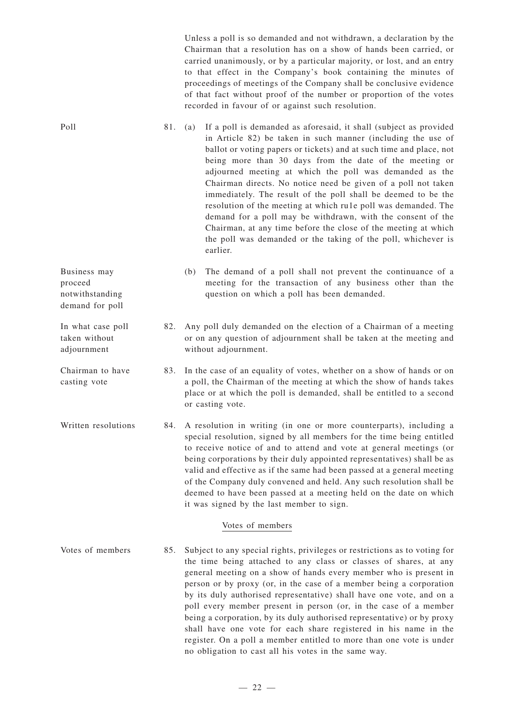Unless a poll is so demanded and not withdrawn, a declaration by the Chairman that a resolution has on a show of hands been carried, or carried unanimously, or by a particular majority, or lost, and an entry to that effect in the Company's book containing the minutes of proceedings of meetings of the Company shall be conclusive evidence of that fact without proof of the number or proportion of the votes recorded in favour of or against such resolution.

Poll 81. (a) If a poll is demanded as aforesaid, it shall (subject as provided in Article 82) be taken in such manner (including the use of ballot or voting papers or tickets) and at such time and place, not being more than 30 days from the date of the meeting or adjourned meeting at which the poll was demanded as the Chairman directs. No notice need be given of a poll not taken immediately. The result of the poll shall be deemed to be the resolution of the meeting at which ru1e poll was demanded. The demand for a poll may be withdrawn, with the consent of the Chairman, at any time before the close of the meeting at which the poll was demanded or the taking of the poll, whichever is earlier.

- notwithstanding (b) The demand of a poll shall not prevent the continuance of a meeting for the transaction of any business other than the question on which a poll has been demanded.
	- 82. Any poll duly demanded on the election of a Chairman of a meeting or on any question of adjournment shall be taken at the meeting and without adjournment.
- Chairman to have casting vote 83. In the case of an equality of votes, whether on a show of hands or on a poll, the Chairman of the meeting at which the show of hands takes place or at which the poll is demanded, shall be entitled to a second or casting vote.

Business may proceed

demand for poll

In what case poll taken without adjournment

Written resolutions 84. A resolution in writing (in one or more counterparts), including a special resolution, signed by all members for the time being entitled to receive notice of and to attend and vote at general meetings (or being corporations by their duly appointed representatives) shall be as valid and effective as if the same had been passed at a general meeting of the Company duly convened and held. Any such resolution shall be deemed to have been passed at a meeting held on the date on which it was signed by the last member to sign.

## Votes of members

Votes of members 85. Subject to any special rights, privileges or restrictions as to voting for the time being attached to any class or classes of shares, at any general meeting on a show of hands every member who is present in person or by proxy (or, in the case of a member being a corporation by its duly authorised representative) shall have one vote, and on a poll every member present in person (or, in the case of a member being a corporation, by its duly authorised representative) or by proxy shall have one vote for each share registered in his name in the register. On a poll a member entitled to more than one vote is under no obligation to cast all his votes in the same way.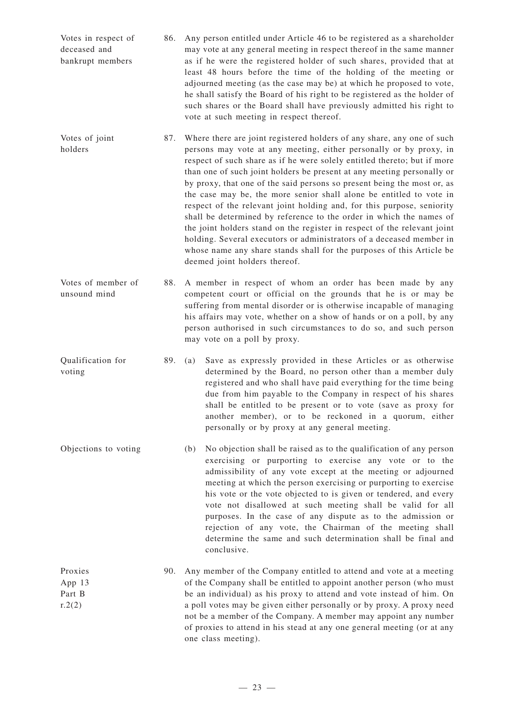| Votes in respect of<br>deceased and<br>bankrupt members | 86. | Any person entitled under Article 46 to be registered as a shareholder<br>may vote at any general meeting in respect thereof in the same manner<br>as if he were the registered holder of such shares, provided that at<br>least 48 hours before the time of the holding of the meeting or<br>adjourned meeting (as the case may be) at which he proposed to vote,<br>he shall satisfy the Board of his right to be registered as the holder of<br>such shares or the Board shall have previously admitted his right to<br>vote at such meeting in respect thereof.                                                                                                                                                                                                                                                                                                     |
|---------------------------------------------------------|-----|-------------------------------------------------------------------------------------------------------------------------------------------------------------------------------------------------------------------------------------------------------------------------------------------------------------------------------------------------------------------------------------------------------------------------------------------------------------------------------------------------------------------------------------------------------------------------------------------------------------------------------------------------------------------------------------------------------------------------------------------------------------------------------------------------------------------------------------------------------------------------|
| Votes of joint<br>holders                               |     | 87. Where there are joint registered holders of any share, any one of such<br>persons may vote at any meeting, either personally or by proxy, in<br>respect of such share as if he were solely entitled thereto; but if more<br>than one of such joint holders be present at any meeting personally or<br>by proxy, that one of the said persons so present being the most or, as<br>the case may be, the more senior shall alone be entitled to vote in<br>respect of the relevant joint holding and, for this purpose, seniority<br>shall be determined by reference to the order in which the names of<br>the joint holders stand on the register in respect of the relevant joint<br>holding. Several executors or administrators of a deceased member in<br>whose name any share stands shall for the purposes of this Article be<br>deemed joint holders thereof. |
| Votes of member of<br>unsound mind                      | 88. | A member in respect of whom an order has been made by any<br>competent court or official on the grounds that he is or may be<br>suffering from mental disorder or is otherwise incapable of managing<br>his affairs may vote, whether on a show of hands or on a poll, by any                                                                                                                                                                                                                                                                                                                                                                                                                                                                                                                                                                                           |

Qualification for voting 89. (a) Save as expressly provided in these Articles or as otherwise determined by the Board, no person other than a member duly registered and who shall have paid everything for the time being due from him payable to the Company in respect of his shares shall be entitled to be present or to vote (save as proxy for another member), or to be reckoned in a quorum, either personally or by proxy at any general meeting.

may vote on a poll by proxy.

person authorised in such circumstances to do so, and such person

- Objections to voting (b) No objection shall be raised as to the qualification of any person exercising or purporting to exercise any vote or to the admissibility of any vote except at the meeting or adjourned meeting at which the person exercising or purporting to exercise his vote or the vote objected to is given or tendered, and every vote not disallowed at such meeting shall be valid for all purposes. In the case of any dispute as to the admission or rejection of any vote, the Chairman of the meeting shall determine the same and such determination shall be final and conclusive.
- Proxies App 13 Part B  $r.2(2)$ 90. Any member of the Company entitled to attend and vote at a meeting of the Company shall be entitled to appoint another person (who must be an individual) as his proxy to attend and vote instead of him. On a poll votes may be given either personally or by proxy. A proxy need not be a member of the Company. A member may appoint any number of proxies to attend in his stead at any one general meeting (or at any one class meeting).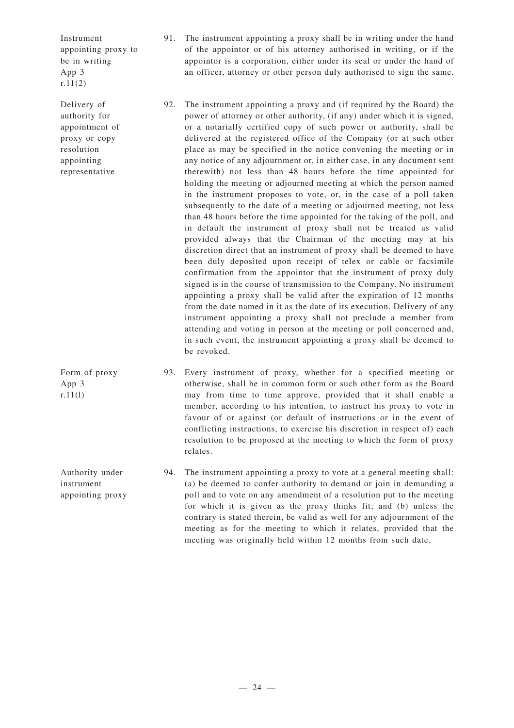Instrument appointing proxy to be in writing App 3 r.11(2)

Delivery of authority for appointment of proxy or copy resolution appointing representative

Form of proxy App 3  $r.11(1)$ 

Authority under instrument appointing proxy

- 91. The instrument appointing a proxy shall be in writing under the hand of the appointor or of his attorney authorised in writing, or if the appointor is a corporation, either under its seal or under the hand of an officer, attorney or other person duly authorised to sign the same.
- 92. The instrument appointing a proxy and (if required by the Board) the power of attorney or other authority, (if any) under which it is signed, or a notarially certified copy of such power or authority, shall be delivered at the registered office of the Company (or at such other place as may be specified in the notice convening the meeting or in any notice of any adjournment or, in either case, in any document sent therewith) not less than 48 hours before the time appointed for holding the meeting or adjourned meeting at which the person named in the instrument proposes to vote, or, in the case of a poll taken subsequently to the date of a meeting or adjourned meeting, not less than 48 hours before the time appointed for the taking of the poll, and in default the instrument of proxy shall not be treated as valid provided always that the Chairman of the meeting may at his discretion direct that an instrument of proxy shall be deemed to have been duly deposited upon receipt of telex or cable or facsimile confirmation from the appointor that the instrument of proxy duly signed is in the course of transmission to the Company. No instrument appointing a proxy shall be valid after the expiration of 12 months from the date named in it as the date of its execution. Delivery of any instrument appointing a proxy shall not preclude a member from attending and voting in person at the meeting or poll concerned and, in such event, the instrument appointing a proxy shall be deemed to be revoked.

93. Every instrument of proxy, whether for a specified meeting or otherwise, shall be in common form or such other form as the Board may from time to time approve, provided that it shall enable a member, according to his intention, to instruct his proxy to vote in favour of or against (or default of instructions or in the event of conflicting instructions, to exercise his discretion in respect of) each resolution to be proposed at the meeting to which the form of proxy relates.

94. The instrument appointing a proxy to vote at a general meeting shall: (a) be deemed to confer authority to demand or join in demanding a poll and to vote on any amendment of a resolution put to the meeting for which it is given as the proxy thinks fit; and (b) unless the contrary is stated therein, be valid as well for any adjournment of the meeting as for the meeting to which it relates, provided that the meeting was originally held within 12 months from such date.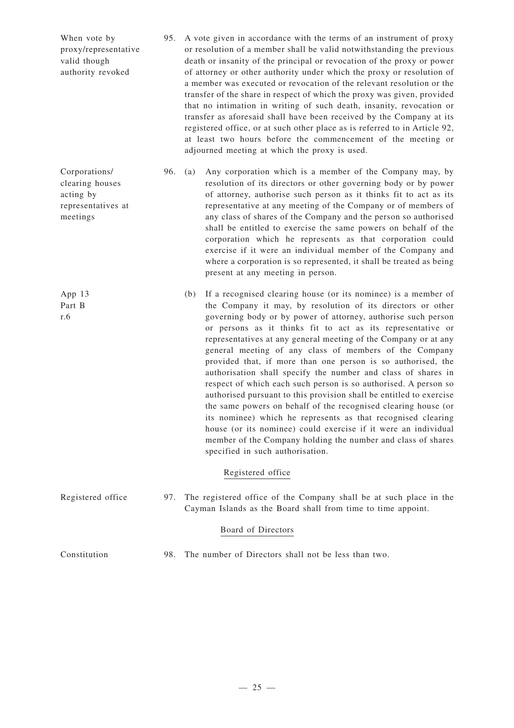| When vote by<br>proxy/representative<br>valid though<br>authority revoked       | 95. |     | A vote given in accordance with the terms of an instrument of proxy<br>or resolution of a member shall be valid notwithstanding the previous<br>death or insanity of the principal or revocation of the proxy or power<br>of attorney or other authority under which the proxy or resolution of<br>a member was executed or revocation of the relevant resolution or the<br>transfer of the share in respect of which the proxy was given, provided<br>that no intimation in writing of such death, insanity, revocation or<br>transfer as aforesaid shall have been received by the Company at its<br>registered office, or at such other place as is referred to in Article 92,<br>at least two hours before the commencement of the meeting or<br>adjourned meeting at which the proxy is used.                                                                                                                                                                            |
|---------------------------------------------------------------------------------|-----|-----|-------------------------------------------------------------------------------------------------------------------------------------------------------------------------------------------------------------------------------------------------------------------------------------------------------------------------------------------------------------------------------------------------------------------------------------------------------------------------------------------------------------------------------------------------------------------------------------------------------------------------------------------------------------------------------------------------------------------------------------------------------------------------------------------------------------------------------------------------------------------------------------------------------------------------------------------------------------------------------|
| Corporations/<br>clearing houses<br>acting by<br>representatives at<br>meetings | 96. | (a) | Any corporation which is a member of the Company may, by<br>resolution of its directors or other governing body or by power<br>of attorney, authorise such person as it thinks fit to act as its<br>representative at any meeting of the Company or of members of<br>any class of shares of the Company and the person so authorised<br>shall be entitled to exercise the same powers on behalf of the<br>corporation which he represents as that corporation could<br>exercise if it were an individual member of the Company and<br>where a corporation is so represented, it shall be treated as being<br>present at any meeting in person.                                                                                                                                                                                                                                                                                                                                |
| App 13<br>Part B<br>r.6                                                         |     | (b) | If a recognised clearing house (or its nominee) is a member of<br>the Company it may, by resolution of its directors or other<br>governing body or by power of attorney, authorise such person<br>or persons as it thinks fit to act as its representative or<br>representatives at any general meeting of the Company or at any<br>general meeting of any class of members of the Company<br>provided that, if more than one person is so authorised, the<br>authorisation shall specify the number and class of shares in<br>respect of which each such person is so authorised. A person so<br>authorised pursuant to this provision shall be entitled to exercise<br>the same powers on behalf of the recognised clearing house (or<br>its nominee) which he represents as that recognised clearing<br>house (or its nominee) could exercise if it were an individual<br>member of the Company holding the number and class of shares<br>specified in such authorisation. |
|                                                                                 |     |     | Registered office                                                                                                                                                                                                                                                                                                                                                                                                                                                                                                                                                                                                                                                                                                                                                                                                                                                                                                                                                             |
| Registered office                                                               | 97. |     | The registered office of the Company shall be at such place in the<br>Cayman Islands as the Board shall from time to time appoint.                                                                                                                                                                                                                                                                                                                                                                                                                                                                                                                                                                                                                                                                                                                                                                                                                                            |
|                                                                                 |     |     | Board of Directors                                                                                                                                                                                                                                                                                                                                                                                                                                                                                                                                                                                                                                                                                                                                                                                                                                                                                                                                                            |
| Constitution                                                                    | 98. |     | The number of Directors shall not be less than two.                                                                                                                                                                                                                                                                                                                                                                                                                                                                                                                                                                                                                                                                                                                                                                                                                                                                                                                           |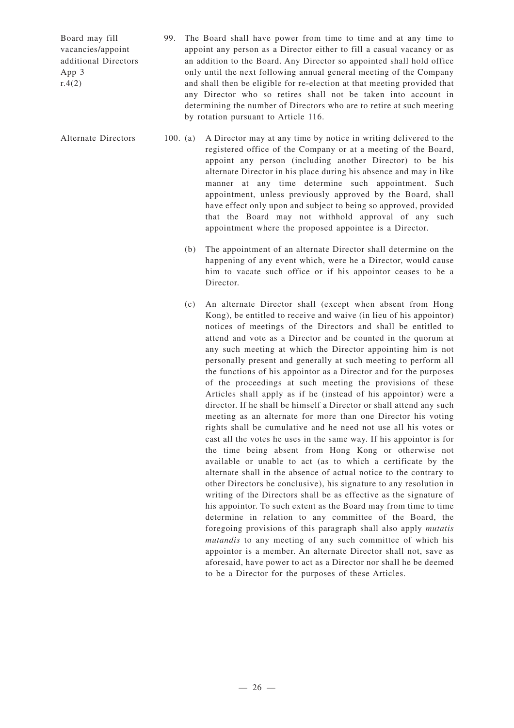Board may fill vacancies/appoint additional Directors App 3  $r.4(2)$ 

> any Director who so retires shall not be taken into account in determining the number of Directors who are to retire at such meeting by rotation pursuant to Article 116.

Alternate Directors 100. (a) A Director may at any time by notice in writing delivered to the registered office of the Company or at a meeting of the Board, appoint any person (including another Director) to be his alternate Director in his place during his absence and may in like manner at any time determine such appointment. Such appointment, unless previously approved by the Board, shall have effect only upon and subject to being so approved, provided that the Board may not withhold approval of any such appointment where the proposed appointee is a Director.

99. The Board shall have power from time to time and at any time to appoint any person as a Director either to fill a casual vacancy or as an addition to the Board. Any Director so appointed shall hold office only until the next following annual general meeting of the Company and shall then be eligible for re-election at that meeting provided that

- (b) The appointment of an alternate Director shall determine on the happening of any event which, were he a Director, would cause him to vacate such office or if his appointor ceases to be a Director.
- (c) An alternate Director shall (except when absent from Hong Kong), be entitled to receive and waive (in lieu of his appointor) notices of meetings of the Directors and shall be entitled to attend and vote as a Director and be counted in the quorum at any such meeting at which the Director appointing him is not personally present and generally at such meeting to perform all the functions of his appointor as a Director and for the purposes of the proceedings at such meeting the provisions of these Articles shall apply as if he (instead of his appointor) were a director. If he shall be himself a Director or shall attend any such meeting as an alternate for more than one Director his voting rights shall be cumulative and he need not use all his votes or cast all the votes he uses in the same way. If his appointor is for the time being absent from Hong Kong or otherwise not available or unable to act (as to which a certificate by the alternate shall in the absence of actual notice to the contrary to other Directors be conclusive), his signature to any resolution in writing of the Directors shall be as effective as the signature of his appointor. To such extent as the Board may from time to time determine in relation to any committee of the Board, the foregoing provisions of this paragraph shall also apply *mutatis mutandis* to any meeting of any such committee of which his appointor is a member. An alternate Director shall not, save as aforesaid, have power to act as a Director nor shall he be deemed to be a Director for the purposes of these Articles.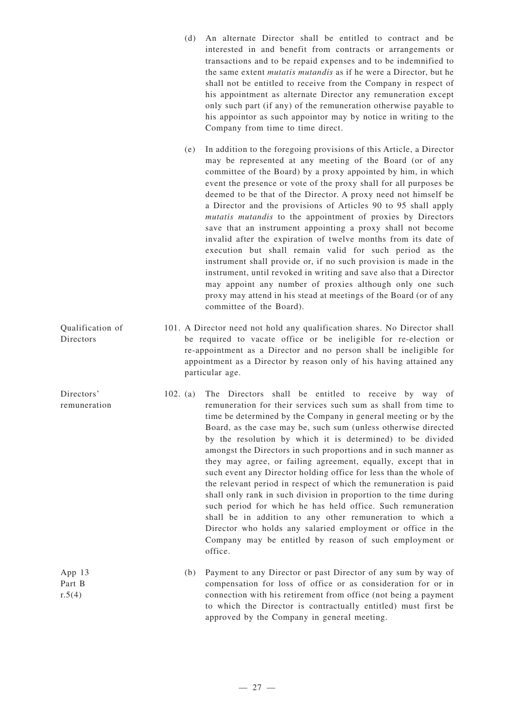- (d) An alternate Director shall be entitled to contract and be interested in and benefit from contracts or arrangements or transactions and to be repaid expenses and to be indemnified to the same extent *mutatis mutandis* as if he were a Director, but he shall not be entitled to receive from the Company in respect of his appointment as alternate Director any remuneration except only such part (if any) of the remuneration otherwise payable to his appointor as such appointor may by notice in writing to the Company from time to time direct.
- (e) In addition to the foregoing provisions of this Article, a Director may be represented at any meeting of the Board (or of any committee of the Board) by a proxy appointed by him, in which event the presence or vote of the proxy shall for all purposes be deemed to be that of the Director. A proxy need not himself be a Director and the provisions of Articles 90 to 95 shall apply *mutatis mutandis* to the appointment of proxies by Directors save that an instrument appointing a proxy shall not become invalid after the expiration of twelve months from its date of execution but shall remain valid for such period as the instrument shall provide or, if no such provision is made in the instrument, until revoked in writing and save also that a Director may appoint any number of proxies although only one such proxy may attend in his stead at meetings of the Board (or of any committee of the Board).
- Qualification of Directors 101. A Director need not hold any qualification shares. No Director shall be required to vacate office or be ineligible for re-election or re-appointment as a Director and no person shall be ineligible for appointment as a Director by reason only of his having attained any particular age.

Directors'

App 13 Part B  $r.5(4)$ 

- remuneration 102. (a) The Directors shall be entitled to receive by way of remuneration for their services such sum as shall from time to time be determined by the Company in general meeting or by the Board, as the case may be, such sum (unless otherwise directed by the resolution by which it is determined) to be divided amongst the Directors in such proportions and in such manner as they may agree, or failing agreement, equally, except that in such event any Director holding office for less than the whole of the relevant period in respect of which the remuneration is paid shall only rank in such division in proportion to the time during such period for which he has held office. Such remuneration shall be in addition to any other remuneration to which a Director who holds any salaried employment or office in the Company may be entitled by reason of such employment or office.
	- (b) Payment to any Director or past Director of any sum by way of compensation for loss of office or as consideration for or in connection with his retirement from office (not being a payment to which the Director is contractually entitled) must first be approved by the Company in general meeting.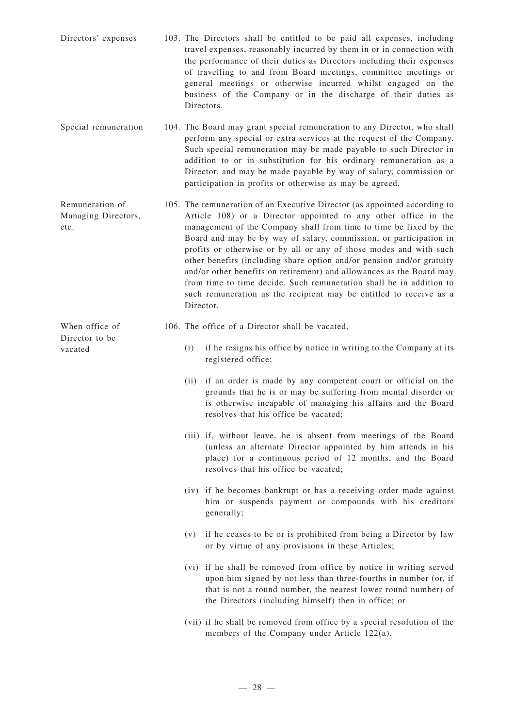- Directors' expenses 103. The Directors shall be entitled to be paid all expenses, including travel expenses, reasonably incurred by them in or in connection with the performance of their duties as Directors including their expenses of travelling to and from Board meetings, committee meetings or general meetings or otherwise incurred whilst engaged on the business of the Company or in the discharge of their duties as Directors.
- Special remuneration 104. The Board may grant special remuneration to any Director, who shall perform any special or extra services at the request of the Company. Such special remuneration may be made payable to such Director in addition to or in substitution for his ordinary remuneration as a Director, and may be made payable by way of salary, commission or participation in profits or otherwise as may be agreed.
- Remuneration of Managing Directors, etc. 105. The remuneration of an Executive Director (as appointed according to Article 108) or a Director appointed to any other office in the management of the Company shall from time to time be fixed by the Board and may be by way of salary, commission, or participation in profits or otherwise or by all or any of those modes and with such other benefits (including share option and/or pension and/or gratuity and/or other benefits on retirement) and allowances as the Board may from time to time decide. Such remuneration shall be in addition to such remuneration as the recipient may be entitled to receive as a Director.
	- 106. The office of a Director shall be vacated,

When office of Director to be

vacated

- (i) if he resigns his office by notice in writing to the Company at its registered office;
- (ii) if an order is made by any competent court or official on the grounds that he is or may be suffering from mental disorder or is otherwise incapable of managing his affairs and the Board resolves that his office be vacated;
- (iii) if, without leave, he is absent from meetings of the Board (unless an alternate Director appointed by him attends in his place) for a continuous period of 12 months, and the Board resolves that his office be vacated;
- (iv) if he becomes bankrupt or has a receiving order made against him or suspends payment or compounds with his creditors generally;
- (v) if he ceases to be or is prohibited from being a Director by law or by virtue of any provisions in these Articles;
- (vi) if he shall be removed from office by notice in writing served upon him signed by not less than three-fourths in number (or, if that is not a round number, the nearest lower round number) of the Directors (including himself) then in office; or
- (vii) if he shall be removed from office by a special resolution of the members of the Company under Article 122(a).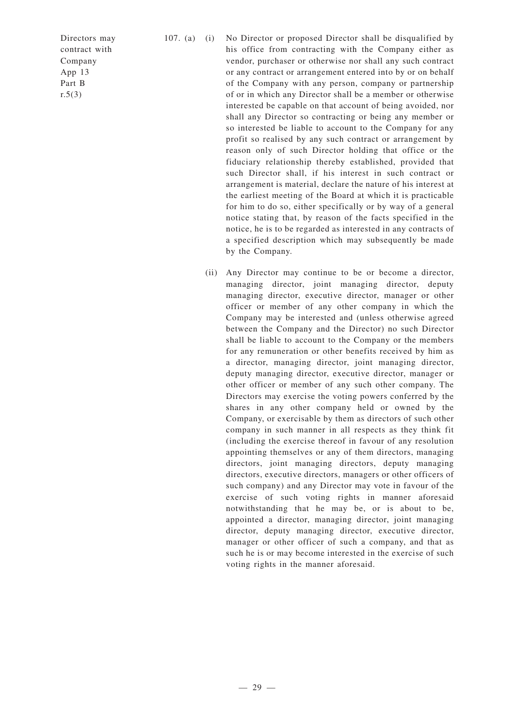Directors may contract with Company App 13 Part B  $r.5(3)$ 

- 107. (a) (i) No Director or proposed Director shall be disqualified by his office from contracting with the Company either as vendor, purchaser or otherwise nor shall any such contract or any contract or arrangement entered into by or on behalf of the Company with any person, company or partnership of or in which any Director shall be a member or otherwise interested be capable on that account of being avoided, nor shall any Director so contracting or being any member or so interested be liable to account to the Company for any profit so realised by any such contract or arrangement by reason only of such Director holding that office or the fiduciary relationship thereby established, provided that such Director shall, if his interest in such contract or arrangement is material, declare the nature of his interest at the earliest meeting of the Board at which it is practicable for him to do so, either specifically or by way of a general notice stating that, by reason of the facts specified in the notice, he is to be regarded as interested in any contracts of a specified description which may subsequently be made by the Company.
	- (ii) Any Director may continue to be or become a director, managing director, joint managing director, deputy managing director, executive director, manager or other officer or member of any other company in which the Company may be interested and (unless otherwise agreed between the Company and the Director) no such Director shall be liable to account to the Company or the members for any remuneration or other benefits received by him as a director, managing director, joint managing director, deputy managing director, executive director, manager or other officer or member of any such other company. The Directors may exercise the voting powers conferred by the shares in any other company held or owned by the Company, or exercisable by them as directors of such other company in such manner in all respects as they think fit (including the exercise thereof in favour of any resolution appointing themselves or any of them directors, managing directors, joint managing directors, deputy managing directors, executive directors, managers or other officers of such company) and any Director may vote in favour of the exercise of such voting rights in manner aforesaid notwithstanding that he may be, or is about to be, appointed a director, managing director, joint managing director, deputy managing director, executive director, manager or other officer of such a company, and that as such he is or may become interested in the exercise of such voting rights in the manner aforesaid.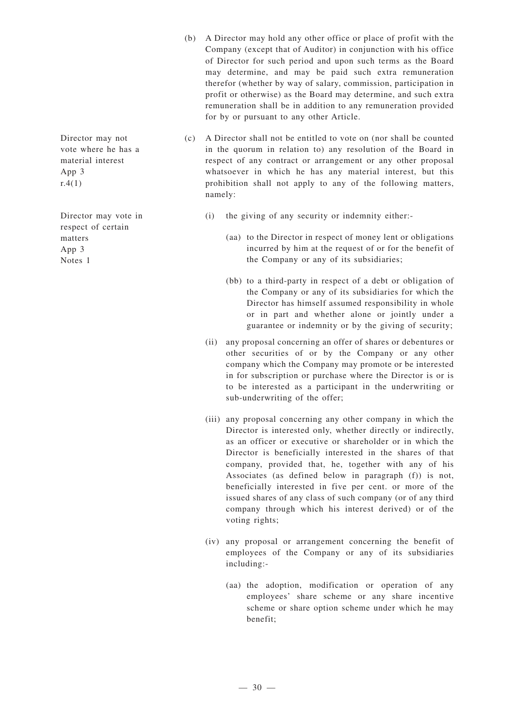- (b) A Director may hold any other office or place of profit with the Company (except that of Auditor) in conjunction with his office of Director for such period and upon such terms as the Board may determine, and may be paid such extra remuneration therefor (whether by way of salary, commission, participation in profit or otherwise) as the Board may determine, and such extra remuneration shall be in addition to any remuneration provided for by or pursuant to any other Article.
- (c) A Director shall not be entitled to vote on (nor shall be counted in the quorum in relation to) any resolution of the Board in respect of any contract or arrangement or any other proposal whatsoever in which he has any material interest, but this prohibition shall not apply to any of the following matters, namely:
	- (i) the giving of any security or indemnity either:-
		- (aa) to the Director in respect of money lent or obligations incurred by him at the request of or for the benefit of the Company or any of its subsidiaries;
		- (bb) to a third-party in respect of a debt or obligation of the Company or any of its subsidiaries for which the Director has himself assumed responsibility in whole or in part and whether alone or jointly under a guarantee or indemnity or by the giving of security;
	- (ii) any proposal concerning an offer of shares or debentures or other securities of or by the Company or any other company which the Company may promote or be interested in for subscription or purchase where the Director is or is to be interested as a participant in the underwriting or sub-underwriting of the offer;
	- (iii) any proposal concerning any other company in which the Director is interested only, whether directly or indirectly, as an officer or executive or shareholder or in which the Director is beneficially interested in the shares of that company, provided that, he, together with any of his Associates (as defined below in paragraph (f)) is not, beneficially interested in five per cent. or more of the issued shares of any class of such company (or of any third company through which his interest derived) or of the voting rights;
	- (iv) any proposal or arrangement concerning the benefit of employees of the Company or any of its subsidiaries including:-
		- (aa) the adoption, modification or operation of any employees' share scheme or any share incentive scheme or share option scheme under which he may benefit;

Director may not vote where he has a material interest App 3  $r.4(1)$ 

Director may vote in respect of certain matters App 3 Notes 1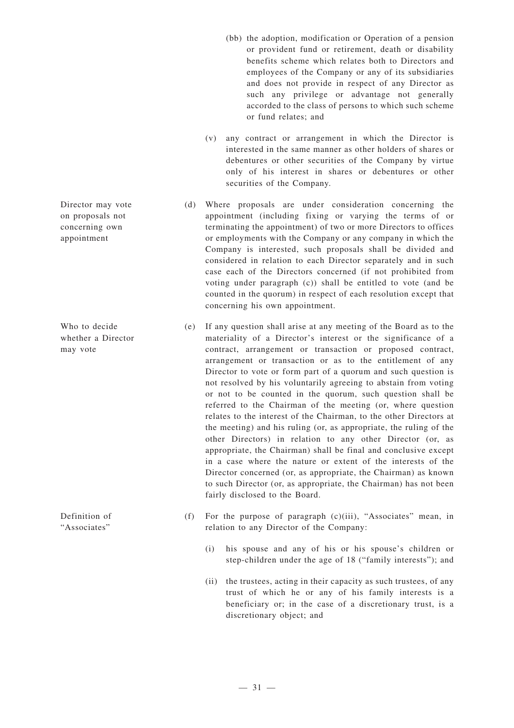- (bb) the adoption, modification or Operation of a pension or provident fund or retirement, death or disability benefits scheme which relates both to Directors and employees of the Company or any of its subsidiaries and does not provide in respect of any Director as such any privilege or advantage not generally accorded to the class of persons to which such scheme or fund relates; and
- (v) any contract or arrangement in which the Director is interested in the same manner as other holders of shares or debentures or other securities of the Company by virtue only of his interest in shares or debentures or other securities of the Company.
- (d) Where proposals are under consideration concerning the appointment (including fixing or varying the terms of or terminating the appointment) of two or more Directors to offices or employments with the Company or any company in which the Company is interested, such proposals shall be divided and considered in relation to each Director separately and in such case each of the Directors concerned (if not prohibited from voting under paragraph (c)) shall be entitled to vote (and be counted in the quorum) in respect of each resolution except that concerning his own appointment.
- (e) If any question shall arise at any meeting of the Board as to the materiality of a Director's interest or the significance of a contract, arrangement or transaction or proposed contract, arrangement or transaction or as to the entitlement of any Director to vote or form part of a quorum and such question is not resolved by his voluntarily agreeing to abstain from voting or not to be counted in the quorum, such question shall be referred to the Chairman of the meeting (or, where question relates to the interest of the Chairman, to the other Directors at the meeting) and his ruling (or, as appropriate, the ruling of the other Directors) in relation to any other Director (or, as appropriate, the Chairman) shall be final and conclusive except in a case where the nature or extent of the interests of the Director concerned (or, as appropriate, the Chairman) as known to such Director (or, as appropriate, the Chairman) has not been fairly disclosed to the Board.
- (f) For the purpose of paragraph (c)(iii), "Associates" mean, in relation to any Director of the Company:
	- (i) his spouse and any of his or his spouse's children or step-children under the age of 18 ("family interests"); and
	- (ii) the trustees, acting in their capacity as such trustees, of any trust of which he or any of his family interests is a beneficiary or; in the case of a discretionary trust, is a discretionary object; and

Director may vote on proposals not concerning own appointment

Who to decide whether a Director may vote

Definition of "Associates"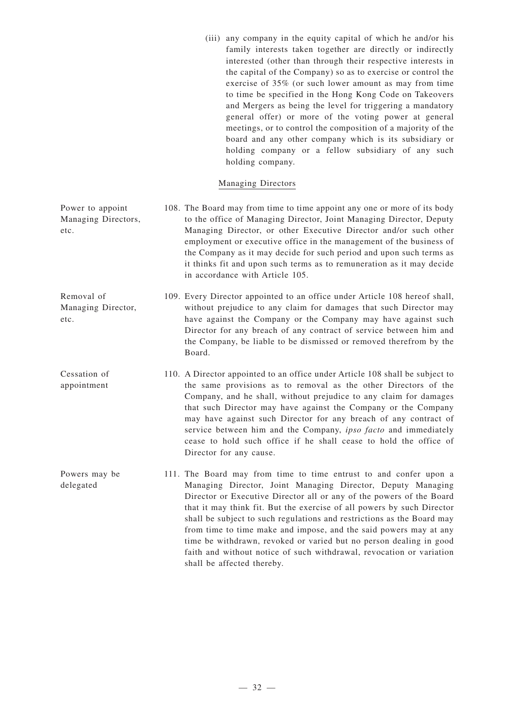(iii) any company in the equity capital of which he and/or his family interests taken together are directly or indirectly interested (other than through their respective interests in the capital of the Company) so as to exercise or control the exercise of 35% (or such lower amount as may from time to time be specified in the Hong Kong Code on Takeovers and Mergers as being the level for triggering a mandatory general offer) or more of the voting power at general meetings, or to control the composition of a majority of the board and any other company which is its subsidiary or holding company or a fellow subsidiary of any such holding company.

### Managing Directors

| Power to appoint<br>Managing Directors,<br>etc. | 108. The Board may from time to time appoint any one or more of its body<br>to the office of Managing Director, Joint Managing Director, Deputy<br>Managing Director, or other Executive Director and/or such other<br>employment or executive office in the management of the business of<br>the Company as it may decide for such period and upon such terms as<br>it thinks fit and upon such terms as to remuneration as it may decide<br>in accordance with Article 105.                                                                                                   |
|-------------------------------------------------|---------------------------------------------------------------------------------------------------------------------------------------------------------------------------------------------------------------------------------------------------------------------------------------------------------------------------------------------------------------------------------------------------------------------------------------------------------------------------------------------------------------------------------------------------------------------------------|
| Removal of<br>Managing Director,<br>etc.        | 109. Every Director appointed to an office under Article 108 hereof shall,<br>without prejudice to any claim for damages that such Director may<br>have against the Company or the Company may have against such<br>Director for any breach of any contract of service between him and<br>the Company, be liable to be dismissed or removed therefrom by the<br>Board.                                                                                                                                                                                                          |
| Cessation of<br>appointment                     | 110. A Director appointed to an office under Article 108 shall be subject to<br>the same provisions as to removal as the other Directors of the<br>Company, and he shall, without prejudice to any claim for damages<br>that such Director may have against the Company or the Company<br>may have against such Director for any breach of any contract of<br>service between him and the Company, ipso facto and immediately<br>cease to hold such office if he shall cease to hold the office of<br>Director for any cause.                                                   |
| Powers may be<br>delegated                      | 111. The Board may from time to time entrust to and confer upon a<br>Managing Director, Joint Managing Director, Deputy Managing<br>Director or Executive Director all or any of the powers of the Board<br>that it may think fit. But the exercise of all powers by such Director<br>shall be subject to such regulations and restrictions as the Board may<br>from time to time make and impose, and the said powers may at any<br>time be withdrawn, revoked or varied but no person dealing in good<br>faith and without notice of such withdrawal, revocation or variation |

shall be affected thereby.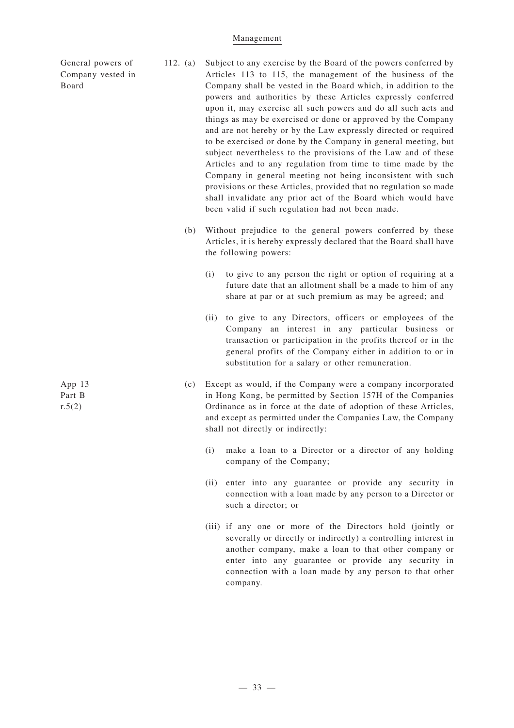#### Management

General powers of Company vested in Board

- 112. (a) Subject to any exercise by the Board of the powers conferred by Articles 113 to 115, the management of the business of the Company shall be vested in the Board which, in addition to the powers and authorities by these Articles expressly conferred upon it, may exercise all such powers and do all such acts and things as may be exercised or done or approved by the Company and are not hereby or by the Law expressly directed or required to be exercised or done by the Company in general meeting, but subject nevertheless to the provisions of the Law and of these Articles and to any regulation from time to time made by the Company in general meeting not being inconsistent with such provisions or these Articles, provided that no regulation so made shall invalidate any prior act of the Board which would have been valid if such regulation had not been made.
	- (b) Without prejudice to the general powers conferred by these Articles, it is hereby expressly declared that the Board shall have the following powers:
		- (i) to give to any person the right or option of requiring at a future date that an allotment shall be a made to him of any share at par or at such premium as may be agreed; and
		- (ii) to give to any Directors, officers or employees of the Company an interest in any particular business or transaction or participation in the profits thereof or in the general profits of the Company either in addition to or in substitution for a salary or other remuneration.
	- (c) Except as would, if the Company were a company incorporated in Hong Kong, be permitted by Section 157H of the Companies Ordinance as in force at the date of adoption of these Articles, and except as permitted under the Companies Law, the Company shall not directly or indirectly:
		- (i) make a loan to a Director or a director of any holding company of the Company;
		- (ii) enter into any guarantee or provide any security in connection with a loan made by any person to a Director or such a director; or
		- (iii) if any one or more of the Directors hold (jointly or severally or directly or indirectly) a controlling interest in another company, make a loan to that other company or enter into any guarantee or provide any security in connection with a loan made by any person to that other company.

App 13 Part B  $r.5(2)$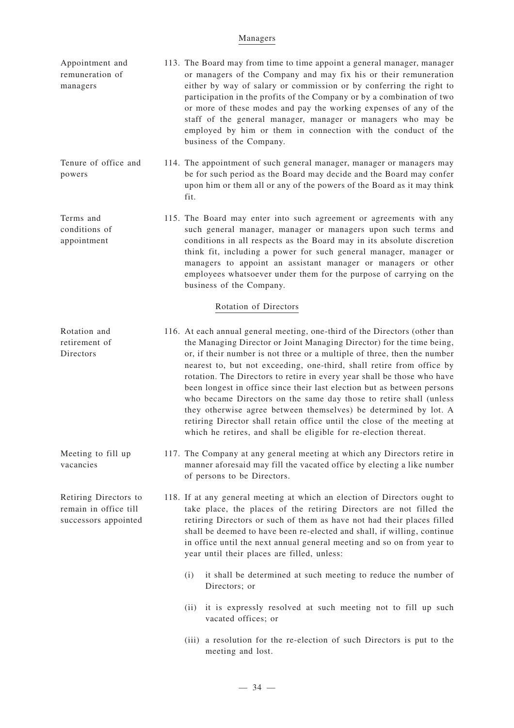#### Managers

| Appointment and | 113. The Board may from time to time appoint a general manager, manager |
|-----------------|-------------------------------------------------------------------------|
| remuneration of | or managers of the Company and may fix his or their remuneration        |
| managers        | either by way of salary or commission or by conferring the right to     |
|                 | participation in the profits of the Company or by a combination of two  |
|                 | or more of these modes and pay the working expenses of any of the       |
|                 | staff of the general manager, manager or managers who may be            |
|                 | employed by him or them in connection with the conduct of the           |
|                 | business of the Company.                                                |
|                 |                                                                         |

Tenure of office and powers 114. The appointment of such general manager, manager or managers may be for such period as the Board may decide and the Board may confer upon him or them all or any of the powers of the Board as it may think fit.

Terms and conditions of appointment 115. The Board may enter into such agreement or agreements with any such general manager, manager or managers upon such terms and conditions in all respects as the Board may in its absolute discretion think fit, including a power for such general manager, manager or managers to appoint an assistant manager or managers or other employees whatsoever under them for the purpose of carrying on the business of the Company.

### Rotation of Directors

**Directors** 

Meeting to fill up

Retiring Directors to remain in office till successors appointed

vacancies

- Rotation and retirement of 116. At each annual general meeting, one-third of the Directors (other than the Managing Director or Joint Managing Director) for the time being, or, if their number is not three or a multiple of three, then the number nearest to, but not exceeding, one-third, shall retire from office by rotation. The Directors to retire in every year shall be those who have been longest in office since their last election but as between persons who became Directors on the same day those to retire shall (unless they otherwise agree between themselves) be determined by lot. A retiring Director shall retain office until the close of the meeting at which he retires, and shall be eligible for re-election thereat.
	- 117. The Company at any general meeting at which any Directors retire in manner aforesaid may fill the vacated office by electing a like number of persons to be Directors.
	- 118. If at any general meeting at which an election of Directors ought to take place, the places of the retiring Directors are not filled the retiring Directors or such of them as have not had their places filled shall be deemed to have been re-elected and shall, if willing, continue in office until the next annual general meeting and so on from year to year until their places are filled, unless:
		- (i) it shall be determined at such meeting to reduce the number of Directors; or
		- (ii) it is expressly resolved at such meeting not to fill up such vacated offices; or
		- (iii) a resolution for the re-election of such Directors is put to the meeting and lost.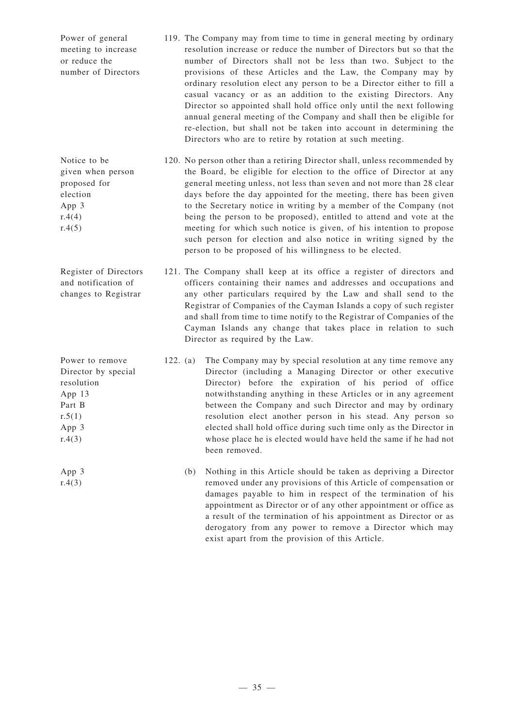Power of general meeting to increase or reduce the number of Directors 119. The Company may from time to time in general meeting by ordinary resolution increase or reduce the number of Directors but so that the number of Directors shall not be less than two. Subject to the provisions of these Articles and the Law, the Company may by ordinary resolution elect any person to be a Director either to fill a casual vacancy or as an addition to the existing Directors. Any Director so appointed shall hold office only until the next following annual general meeting of the Company and shall then be eligible for re-election, but shall not be taken into account in determining the Directors who are to retire by rotation at such meeting.

> 120. No person other than a retiring Director shall, unless recommended by the Board, be eligible for election to the office of Director at any general meeting unless, not less than seven and not more than 28 clear days before the day appointed for the meeting, there has been given to the Secretary notice in writing by a member of the Company (not being the person to be proposed), entitled to attend and vote at the meeting for which such notice is given, of his intention to propose such person for election and also notice in writing signed by the person to be proposed of his willingness to be elected.

121. The Company shall keep at its office a register of directors and officers containing their names and addresses and occupations and any other particulars required by the Law and shall send to the Registrar of Companies of the Cayman Islands a copy of such register and shall from time to time notify to the Registrar of Companies of the Cayman Islands any change that takes place in relation to such Director as required by the Law.

- 122. (a) The Company may by special resolution at any time remove any Director (including a Managing Director or other executive Director) before the expiration of his period of office notwithstanding anything in these Articles or in any agreement between the Company and such Director and may by ordinary resolution elect another person in his stead. Any person so elected shall hold office during such time only as the Director in whose place he is elected would have held the same if he had not been removed.
	- (b) Nothing in this Article should be taken as depriving a Director removed under any provisions of this Article of compensation or damages payable to him in respect of the termination of his appointment as Director or of any other appointment or office as a result of the termination of his appointment as Director or as derogatory from any power to remove a Director which may exist apart from the provision of this Article.

 $r.4(4)$  $r.4(5)$ 

Notice to be given when person proposed for election App 3

Register of Directors and notification of changes to Registrar

Power to remove Director by special resolution App 13 Part B  $r.5(1)$ App 3  $r.4(3)$ 

App 3  $r.4(3)$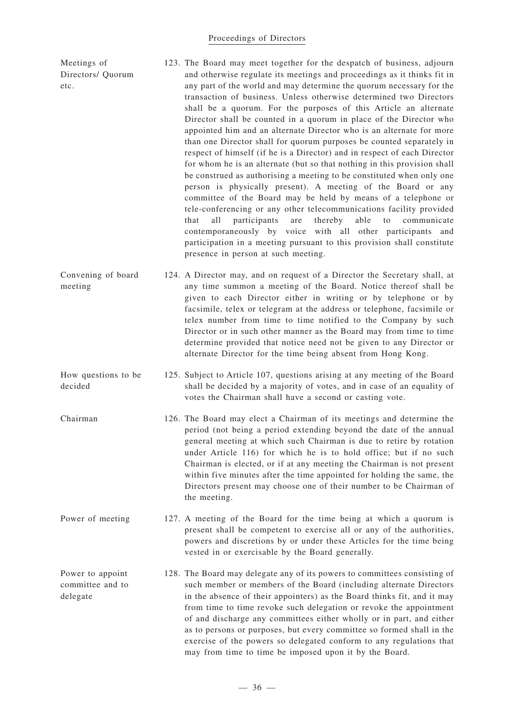#### Proceedings of Directors

| Meetings of<br>Directors/ Quorum<br>etc. | 123. The Board may meet together for the despatch of business, adjourn<br>and otherwise regulate its meetings and proceedings as it thinks fit in<br>any part of the world and may determine the quorum necessary for the<br>transaction of business. Unless otherwise determined two Directors<br>shall be a quorum. For the purposes of this Article an alternate<br>Director shall be counted in a quorum in place of the Director who                                                                                                                                                                                                                                                                                                                                                                                                          |
|------------------------------------------|----------------------------------------------------------------------------------------------------------------------------------------------------------------------------------------------------------------------------------------------------------------------------------------------------------------------------------------------------------------------------------------------------------------------------------------------------------------------------------------------------------------------------------------------------------------------------------------------------------------------------------------------------------------------------------------------------------------------------------------------------------------------------------------------------------------------------------------------------|
|                                          | appointed him and an alternate Director who is an alternate for more<br>than one Director shall for quorum purposes be counted separately in<br>respect of himself (if he is a Director) and in respect of each Director<br>for whom he is an alternate (but so that nothing in this provision shall<br>be construed as authorising a meeting to be constituted when only one<br>person is physically present). A meeting of the Board or any<br>committee of the Board may be held by means of a telephone or<br>tele-conferencing or any other telecommunications facility provided<br>all<br>participants<br>thereby<br>able<br>that<br>communicate<br>are<br>to<br>contemporaneously by voice with all other participants and<br>participation in a meeting pursuant to this provision shall constitute<br>presence in person at such meeting. |
| Convening of board<br>meeting            | 124. A Director may, and on request of a Director the Secretary shall, at<br>any time summon a meeting of the Board. Notice thereof shall be<br>given to each Director either in writing or by telephone or by<br>facsimile, telex or telegram at the address or telephone, facsimile or<br>telex number from time to time notified to the Company by such<br>Director or in such other manner as the Board may from time to time<br>determine provided that notice need not be given to any Director or<br>alternate Director for the time being absent from Hong Kong.                                                                                                                                                                                                                                                                           |

- How questions to be decided 125. Subject to Article 107, questions arising at any meeting of the Board shall be decided by a majority of votes, and in case of an equality of votes the Chairman shall have a second or casting vote.
- Chairman 126. The Board may elect a Chairman of its meetings and determine the period (not being a period extending beyond the date of the annual general meeting at which such Chairman is due to retire by rotation under Article 116) for which he is to hold office; but if no such Chairman is elected, or if at any meeting the Chairman is not present within five minutes after the time appointed for holding the same, the Directors present may choose one of their number to be Chairman of the meeting.
- Power of meeting 127. A meeting of the Board for the time being at which a quorum is present shall be competent to exercise all or any of the authorities, powers and discretions by or under these Articles for the time being vested in or exercisable by the Board generally.
- Power to appoint committee and to delegate 128. The Board may delegate any of its powers to committees consisting of such member or members of the Board (including alternate Directors in the absence of their appointers) as the Board thinks fit, and it may from time to time revoke such delegation or revoke the appointment of and discharge any committees either wholly or in part, and either as to persons or purposes, but every committee so formed shall in the exercise of the powers so delegated conform to any regulations that may from time to time be imposed upon it by the Board.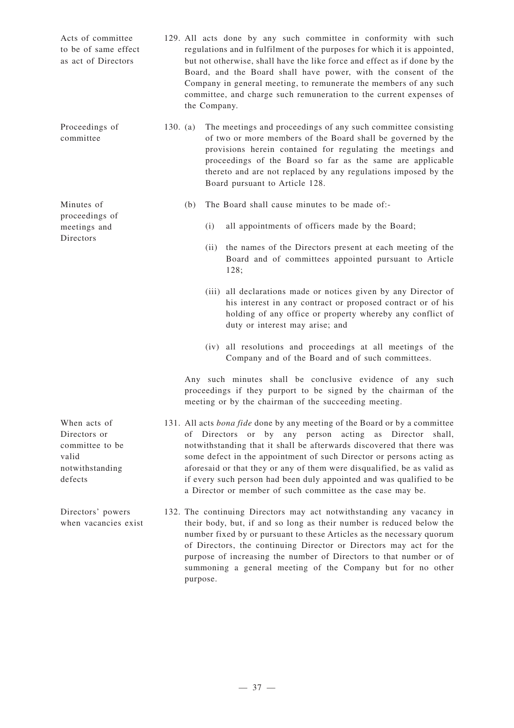| Acts of committee<br>to be of same effect<br>as act of Directors                       |          | 129. All acts done by any such committee in conformity with such<br>regulations and in fulfilment of the purposes for which it is appointed,<br>but not otherwise, shall have the like force and effect as if done by the<br>Board, and the Board shall have power, with the consent of the<br>Company in general meeting, to remunerate the members of any such<br>committee, and charge such remuneration to the current expenses of<br>the Company.                                                  |
|----------------------------------------------------------------------------------------|----------|---------------------------------------------------------------------------------------------------------------------------------------------------------------------------------------------------------------------------------------------------------------------------------------------------------------------------------------------------------------------------------------------------------------------------------------------------------------------------------------------------------|
| Proceedings of<br>committee                                                            | 130. (a) | The meetings and proceedings of any such committee consisting<br>of two or more members of the Board shall be governed by the<br>provisions herein contained for regulating the meetings and<br>proceedings of the Board so far as the same are applicable<br>thereto and are not replaced by any regulations imposed by the<br>Board pursuant to Article 128.                                                                                                                                          |
| Minutes of<br>proceedings of                                                           |          | The Board shall cause minutes to be made of:-<br>(b)                                                                                                                                                                                                                                                                                                                                                                                                                                                    |
| meetings and<br>Directors                                                              |          | all appointments of officers made by the Board;<br>(i)                                                                                                                                                                                                                                                                                                                                                                                                                                                  |
|                                                                                        |          | the names of the Directors present at each meeting of the<br>(ii)<br>Board and of committees appointed pursuant to Article<br>128;                                                                                                                                                                                                                                                                                                                                                                      |
|                                                                                        |          | (iii) all declarations made or notices given by any Director of<br>his interest in any contract or proposed contract or of his<br>holding of any office or property whereby any conflict of<br>duty or interest may arise; and                                                                                                                                                                                                                                                                          |
|                                                                                        |          | all resolutions and proceedings at all meetings of the<br>(iv)<br>Company and of the Board and of such committees.                                                                                                                                                                                                                                                                                                                                                                                      |
|                                                                                        |          | Any such minutes shall be conclusive evidence of any such<br>proceedings if they purport to be signed by the chairman of the<br>meeting or by the chairman of the succeeding meeting.                                                                                                                                                                                                                                                                                                                   |
| When acts of<br>Directors or<br>committee to be<br>valid<br>notwithstanding<br>defects |          | 131. All acts bona fide done by any meeting of the Board or by a committee<br>of Directors or by any person acting as Director shall,<br>notwithstanding that it shall be afterwards discovered that there was<br>some defect in the appointment of such Director or persons acting as<br>aforesaid or that they or any of them were disqualified, be as valid as<br>if every such person had been duly appointed and was qualified to be<br>a Director or member of such committee as the case may be. |
| Directors' powers<br>when vacancies exist                                              |          | 132. The continuing Directors may act notwithstanding any vacancy in<br>their body, but, if and so long as their number is reduced below the<br>number fixed by or pursuant to these Articles as the necessary quorum<br>of Directors, the continuing Director or Directors may act for the<br>purpose of increasing the number of Directors to that number or of<br>summoning a general meeting of the Company but for no other<br>purpose.                                                            |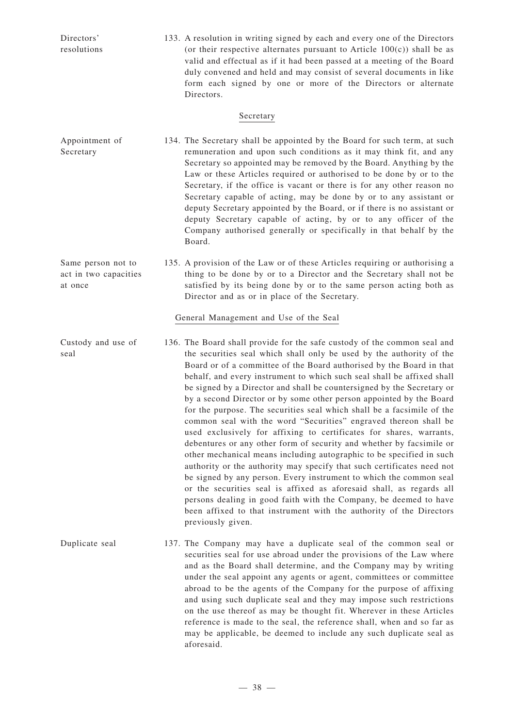| Directors'<br>resolutions                              | 133. A resolution in writing signed by each and every one of the Directors<br>(or their respective alternates pursuant to Article $100(c)$ ) shall be as<br>valid and effectual as if it had been passed at a meeting of the Board<br>duly convened and held and may consist of several documents in like<br>form each signed by one or more of the Directors or alternate<br>Directors.                                                                                                                                                                                                                                                                                                                                                                                                                                                                                                                                                                                                                                                                                                                                                                                                                          |
|--------------------------------------------------------|-------------------------------------------------------------------------------------------------------------------------------------------------------------------------------------------------------------------------------------------------------------------------------------------------------------------------------------------------------------------------------------------------------------------------------------------------------------------------------------------------------------------------------------------------------------------------------------------------------------------------------------------------------------------------------------------------------------------------------------------------------------------------------------------------------------------------------------------------------------------------------------------------------------------------------------------------------------------------------------------------------------------------------------------------------------------------------------------------------------------------------------------------------------------------------------------------------------------|
|                                                        | Secretary                                                                                                                                                                                                                                                                                                                                                                                                                                                                                                                                                                                                                                                                                                                                                                                                                                                                                                                                                                                                                                                                                                                                                                                                         |
| Appointment of<br>Secretary                            | 134. The Secretary shall be appointed by the Board for such term, at such<br>remuneration and upon such conditions as it may think fit, and any<br>Secretary so appointed may be removed by the Board. Anything by the<br>Law or these Articles required or authorised to be done by or to the<br>Secretary, if the office is vacant or there is for any other reason no<br>Secretary capable of acting, may be done by or to any assistant or<br>deputy Secretary appointed by the Board, or if there is no assistant or<br>deputy Secretary capable of acting, by or to any officer of the<br>Company authorised generally or specifically in that behalf by the<br>Board.                                                                                                                                                                                                                                                                                                                                                                                                                                                                                                                                      |
| Same person not to<br>act in two capacities<br>at once | 135. A provision of the Law or of these Articles requiring or authorising a<br>thing to be done by or to a Director and the Secretary shall not be<br>satisfied by its being done by or to the same person acting both as<br>Director and as or in place of the Secretary.                                                                                                                                                                                                                                                                                                                                                                                                                                                                                                                                                                                                                                                                                                                                                                                                                                                                                                                                        |
|                                                        | General Management and Use of the Seal                                                                                                                                                                                                                                                                                                                                                                                                                                                                                                                                                                                                                                                                                                                                                                                                                                                                                                                                                                                                                                                                                                                                                                            |
| Custody and use of<br>seal                             | 136. The Board shall provide for the safe custody of the common seal and<br>the securities seal which shall only be used by the authority of the<br>Board or of a committee of the Board authorised by the Board in that<br>behalf, and every instrument to which such seal shall be affixed shall<br>be signed by a Director and shall be countersigned by the Secretary or<br>by a second Director or by some other person appointed by the Board<br>for the purpose. The securities seal which shall be a facsimile of the<br>common seal with the word "Securities" engraved thereon shall be<br>used exclusively for affixing to certificates for shares, warrants,<br>debentures or any other form of security and whether by facsimile or<br>other mechanical means including autographic to be specified in such<br>authority or the authority may specify that such certificates need not<br>be signed by any person. Every instrument to which the common seal<br>or the securities seal is affixed as aforesaid shall, as regards all<br>persons dealing in good faith with the Company, be deemed to have<br>been affixed to that instrument with the authority of the Directors<br>previously given. |
| Duplicate seal                                         | 137. The Company may have a duplicate seal of the common seal or<br>securities seal for use abroad under the provisions of the Law where<br>and as the Board shall determine, and the Company may by writing                                                                                                                                                                                                                                                                                                                                                                                                                                                                                                                                                                                                                                                                                                                                                                                                                                                                                                                                                                                                      |

under the seal appoint any agents or agent, committees or committee abroad to be the agents of the Company for the purpose of affixing and using such duplicate seal and they may impose such restrictions on the use thereof as may be thought fit. Wherever in these Articles reference is made to the seal, the reference shall, when and so far as may be applicable, be deemed to include any such duplicate seal as aforesaid.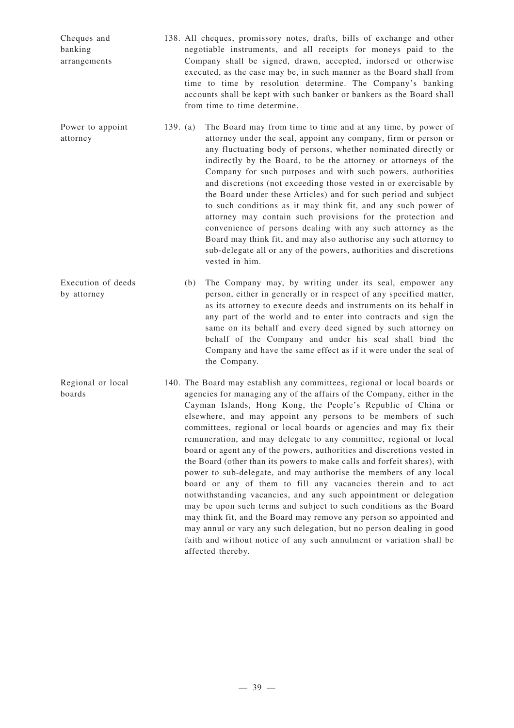| Cheques and<br>banking<br>arrangements | 138. All cheques, promissory notes, drafts, bills of exchange and other<br>negotiable instruments, and all receipts for moneys paid to the<br>Company shall be signed, drawn, accepted, indorsed or otherwise<br>executed, as the case may be, in such manner as the Board shall from<br>time to time by resolution determine. The Company's banking<br>accounts shall be kept with such banker or bankers as the Board shall<br>from time to time determine.                                                                                                                                                                                                                                                                                                                                                                                                                                                                                                                                                                                                                                                      |  |
|----------------------------------------|--------------------------------------------------------------------------------------------------------------------------------------------------------------------------------------------------------------------------------------------------------------------------------------------------------------------------------------------------------------------------------------------------------------------------------------------------------------------------------------------------------------------------------------------------------------------------------------------------------------------------------------------------------------------------------------------------------------------------------------------------------------------------------------------------------------------------------------------------------------------------------------------------------------------------------------------------------------------------------------------------------------------------------------------------------------------------------------------------------------------|--|
| Power to appoint<br>attorney           | The Board may from time to time and at any time, by power of<br>139. $(a)$<br>attorney under the seal, appoint any company, firm or person or<br>any fluctuating body of persons, whether nominated directly or<br>indirectly by the Board, to be the attorney or attorneys of the<br>Company for such purposes and with such powers, authorities<br>and discretions (not exceeding those vested in or exercisable by<br>the Board under these Articles) and for such period and subject<br>to such conditions as it may think fit, and any such power of<br>attorney may contain such provisions for the protection and<br>convenience of persons dealing with any such attorney as the<br>Board may think fit, and may also authorise any such attorney to<br>sub-delegate all or any of the powers, authorities and discretions<br>vested in him.                                                                                                                                                                                                                                                               |  |
| Execution of deeds<br>by attorney      | The Company may, by writing under its seal, empower any<br>(b)<br>person, either in generally or in respect of any specified matter,<br>as its attorney to execute deeds and instruments on its behalf in<br>any part of the world and to enter into contracts and sign the<br>same on its behalf and every deed signed by such attorney on<br>behalf of the Company and under his seal shall bind the<br>Company and have the same effect as if it were under the seal of<br>the Company.                                                                                                                                                                                                                                                                                                                                                                                                                                                                                                                                                                                                                         |  |
| Regional or local<br>boards            | 140. The Board may establish any committees, regional or local boards or<br>agencies for managing any of the affairs of the Company, either in the<br>Cayman Islands, Hong Kong, the People's Republic of China or<br>elsewhere, and may appoint any persons to be members of such<br>committees, regional or local boards or agencies and may fix their<br>remuneration, and may delegate to any committee, regional or local<br>board or agent any of the powers, authorities and discretions vested in<br>the Board (other than its powers to make calls and forfeit shares), with<br>power to sub-delegate, and may authorise the members of any local<br>board or any of them to fill any vacancies therein and to act<br>notwithstanding vacancies, and any such appointment or delegation<br>may be upon such terms and subject to such conditions as the Board<br>may think fit, and the Board may remove any person so appointed and<br>may annul or vary any such delegation, but no person dealing in good<br>faith and without notice of any such annulment or variation shall be<br>affected thereby. |  |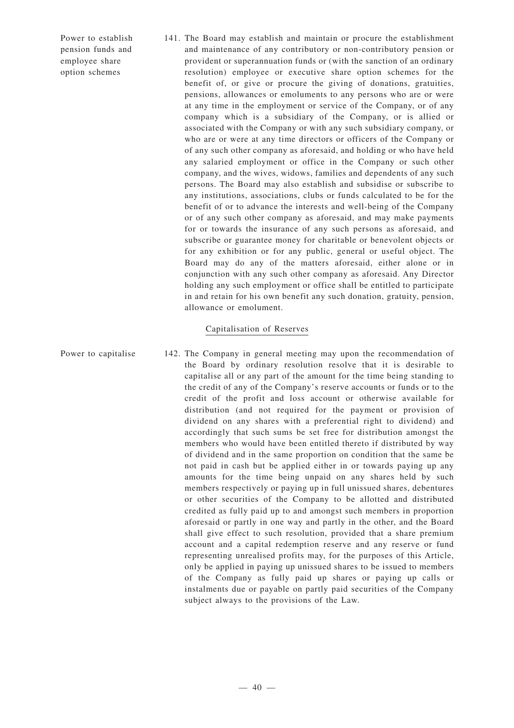Power to establish pension funds and employee share option schemes

141. The Board may establish and maintain or procure the establishment and maintenance of any contributory or non-contributory pension or provident or superannuation funds or (with the sanction of an ordinary resolution) employee or executive share option schemes for the benefit of, or give or procure the giving of donations, gratuities, pensions, allowances or emoluments to any persons who are or were at any time in the employment or service of the Company, or of any company which is a subsidiary of the Company, or is allied or associated with the Company or with any such subsidiary company, or who are or were at any time directors or officers of the Company or of any such other company as aforesaid, and holding or who have held any salaried employment or office in the Company or such other company, and the wives, widows, families and dependents of any such persons. The Board may also establish and subsidise or subscribe to any institutions, associations, clubs or funds calculated to be for the benefit of or to advance the interests and well-being of the Company or of any such other company as aforesaid, and may make payments for or towards the insurance of any such persons as aforesaid, and subscribe or guarantee money for charitable or benevolent objects or for any exhibition or for any public, general or useful object. The Board may do any of the matters aforesaid, either alone or in conjunction with any such other company as aforesaid. Any Director holding any such employment or office shall be entitled to participate in and retain for his own benefit any such donation, gratuity, pension, allowance or emolument.

### Capitalisation of Reserves

Power to capitalise 142. The Company in general meeting may upon the recommendation of the Board by ordinary resolution resolve that it is desirable to capitalise all or any part of the amount for the time being standing to the credit of any of the Company's reserve accounts or funds or to the credit of the profit and loss account or otherwise available for distribution (and not required for the payment or provision of dividend on any shares with a preferential right to dividend) and accordingly that such sums be set free for distribution amongst the members who would have been entitled thereto if distributed by way of dividend and in the same proportion on condition that the same be not paid in cash but be applied either in or towards paying up any amounts for the time being unpaid on any shares held by such members respectively or paying up in full unissued shares, debentures or other securities of the Company to be allotted and distributed credited as fully paid up to and amongst such members in proportion aforesaid or partly in one way and partly in the other, and the Board shall give effect to such resolution, provided that a share premium account and a capital redemption reserve and any reserve or fund representing unrealised profits may, for the purposes of this Article, only be applied in paying up unissued shares to be issued to members of the Company as fully paid up shares or paying up calls or instalments due or payable on partly paid securities of the Company subject always to the provisions of the Law.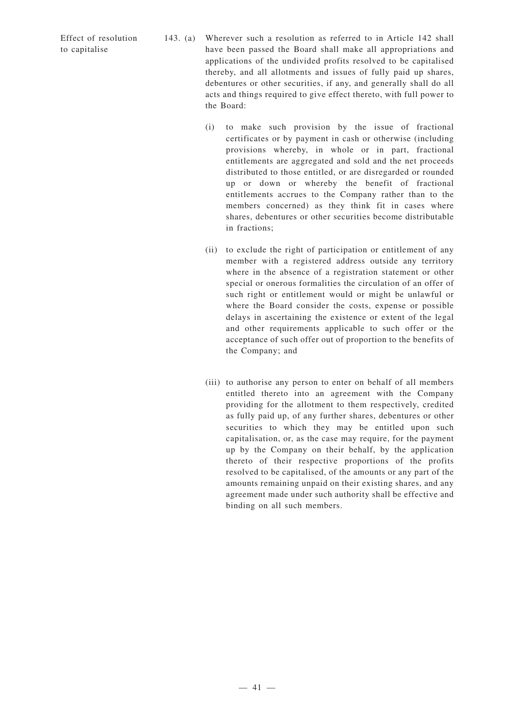Effect of resolution to capitalise

- 143. (a) Wherever such a resolution as referred to in Article 142 shall have been passed the Board shall make all appropriations and applications of the undivided profits resolved to be capitalised thereby, and all allotments and issues of fully paid up shares, debentures or other securities, if any, and generally shall do all acts and things required to give effect thereto, with full power to the Board:
	- (i) to make such provision by the issue of fractional certificates or by payment in cash or otherwise (including provisions whereby, in whole or in part, fractional entitlements are aggregated and sold and the net proceeds distributed to those entitled, or are disregarded or rounded up or down or whereby the benefit of fractional entitlements accrues to the Company rather than to the members concerned) as they think fit in cases where shares, debentures or other securities become distributable in fractions;
	- (ii) to exclude the right of participation or entitlement of any member with a registered address outside any territory where in the absence of a registration statement or other special or onerous formalities the circulation of an offer of such right or entitlement would or might be unlawful or where the Board consider the costs, expense or possible delays in ascertaining the existence or extent of the legal and other requirements applicable to such offer or the acceptance of such offer out of proportion to the benefits of the Company; and
	- (iii) to authorise any person to enter on behalf of all members entitled thereto into an agreement with the Company providing for the allotment to them respectively, credited as fully paid up, of any further shares, debentures or other securities to which they may be entitled upon such capitalisation, or, as the case may require, for the payment up by the Company on their behalf, by the application thereto of their respective proportions of the profits resolved to be capitalised, of the amounts or any part of the amounts remaining unpaid on their existing shares, and any agreement made under such authority shall be effective and binding on all such members.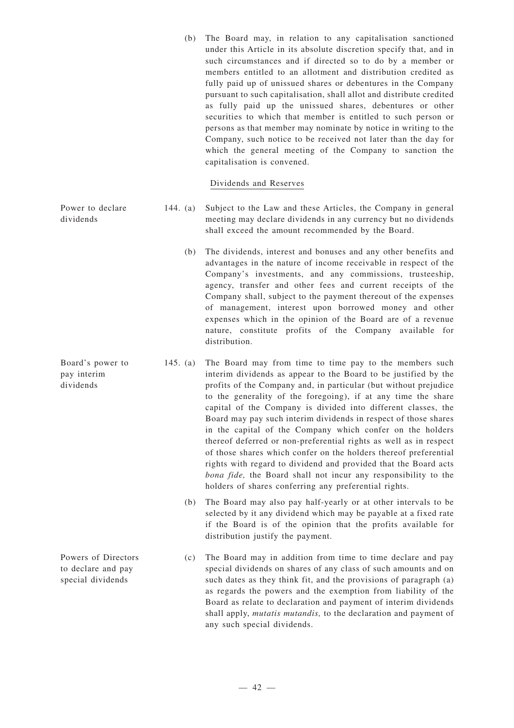(b) The Board may, in relation to any capitalisation sanctioned under this Article in its absolute discretion specify that, and in such circumstances and if directed so to do by a member or members entitled to an allotment and distribution credited as fully paid up of unissued shares or debentures in the Company pursuant to such capitalisation, shall allot and distribute credited as fully paid up the unissued shares, debentures or other securities to which that member is entitled to such person or persons as that member may nominate by notice in writing to the Company, such notice to be received not later than the day for which the general meeting of the Company to sanction the capitalisation is convened.

### Dividends and Reserves

- 144. (a) Subject to the Law and these Articles, the Company in general meeting may declare dividends in any currency but no dividends shall exceed the amount recommended by the Board.
	- (b) The dividends, interest and bonuses and any other benefits and advantages in the nature of income receivable in respect of the Company's investments, and any commissions, trusteeship, agency, transfer and other fees and current receipts of the Company shall, subject to the payment thereout of the expenses of management, interest upon borrowed money and other expenses which in the opinion of the Board are of a revenue nature, constitute profits of the Company available for distribution.
	- 145. (a) The Board may from time to time pay to the members such interim dividends as appear to the Board to be justified by the profits of the Company and, in particular (but without prejudice to the generality of the foregoing), if at any time the share capital of the Company is divided into different classes, the Board may pay such interim dividends in respect of those shares in the capital of the Company which confer on the holders thereof deferred or non-preferential rights as well as in respect of those shares which confer on the holders thereof preferential rights with regard to dividend and provided that the Board acts *bona fide,* the Board shall not incur any responsibility to the holders of shares conferring any preferential rights.
		- (b) The Board may also pay half-yearly or at other intervals to be selected by it any dividend which may be payable at a fixed rate if the Board is of the opinion that the profits available for distribution justify the payment.
		- (c) The Board may in addition from time to time declare and pay special dividends on shares of any class of such amounts and on such dates as they think fit, and the provisions of paragraph (a) as regards the powers and the exemption from liability of the Board as relate to declaration and payment of interim dividends shall apply, *mutatis mutandis,* to the declaration and payment of any such special dividends.

Power to declare dividends

Board's power to pay interim dividends

Powers of Directors to declare and pay special dividends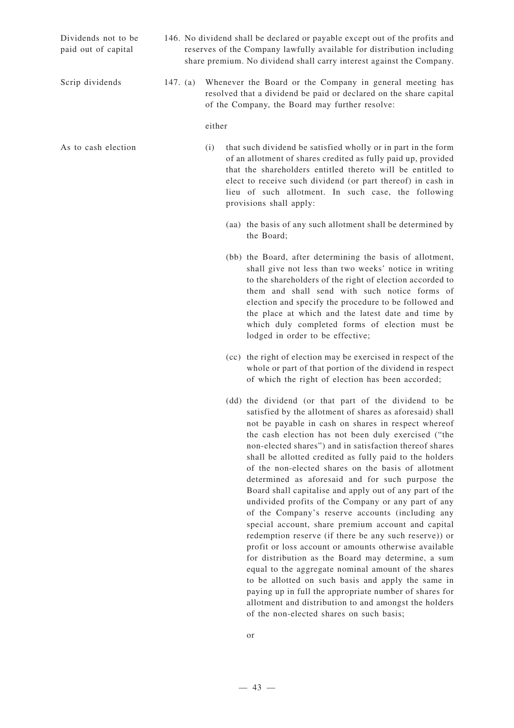Dividends not to be paid out of capital

- 146. No dividend shall be declared or payable except out of the profits and reserves of the Company lawfully available for distribution including share premium. No dividend shall carry interest against the Company.
- Scrip dividends 147. (a) Whenever the Board or the Company in general meeting has resolved that a dividend be paid or declared on the share capital of the Company, the Board may further resolve:

#### either

As to cash election (i) that such dividend be satisfied wholly or in part in the form of an allotment of shares credited as fully paid up, provided that the shareholders entitled thereto will be entitled to elect to receive such dividend (or part thereof) in cash in lieu of such allotment. In such case, the following provisions shall apply:

- (aa) the basis of any such allotment shall be determined by the Board;
- (bb) the Board, after determining the basis of allotment, shall give not less than two weeks' notice in writing to the shareholders of the right of election accorded to them and shall send with such notice forms of election and specify the procedure to be followed and the place at which and the latest date and time by which duly completed forms of election must be lodged in order to be effective;
- (cc) the right of election may be exercised in respect of the whole or part of that portion of the dividend in respect of which the right of election has been accorded;
- (dd) the dividend (or that part of the dividend to be satisfied by the allotment of shares as aforesaid) shall not be payable in cash on shares in respect whereof the cash election has not been duly exercised ("the non-elected shares") and in satisfaction thereof shares shall be allotted credited as fully paid to the holders of the non-elected shares on the basis of allotment determined as aforesaid and for such purpose the Board shall capitalise and apply out of any part of the undivided profits of the Company or any part of any of the Company's reserve accounts (including any special account, share premium account and capital redemption reserve (if there be any such reserve)) or profit or loss account or amounts otherwise available for distribution as the Board may determine, a sum equal to the aggregate nominal amount of the shares to be allotted on such basis and apply the same in paying up in full the appropriate number of shares for allotment and distribution to and amongst the holders of the non-elected shares on such basis;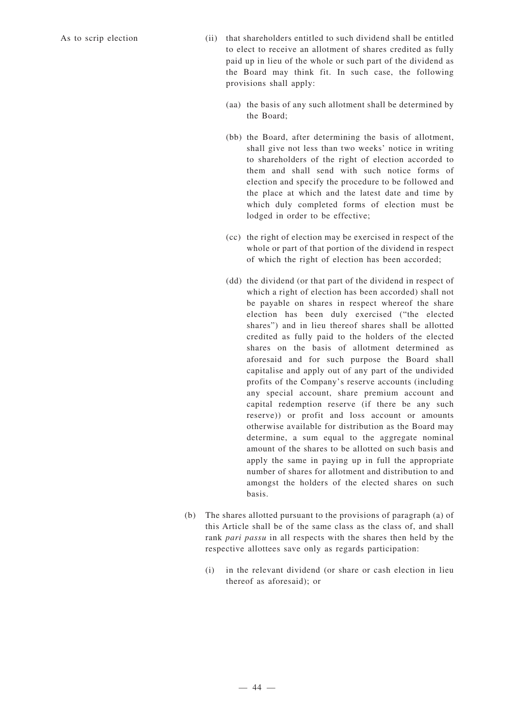- As to scrip election (ii) that shareholders entitled to such dividend shall be entitled to elect to receive an allotment of shares credited as fully paid up in lieu of the whole or such part of the dividend as the Board may think fit. In such case, the following provisions shall apply:
	- (aa) the basis of any such allotment shall be determined by the Board;
	- (bb) the Board, after determining the basis of allotment, shall give not less than two weeks' notice in writing to shareholders of the right of election accorded to them and shall send with such notice forms of election and specify the procedure to be followed and the place at which and the latest date and time by which duly completed forms of election must be lodged in order to be effective;
	- (cc) the right of election may be exercised in respect of the whole or part of that portion of the dividend in respect of which the right of election has been accorded;
	- (dd) the dividend (or that part of the dividend in respect of which a right of election has been accorded) shall not be payable on shares in respect whereof the share election has been duly exercised ("the elected shares") and in lieu thereof shares shall be allotted credited as fully paid to the holders of the elected shares on the basis of allotment determined as aforesaid and for such purpose the Board shall capitalise and apply out of any part of the undivided profits of the Company's reserve accounts (including any special account, share premium account and capital redemption reserve (if there be any such reserve)) or profit and loss account or amounts otherwise available for distribution as the Board may determine, a sum equal to the aggregate nominal amount of the shares to be allotted on such basis and apply the same in paying up in full the appropriate number of shares for allotment and distribution to and amongst the holders of the elected shares on such basis.
	- (b) The shares allotted pursuant to the provisions of paragraph (a) of this Article shall be of the same class as the class of, and shall rank *pari passu* in all respects with the shares then held by the respective allottees save only as regards participation:
		- (i) in the relevant dividend (or share or cash election in lieu thereof as aforesaid); or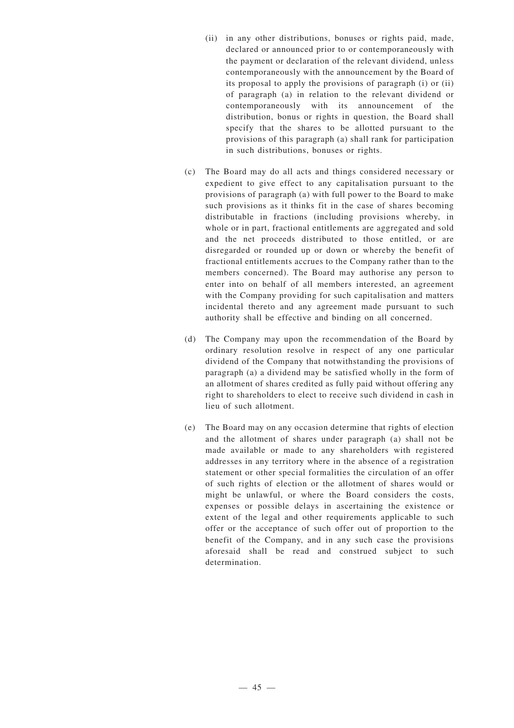- (ii) in any other distributions, bonuses or rights paid, made, declared or announced prior to or contemporaneously with the payment or declaration of the relevant dividend, unless contemporaneously with the announcement by the Board of its proposal to apply the provisions of paragraph (i) or (ii) of paragraph (a) in relation to the relevant dividend or contemporaneously with its announcement of the distribution, bonus or rights in question, the Board shall specify that the shares to be allotted pursuant to the provisions of this paragraph (a) shall rank for participation in such distributions, bonuses or rights.
- (c) The Board may do all acts and things considered necessary or expedient to give effect to any capitalisation pursuant to the provisions of paragraph (a) with full power to the Board to make such provisions as it thinks fit in the case of shares becoming distributable in fractions (including provisions whereby, in whole or in part, fractional entitlements are aggregated and sold and the net proceeds distributed to those entitled, or are disregarded or rounded up or down or whereby the benefit of fractional entitlements accrues to the Company rather than to the members concerned). The Board may authorise any person to enter into on behalf of all members interested, an agreement with the Company providing for such capitalisation and matters incidental thereto and any agreement made pursuant to such authority shall be effective and binding on all concerned.
- (d) The Company may upon the recommendation of the Board by ordinary resolution resolve in respect of any one particular dividend of the Company that notwithstanding the provisions of paragraph (a) a dividend may be satisfied wholly in the form of an allotment of shares credited as fully paid without offering any right to shareholders to elect to receive such dividend in cash in lieu of such allotment.
- (e) The Board may on any occasion determine that rights of election and the allotment of shares under paragraph (a) shall not be made available or made to any shareholders with registered addresses in any territory where in the absence of a registration statement or other special formalities the circulation of an offer of such rights of election or the allotment of shares would or might be unlawful, or where the Board considers the costs, expenses or possible delays in ascertaining the existence or extent of the legal and other requirements applicable to such offer or the acceptance of such offer out of proportion to the benefit of the Company, and in any such case the provisions aforesaid shall be read and construed subject to such determination.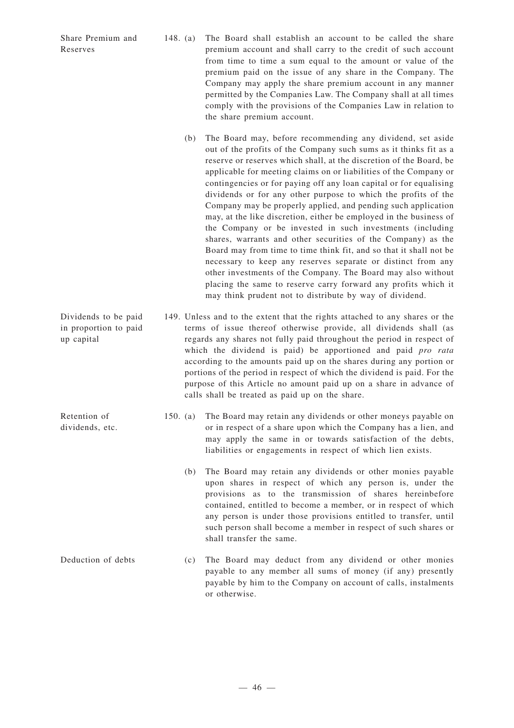Share Premium and Reserves

- 148. (a) The Board shall establish an account to be called the share premium account and shall carry to the credit of such account from time to time a sum equal to the amount or value of the premium paid on the issue of any share in the Company. The Company may apply the share premium account in any manner permitted by the Companies Law. The Company shall at all times comply with the provisions of the Companies Law in relation to the share premium account.
	- (b) The Board may, before recommending any dividend, set aside out of the profits of the Company such sums as it thinks fit as a reserve or reserves which shall, at the discretion of the Board, be applicable for meeting claims on or liabilities of the Company or contingencies or for paying off any loan capital or for equalising dividends or for any other purpose to which the profits of the Company may be properly applied, and pending such application may, at the like discretion, either be employed in the business of the Company or be invested in such investments (including shares, warrants and other securities of the Company) as the Board may from time to time think fit, and so that it shall not be necessary to keep any reserves separate or distinct from any other investments of the Company. The Board may also without placing the same to reserve carry forward any profits which it may think prudent not to distribute by way of dividend.
- 149. Unless and to the extent that the rights attached to any shares or the terms of issue thereof otherwise provide, all dividends shall (as regards any shares not fully paid throughout the period in respect of which the dividend is paid) be apportioned and paid *pro rata* according to the amounts paid up on the shares during any portion or portions of the period in respect of which the dividend is paid. For the purpose of this Article no amount paid up on a share in advance of calls shall be treated as paid up on the share.
	- 150. (a) The Board may retain any dividends or other moneys payable on or in respect of a share upon which the Company has a lien, and may apply the same in or towards satisfaction of the debts, liabilities or engagements in respect of which lien exists.
		- (b) The Board may retain any dividends or other monies payable upon shares in respect of which any person is, under the provisions as to the transmission of shares hereinbefore contained, entitled to become a member, or in respect of which any person is under those provisions entitled to transfer, until such person shall become a member in respect of such shares or shall transfer the same.
- Deduction of debts (c) The Board may deduct from any dividend or other monies payable to any member all sums of money (if any) presently payable by him to the Company on account of calls, instalments or otherwise.

Dividends to be paid in proportion to paid up capital

Retention of dividends, etc.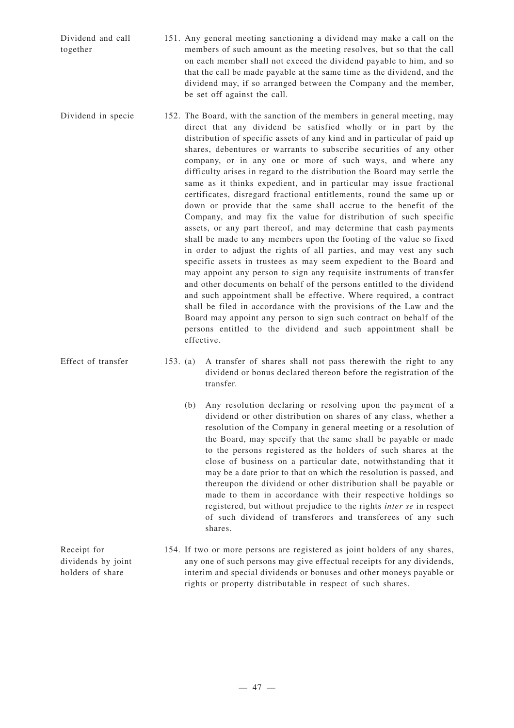Dividend and call together 151. Any general meeting sanctioning a dividend may make a call on the members of such amount as the meeting resolves, but so that the call on each member shall not exceed the dividend payable to him, and so that the call be made payable at the same time as the dividend, and the dividend may, if so arranged between the Company and the member, be set off against the call.

- Dividend in specie 152. The Board, with the sanction of the members in general meeting, may direct that any dividend be satisfied wholly or in part by the distribution of specific assets of any kind and in particular of paid up shares, debentures or warrants to subscribe securities of any other company, or in any one or more of such ways, and where any difficulty arises in regard to the distribution the Board may settle the same as it thinks expedient, and in particular may issue fractional certificates, disregard fractional entitlements, round the same up or down or provide that the same shall accrue to the benefit of the Company, and may fix the value for distribution of such specific assets, or any part thereof, and may determine that cash payments shall be made to any members upon the footing of the value so fixed in order to adjust the rights of all parties, and may vest any such specific assets in trustees as may seem expedient to the Board and may appoint any person to sign any requisite instruments of transfer and other documents on behalf of the persons entitled to the dividend and such appointment shall be effective. Where required, a contract shall be filed in accordance with the provisions of the Law and the Board may appoint any person to sign such contract on behalf of the persons entitled to the dividend and such appointment shall be effective.
- Effect of transfer 153. (a) A transfer of shares shall not pass therewith the right to any dividend or bonus declared thereon before the registration of the transfer.
	- (b) Any resolution declaring or resolving upon the payment of a dividend or other distribution on shares of any class, whether a resolution of the Company in general meeting or a resolution of the Board, may specify that the same shall be payable or made to the persons registered as the holders of such shares at the close of business on a particular date, notwithstanding that it may be a date prior to that on which the resolution is passed, and thereupon the dividend or other distribution shall be payable or made to them in accordance with their respective holdings so registered, but without prejudice to the rights *inter se* in respect of such dividend of transferors and transferees of any such shares.
	- 154. If two or more persons are registered as joint holders of any shares, any one of such persons may give effectual receipts for any dividends, interim and special dividends or bonuses and other moneys payable or rights or property distributable in respect of such shares.

Receipt for dividends by joint holders of share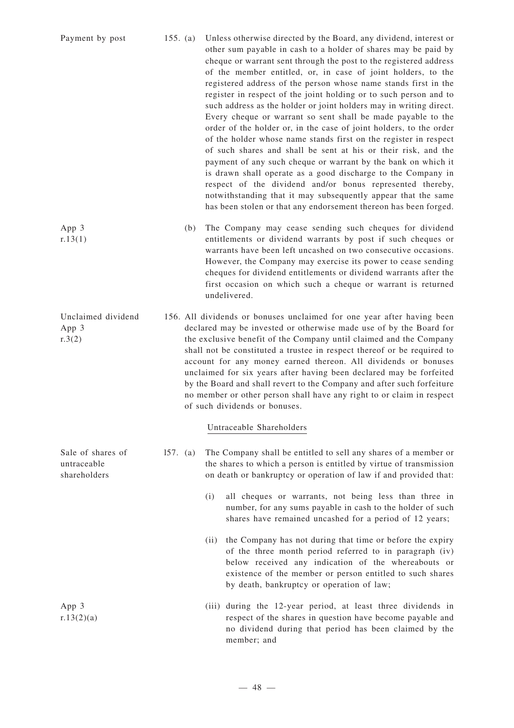| Payment by post                                  | 155. $(a)$ |     | Unless otherwise directed by the Board, any dividend, interest or<br>other sum payable in cash to a holder of shares may be paid by<br>cheque or warrant sent through the post to the registered address<br>of the member entitled, or, in case of joint holders, to the<br>registered address of the person whose name stands first in the<br>register in respect of the joint holding or to such person and to<br>such address as the holder or joint holders may in writing direct.<br>Every cheque or warrant so sent shall be made payable to the<br>order of the holder or, in the case of joint holders, to the order<br>of the holder whose name stands first on the register in respect<br>of such shares and shall be sent at his or their risk, and the<br>payment of any such cheque or warrant by the bank on which it<br>is drawn shall operate as a good discharge to the Company in<br>respect of the dividend and/or bonus represented thereby,<br>notwithstanding that it may subsequently appear that the same<br>has been stolen or that any endorsement thereon has been forged. |
|--------------------------------------------------|------------|-----|-------------------------------------------------------------------------------------------------------------------------------------------------------------------------------------------------------------------------------------------------------------------------------------------------------------------------------------------------------------------------------------------------------------------------------------------------------------------------------------------------------------------------------------------------------------------------------------------------------------------------------------------------------------------------------------------------------------------------------------------------------------------------------------------------------------------------------------------------------------------------------------------------------------------------------------------------------------------------------------------------------------------------------------------------------------------------------------------------------|
| App 3<br>r.13(1)                                 |            | (b) | The Company may cease sending such cheques for dividend<br>entitlements or dividend warrants by post if such cheques or<br>warrants have been left uncashed on two consecutive occasions.<br>However, the Company may exercise its power to cease sending<br>cheques for dividend entitlements or dividend warrants after the<br>first occasion on which such a cheque or warrant is returned<br>undelivered.                                                                                                                                                                                                                                                                                                                                                                                                                                                                                                                                                                                                                                                                                         |
| Unclaimed dividend<br>App 3<br>r.3(2)            |            |     | 156. All dividends or bonuses unclaimed for one year after having been<br>declared may be invested or otherwise made use of by the Board for<br>the exclusive benefit of the Company until claimed and the Company<br>shall not be constituted a trustee in respect thereof or be required to<br>account for any money earned thereon. All dividends or bonuses<br>unclaimed for six years after having been declared may be forfeited<br>by the Board and shall revert to the Company and after such forfeiture<br>no member or other person shall have any right to or claim in respect<br>of such dividends or bonuses.                                                                                                                                                                                                                                                                                                                                                                                                                                                                            |
|                                                  |            |     | Untraceable Shareholders                                                                                                                                                                                                                                                                                                                                                                                                                                                                                                                                                                                                                                                                                                                                                                                                                                                                                                                                                                                                                                                                              |
| Sale of shares of<br>untraceable<br>shareholders | 157. (a)   |     | The Company shall be entitled to sell any shares of a member or<br>the shares to which a person is entitled by virtue of transmission<br>on death or bankruptcy or operation of law if and provided that:                                                                                                                                                                                                                                                                                                                                                                                                                                                                                                                                                                                                                                                                                                                                                                                                                                                                                             |
|                                                  |            |     | all cheques or warrants, not being less than three in<br>(i)<br>number, for any sums payable in cash to the holder of such<br>shares have remained uncashed for a period of 12 years;                                                                                                                                                                                                                                                                                                                                                                                                                                                                                                                                                                                                                                                                                                                                                                                                                                                                                                                 |
|                                                  |            |     | the Company has not during that time or before the expiry<br>(ii)<br>of the three month period referred to in paragraph (iv)<br>below received any indication of the whereabouts or<br>existence of the member or person entitled to such shares<br>by death, bankruptcy or operation of law;                                                                                                                                                                                                                                                                                                                                                                                                                                                                                                                                                                                                                                                                                                                                                                                                         |
| App 3<br>r.13(2)(a)                              |            |     | (iii) during the 12-year period, at least three dividends in<br>respect of the shares in question have become payable and<br>no dividend during that period has been claimed by the<br>member; and                                                                                                                                                                                                                                                                                                                                                                                                                                                                                                                                                                                                                                                                                                                                                                                                                                                                                                    |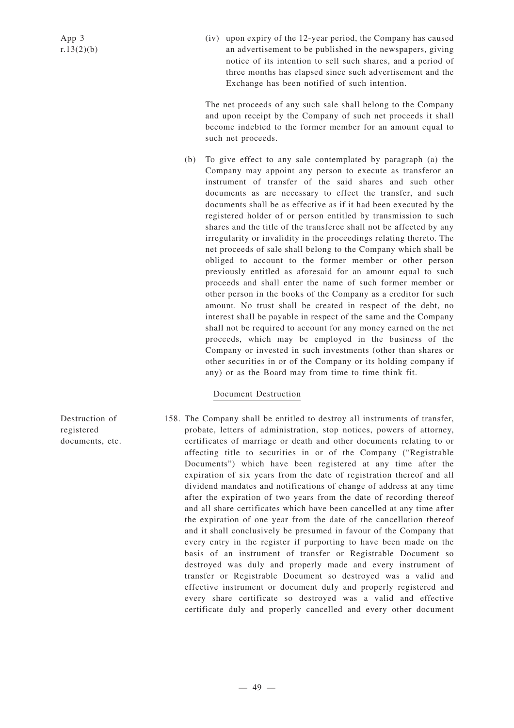(iv) upon expiry of the 12-year period, the Company has caused an advertisement to be published in the newspapers, giving notice of its intention to sell such shares, and a period of three months has elapsed since such advertisement and the Exchange has been notified of such intention.

The net proceeds of any such sale shall belong to the Company and upon receipt by the Company of such net proceeds it shall become indebted to the former member for an amount equal to such net proceeds.

(b) To give effect to any sale contemplated by paragraph (a) the Company may appoint any person to execute as transferor an instrument of transfer of the said shares and such other documents as are necessary to effect the transfer, and such documents shall be as effective as if it had been executed by the registered holder of or person entitled by transmission to such shares and the title of the transferee shall not be affected by any irregularity or invalidity in the proceedings relating thereto. The net proceeds of sale shall belong to the Company which shall be obliged to account to the former member or other person previously entitled as aforesaid for an amount equal to such proceeds and shall enter the name of such former member or other person in the books of the Company as a creditor for such amount. No trust shall be created in respect of the debt, no interest shall be payable in respect of the same and the Company shall not be required to account for any money earned on the net proceeds, which may be employed in the business of the Company or invested in such investments (other than shares or other securities in or of the Company or its holding company if any) or as the Board may from time to time think fit.

## Document Destruction

158. The Company shall be entitled to destroy all instruments of transfer, probate, letters of administration, stop notices, powers of attorney, certificates of marriage or death and other documents relating to or affecting title to securities in or of the Company ("Registrable Documents") which have been registered at any time after the expiration of six years from the date of registration thereof and all dividend mandates and notifications of change of address at any time after the expiration of two years from the date of recording thereof and all share certificates which have been cancelled at any time after the expiration of one year from the date of the cancellation thereof and it shall conclusively be presumed in favour of the Company that every entry in the register if purporting to have been made on the basis of an instrument of transfer or Registrable Document so destroyed was duly and properly made and every instrument of transfer or Registrable Document so destroyed was a valid and effective instrument or document duly and properly registered and every share certificate so destroyed was a valid and effective certificate duly and properly cancelled and every other document

Destruction of registered documents, etc.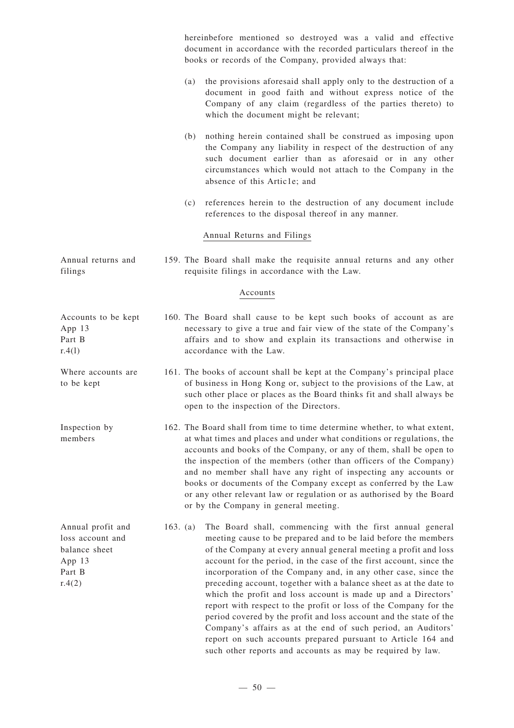hereinbefore mentioned so destroyed was a valid and effective document in accordance with the recorded particulars thereof in the books or records of the Company, provided always that: (a) the provisions aforesaid shall apply only to the destruction of a document in good faith and without express notice of the Company of any claim (regardless of the parties thereto) to which the document might be relevant; (b) nothing herein contained shall be construed as imposing upon the Company any liability in respect of the destruction of any such document earlier than as aforesaid or in any other circumstances which would not attach to the Company in the absence of this Artic1e; and (c) references herein to the destruction of any document include references to the disposal thereof in any manner. Annual Returns and Filings Annual returns and filings 159. The Board shall make the requisite annual returns and any other requisite filings in accordance with the Law. Accounts Accounts to be kept App 13 Part B  $r.4(1)$ 160. The Board shall cause to be kept such books of account as are necessary to give a true and fair view of the state of the Company's affairs and to show and explain its transactions and otherwise in accordance with the Law. Where accounts are to be kept 161. The books of account shall be kept at the Company's principal place of business in Hong Kong or, subject to the provisions of the Law, at such other place or places as the Board thinks fit and shall always be open to the inspection of the Directors. Inspection by members 162. The Board shall from time to time determine whether, to what extent, at what times and places and under what conditions or regulations, the accounts and books of the Company, or any of them, shall be open to the inspection of the members (other than officers of the Company) and no member shall have any right of inspecting any accounts or books or documents of the Company except as conferred by the Law or any other relevant law or regulation or as authorised by the Board or by the Company in general meeting. Annual profit and loss account and balance sheet App 13 Part B  $r.4(2)$ 163. (a) The Board shall, commencing with the first annual general meeting cause to be prepared and to be laid before the members of the Company at every annual general meeting a profit and loss account for the period, in the case of the first account, since the incorporation of the Company and, in any other case, since the preceding account, together with a balance sheet as at the date to which the profit and loss account is made up and a Directors' report with respect to the profit or loss of the Company for the period covered by the profit and loss account and the state of the Company's affairs as at the end of such period, an Auditors'

report on such accounts prepared pursuant to Article 164 and such other reports and accounts as may be required by law.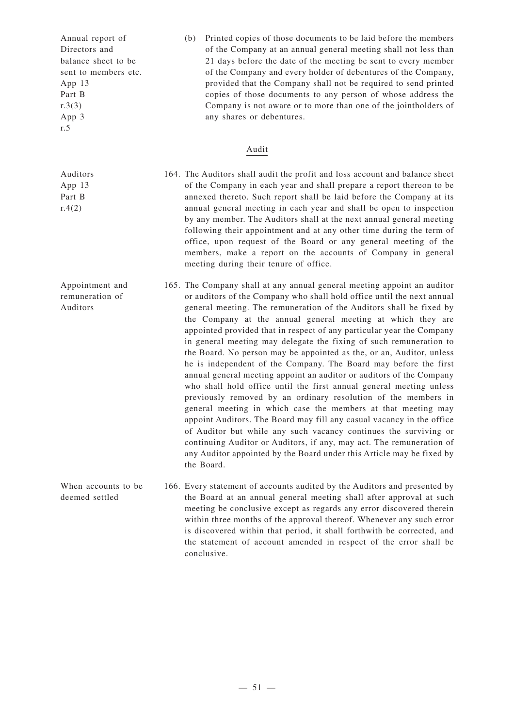Annual report of Directors and balance sheet to be sent to members etc. App 13 Part B  $r.3(3)$ App 3 r.5

Auditors App 13 Part B  $r.4(2)$ 

Auditors

(b) Printed copies of those documents to be laid before the members of the Company at an annual general meeting shall not less than 21 days before the date of the meeting be sent to every member of the Company and every holder of debentures of the Company, provided that the Company shall not be required to send printed copies of those documents to any person of whose address the Company is not aware or to more than one of the jointholders of any shares or debentures.

## Audit

- 164. The Auditors shall audit the profit and loss account and balance sheet of the Company in each year and shall prepare a report thereon to be annexed thereto. Such report shall be laid before the Company at its annual general meeting in each year and shall be open to inspection by any member. The Auditors shall at the next annual general meeting following their appointment and at any other time during the term of office, upon request of the Board or any general meeting of the members, make a report on the accounts of Company in general meeting during their tenure of office.
- Appointment and remuneration of 165. The Company shall at any annual general meeting appoint an auditor or auditors of the Company who shall hold office until the next annual general meeting. The remuneration of the Auditors shall be fixed by the Company at the annual general meeting at which they are appointed provided that in respect of any particular year the Company in general meeting may delegate the fixing of such remuneration to the Board. No person may be appointed as the, or an, Auditor, unless he is independent of the Company. The Board may before the first annual general meeting appoint an auditor or auditors of the Company who shall hold office until the first annual general meeting unless previously removed by an ordinary resolution of the members in general meeting in which case the members at that meeting may appoint Auditors. The Board may fill any casual vacancy in the office of Auditor but while any such vacancy continues the surviving or continuing Auditor or Auditors, if any, may act. The remuneration of any Auditor appointed by the Board under this Article may be fixed by the Board.
- When accounts to be deemed settled 166. Every statement of accounts audited by the Auditors and presented by the Board at an annual general meeting shall after approval at such meeting be conclusive except as regards any error discovered therein within three months of the approval thereof. Whenever any such error is discovered within that period, it shall forthwith be corrected, and the statement of account amended in respect of the error shall be conclusive.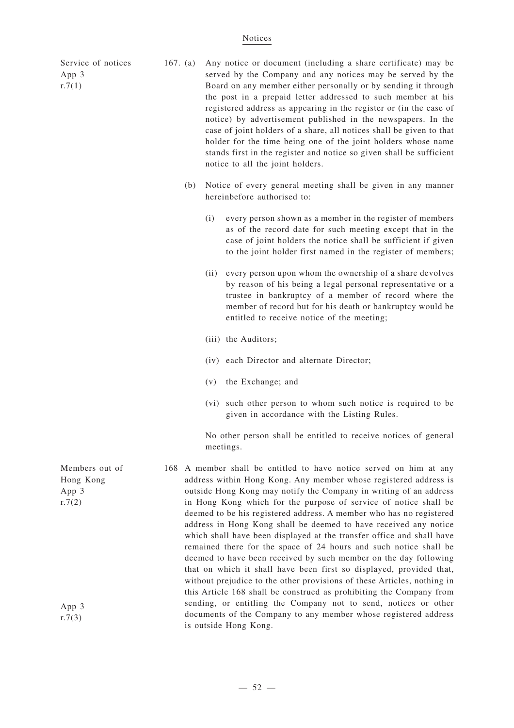#### Notices

Service of notices App 3  $r.7(1)$ 

App 3  $r.7(2)$ 

App 3  $r.7(3)$ 

- 167. (a) Any notice or document (including a share certificate) may be served by the Company and any notices may be served by the Board on any member either personally or by sending it through the post in a prepaid letter addressed to such member at his registered address as appearing in the register or (in the case of notice) by advertisement published in the newspapers. In the case of joint holders of a share, all notices shall be given to that holder for the time being one of the joint holders whose name stands first in the register and notice so given shall be sufficient notice to all the joint holders.
	- (b) Notice of every general meeting shall be given in any manner hereinbefore authorised to:
		- (i) every person shown as a member in the register of members as of the record date for such meeting except that in the case of joint holders the notice shall be sufficient if given to the joint holder first named in the register of members;
		- (ii) every person upon whom the ownership of a share devolves by reason of his being a legal personal representative or a trustee in bankruptcy of a member of record where the member of record but for his death or bankruptcy would be entitled to receive notice of the meeting;
		- (iii) the Auditors;
		- (iv) each Director and alternate Director;
		- (v) the Exchange; and
		- (vi) such other person to whom such notice is required to be given in accordance with the Listing Rules.

No other person shall be entitled to receive notices of general meetings.

Members out of Hong Kong 168 A member shall be entitled to have notice served on him at any address within Hong Kong. Any member whose registered address is outside Hong Kong may notify the Company in writing of an address in Hong Kong which for the purpose of service of notice shall be deemed to be his registered address. A member who has no registered address in Hong Kong shall be deemed to have received any notice which shall have been displayed at the transfer office and shall have remained there for the space of 24 hours and such notice shall be deemed to have been received by such member on the day following that on which it shall have been first so displayed, provided that, without prejudice to the other provisions of these Articles, nothing in this Article 168 shall be construed as prohibiting the Company from sending, or entitling the Company not to send, notices or other documents of the Company to any member whose registered address is outside Hong Kong.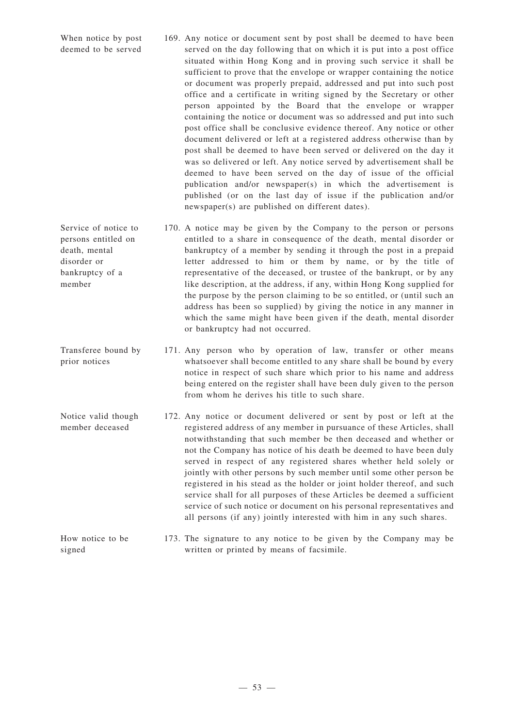When notice by post deemed to be served 169. Any notice or document sent by post shall be deemed to have been served on the day following that on which it is put into a post office situated within Hong Kong and in proving such service it shall be sufficient to prove that the envelope or wrapper containing the notice or document was properly prepaid, addressed and put into such post office and a certificate in writing signed by the Secretary or other person appointed by the Board that the envelope or wrapper containing the notice or document was so addressed and put into such post office shall be conclusive evidence thereof. Any notice or other document delivered or left at a registered address otherwise than by post shall be deemed to have been served or delivered on the day it was so delivered or left. Any notice served by advertisement shall be deemed to have been served on the day of issue of the official publication and/or newspaper(s) in which the advertisement is published (or on the last day of issue if the publication and/or newspaper(s) are published on different dates).

death, mental disorder or bankruptcy of a

member

- Service of notice to persons entitled on 170. A notice may be given by the Company to the person or persons entitled to a share in consequence of the death, mental disorder or bankruptcy of a member by sending it through the post in a prepaid letter addressed to him or them by name, or by the title of representative of the deceased, or trustee of the bankrupt, or by any like description, at the address, if any, within Hong Kong supplied for the purpose by the person claiming to be so entitled, or (until such an address has been so supplied) by giving the notice in any manner in which the same might have been given if the death, mental disorder or bankruptcy had not occurred.
- Transferee bound by prior notices 171. Any person who by operation of law, transfer or other means whatsoever shall become entitled to any share shall be bound by every notice in respect of such share which prior to his name and address being entered on the register shall have been duly given to the person from whom he derives his title to such share.
- Notice valid though member deceased 172. Any notice or document delivered or sent by post or left at the registered address of any member in pursuance of these Articles, shall notwithstanding that such member be then deceased and whether or not the Company has notice of his death be deemed to have been duly served in respect of any registered shares whether held solely or jointly with other persons by such member until some other person be registered in his stead as the holder or joint holder thereof, and such service shall for all purposes of these Articles be deemed a sufficient service of such notice or document on his personal representatives and all persons (if any) jointly interested with him in any such shares.
- How notice to be signed 173. The signature to any notice to be given by the Company may be written or printed by means of facsimile.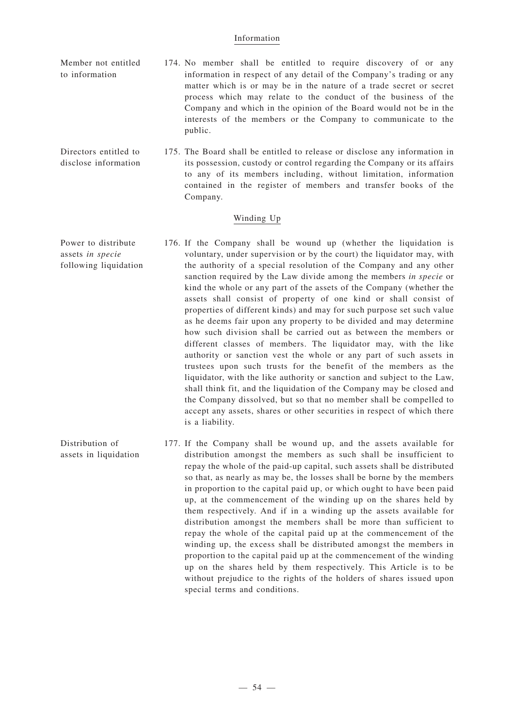#### Information

- Member not entitled to information 174. No member shall be entitled to require discovery of or any information in respect of any detail of the Company's trading or any matter which is or may be in the nature of a trade secret or secret process which may relate to the conduct of the business of the Company and which in the opinion of the Board would not be in the interests of the members or the Company to communicate to the public.
- Directors entitled to disclose information 175. The Board shall be entitled to release or disclose any information in its possession, custody or control regarding the Company or its affairs to any of its members including, without limitation, information contained in the register of members and transfer books of the Company.

#### Winding Up

Power to distribute assets *in specie* following liquidation 176. If the Company shall be wound up (whether the liquidation is voluntary, under supervision or by the court) the liquidator may, with the authority of a special resolution of the Company and any other sanction required by the Law divide among the members *in specie* or kind the whole or any part of the assets of the Company (whether the assets shall consist of property of one kind or shall consist of properties of different kinds) and may for such purpose set such value as he deems fair upon any property to be divided and may determine how such division shall be carried out as between the members or different classes of members. The liquidator may, with the like authority or sanction vest the whole or any part of such assets in trustees upon such trusts for the benefit of the members as the liquidator, with the like authority or sanction and subject to the Law, shall think fit, and the liquidation of the Company may be closed and the Company dissolved, but so that no member shall be compelled to accept any assets, shares or other securities in respect of which there is a liability.

Distribution of

assets in liquidation 177. If the Company shall be wound up, and the assets available for distribution amongst the members as such shall be insufficient to repay the whole of the paid-up capital, such assets shall be distributed so that, as nearly as may be, the losses shall be borne by the members in proportion to the capital paid up, or which ought to have been paid up, at the commencement of the winding up on the shares held by them respectively. And if in a winding up the assets available for distribution amongst the members shall be more than sufficient to repay the whole of the capital paid up at the commencement of the winding up, the excess shall be distributed amongst the members in proportion to the capital paid up at the commencement of the winding up on the shares held by them respectively. This Article is to be without prejudice to the rights of the holders of shares issued upon special terms and conditions.